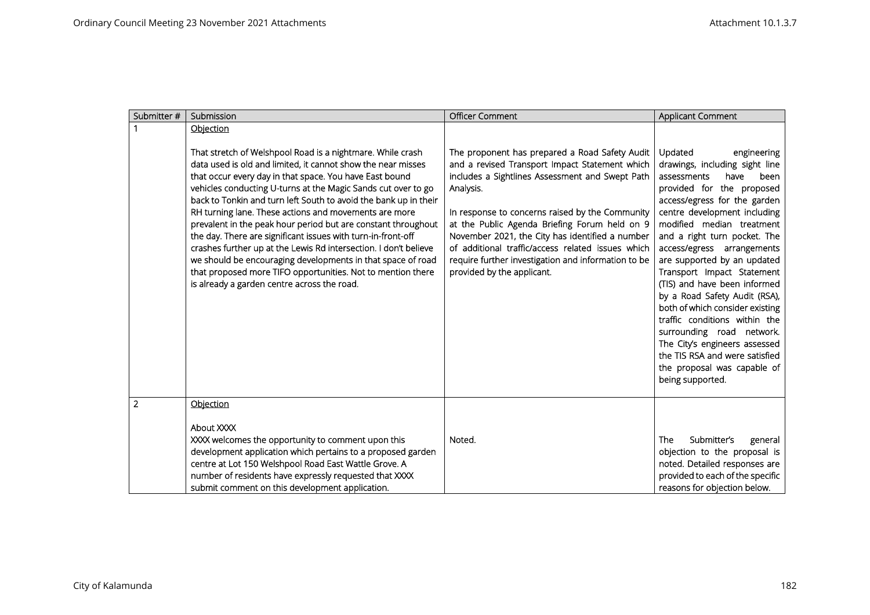| Submitter #    | Submission                                                                                                                                                                                                                                                                                                                                                                                                                                                                                                                                                                                                                                                                                                                                                            | <b>Officer Comment</b>                                                                                                                                                                                                                                                                                                                                                                                                                                            | Applicant Comment                                                                                                                                                                                                                                                                                                                                                                                                                                                                                                                                                                                                                    |
|----------------|-----------------------------------------------------------------------------------------------------------------------------------------------------------------------------------------------------------------------------------------------------------------------------------------------------------------------------------------------------------------------------------------------------------------------------------------------------------------------------------------------------------------------------------------------------------------------------------------------------------------------------------------------------------------------------------------------------------------------------------------------------------------------|-------------------------------------------------------------------------------------------------------------------------------------------------------------------------------------------------------------------------------------------------------------------------------------------------------------------------------------------------------------------------------------------------------------------------------------------------------------------|--------------------------------------------------------------------------------------------------------------------------------------------------------------------------------------------------------------------------------------------------------------------------------------------------------------------------------------------------------------------------------------------------------------------------------------------------------------------------------------------------------------------------------------------------------------------------------------------------------------------------------------|
|                | Objection                                                                                                                                                                                                                                                                                                                                                                                                                                                                                                                                                                                                                                                                                                                                                             |                                                                                                                                                                                                                                                                                                                                                                                                                                                                   |                                                                                                                                                                                                                                                                                                                                                                                                                                                                                                                                                                                                                                      |
|                | That stretch of Welshpool Road is a nightmare. While crash<br>data used is old and limited, it cannot show the near misses<br>that occur every day in that space. You have East bound<br>vehicles conducting U-turns at the Magic Sands cut over to go<br>back to Tonkin and turn left South to avoid the bank up in their<br>RH turning lane. These actions and movements are more<br>prevalent in the peak hour period but are constant throughout<br>the day. There are significant issues with turn-in-front-off<br>crashes further up at the Lewis Rd intersection. I don't believe<br>we should be encouraging developments in that space of road<br>that proposed more TIFO opportunities. Not to mention there<br>is already a garden centre across the road. | The proponent has prepared a Road Safety Audit<br>and a revised Transport Impact Statement which<br>includes a Sightlines Assessment and Swept Path<br>Analysis.<br>In response to concerns raised by the Community<br>at the Public Agenda Briefing Forum held on 9<br>November 2021, the City has identified a number<br>of additional traffic/access related issues which<br>require further investigation and information to be<br>provided by the applicant. | Updated<br>engineering<br>drawings, including sight line<br>been<br>assessments<br>have<br>provided for the proposed<br>access/egress for the garden<br>centre development including<br>modified median treatment<br>and a right turn pocket. The<br>access/egress arrangements<br>are supported by an updated<br>Transport Impact Statement<br>(TIS) and have been informed<br>by a Road Safety Audit (RSA),<br>both of which consider existing<br>traffic conditions within the<br>surrounding road network.<br>The City's engineers assessed<br>the TIS RSA and were satisfied<br>the proposal was capable of<br>being supported. |
| $\overline{2}$ | Objection                                                                                                                                                                                                                                                                                                                                                                                                                                                                                                                                                                                                                                                                                                                                                             |                                                                                                                                                                                                                                                                                                                                                                                                                                                                   |                                                                                                                                                                                                                                                                                                                                                                                                                                                                                                                                                                                                                                      |
|                | About XXXX<br>XXXX welcomes the opportunity to comment upon this<br>development application which pertains to a proposed garden<br>centre at Lot 150 Welshpool Road East Wattle Grove. A<br>number of residents have expressly requested that XXXX<br>submit comment on this development application.                                                                                                                                                                                                                                                                                                                                                                                                                                                                 | Noted.                                                                                                                                                                                                                                                                                                                                                                                                                                                            | Submitter's<br>The<br>general<br>objection to the proposal is<br>noted. Detailed responses are<br>provided to each of the specific<br>reasons for objection below.                                                                                                                                                                                                                                                                                                                                                                                                                                                                   |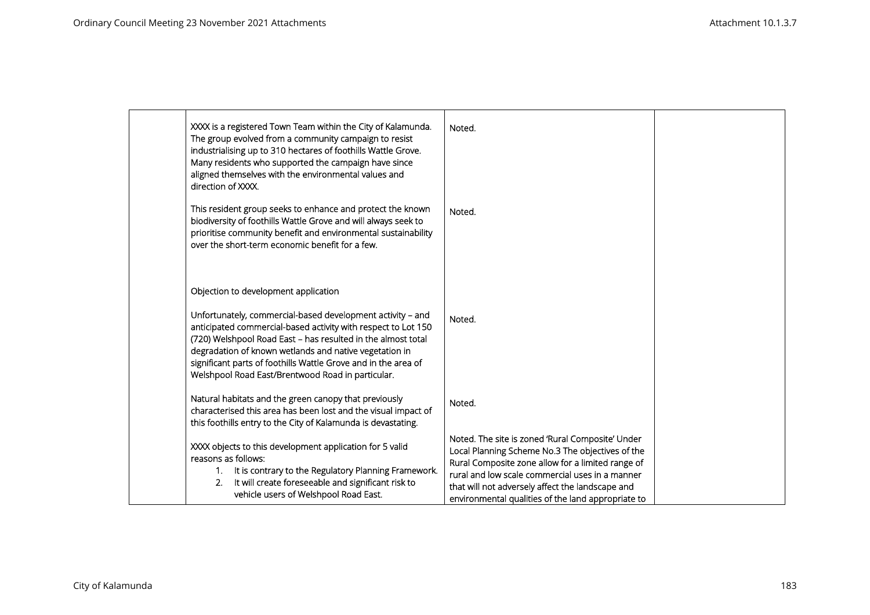| XXXX is a registered Town Team within the City of Kalamunda.<br>The group evolved from a community campaign to resist<br>industrialising up to 310 hectares of foothills Wattle Grove.<br>Many residents who supported the campaign have since<br>aligned themselves with the environmental values and<br>direction of XXXX.                                                 | Noted.                                                                                                                                                                                                                                                                                                                 |  |
|------------------------------------------------------------------------------------------------------------------------------------------------------------------------------------------------------------------------------------------------------------------------------------------------------------------------------------------------------------------------------|------------------------------------------------------------------------------------------------------------------------------------------------------------------------------------------------------------------------------------------------------------------------------------------------------------------------|--|
| This resident group seeks to enhance and protect the known<br>biodiversity of foothills Wattle Grove and will always seek to<br>prioritise community benefit and environmental sustainability<br>over the short-term economic benefit for a few.                                                                                                                             | Noted.                                                                                                                                                                                                                                                                                                                 |  |
| Objection to development application                                                                                                                                                                                                                                                                                                                                         |                                                                                                                                                                                                                                                                                                                        |  |
| Unfortunately, commercial-based development activity - and<br>anticipated commercial-based activity with respect to Lot 150<br>(720) Welshpool Road East - has resulted in the almost total<br>degradation of known wetlands and native vegetation in<br>significant parts of foothills Wattle Grove and in the area of<br>Welshpool Road East/Brentwood Road in particular. | Noted.                                                                                                                                                                                                                                                                                                                 |  |
| Natural habitats and the green canopy that previously<br>characterised this area has been lost and the visual impact of<br>this foothills entry to the City of Kalamunda is devastating.                                                                                                                                                                                     | Noted.                                                                                                                                                                                                                                                                                                                 |  |
| XXXX objects to this development application for 5 valid<br>reasons as follows:<br>It is contrary to the Regulatory Planning Framework.<br>$1_{\cdot}$<br>It will create foreseeable and significant risk to<br>2.<br>vehicle users of Welshpool Road East.                                                                                                                  | Noted. The site is zoned 'Rural Composite' Under<br>Local Planning Scheme No.3 The objectives of the<br>Rural Composite zone allow for a limited range of<br>rural and low scale commercial uses in a manner<br>that will not adversely affect the landscape and<br>environmental qualities of the land appropriate to |  |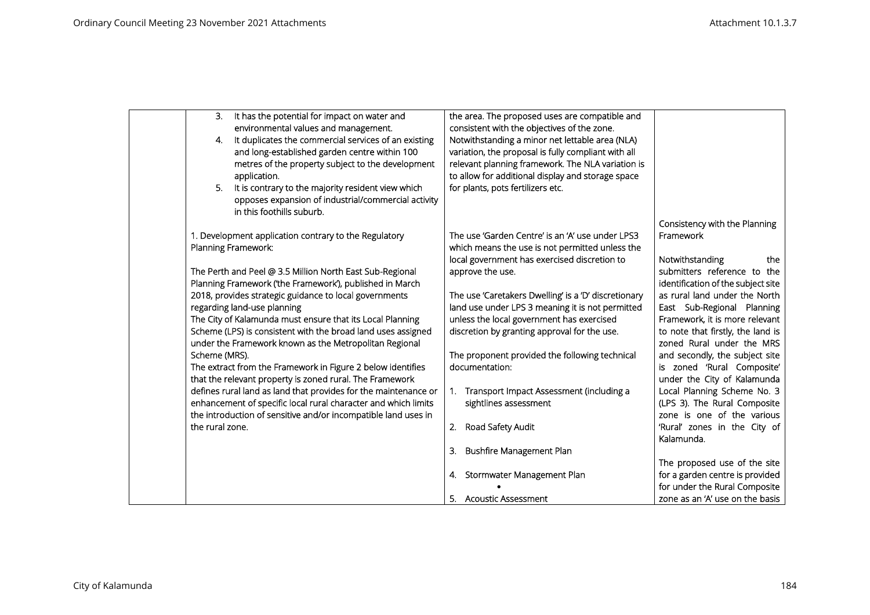| 3.              | It has the potential for impact on water and                    | the area. The proposed uses are compatible and             |                                    |
|-----------------|-----------------------------------------------------------------|------------------------------------------------------------|------------------------------------|
|                 | environmental values and management.                            | consistent with the objectives of the zone.                |                                    |
| 4.              | It duplicates the commercial services of an existing            | Notwithstanding a minor net lettable area (NLA)            |                                    |
|                 | and long-established garden centre within 100                   | variation, the proposal is fully compliant with all        |                                    |
|                 | metres of the property subject to the development               | relevant planning framework. The NLA variation is          |                                    |
|                 | application.                                                    | to allow for additional display and storage space          |                                    |
| 5.              | It is contrary to the majority resident view which              | for plants, pots fertilizers etc.                          |                                    |
|                 | opposes expansion of industrial/commercial activity             |                                                            |                                    |
|                 | in this foothills suburb.                                       |                                                            |                                    |
|                 |                                                                 |                                                            | Consistency with the Planning      |
|                 | 1. Development application contrary to the Regulatory           | The use 'Garden Centre' is an 'A' use under LPS3           | Framework                          |
|                 | Planning Framework:                                             | which means the use is not permitted unless the            |                                    |
|                 |                                                                 | local government has exercised discretion to               | Notwithstanding<br>the             |
|                 | The Perth and Peel @ 3.5 Million North East Sub-Regional        | approve the use.                                           | submitters reference to the        |
|                 | Planning Framework ('the Framework'), published in March        |                                                            | identification of the subject site |
|                 | 2018, provides strategic guidance to local governments          |                                                            | as rural land under the North      |
|                 |                                                                 | The use 'Caretakers Dwelling' is a 'D' discretionary       |                                    |
|                 | regarding land-use planning                                     | land use under LPS 3 meaning it is not permitted           | East Sub-Regional Planning         |
|                 | The City of Kalamunda must ensure that its Local Planning       | unless the local government has exercised                  | Framework, it is more relevant     |
|                 | Scheme (LPS) is consistent with the broad land uses assigned    | discretion by granting approval for the use.               | to note that firstly, the land is  |
|                 | under the Framework known as the Metropolitan Regional          |                                                            | zoned Rural under the MRS          |
| Scheme (MRS).   |                                                                 | The proponent provided the following technical             | and secondly, the subject site     |
|                 | The extract from the Framework in Figure 2 below identifies     | documentation:                                             | is zoned 'Rural Composite'         |
|                 | that the relevant property is zoned rural. The Framework        |                                                            | under the City of Kalamunda        |
|                 | defines rural land as land that provides for the maintenance or | Transport Impact Assessment (including a<br>$\mathbf{1}$ . | Local Planning Scheme No. 3        |
|                 | enhancement of specific local rural character and which limits  | sightlines assessment                                      | (LPS 3). The Rural Composite       |
|                 | the introduction of sensitive and/or incompatible land uses in  |                                                            | zone is one of the various         |
| the rural zone. |                                                                 | Road Safety Audit<br>2.                                    | 'Rural' zones in the City of       |
|                 |                                                                 |                                                            | Kalamunda.                         |
|                 |                                                                 | Bushfire Management Plan<br>3.                             |                                    |
|                 |                                                                 |                                                            | The proposed use of the site       |
|                 |                                                                 | Stormwater Management Plan<br>4.                           | for a garden centre is provided    |
|                 |                                                                 |                                                            | for under the Rural Composite      |
|                 |                                                                 | 5. Acoustic Assessment                                     | zone as an 'A' use on the basis    |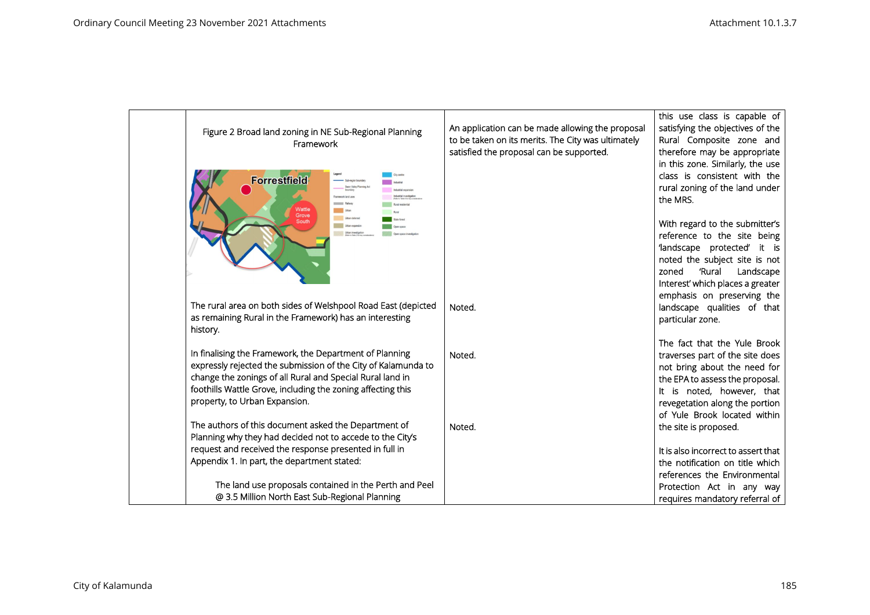| Figure 2 Broad land zoning in NE Sub-Regional Planning<br>Framework                                                                                                                                                                                                                   | An application can be made allowing the proposal<br>to be taken on its merits. The City was ultimately<br>satisfied the proposal can be supported. | this use class is capable of<br>satisfying the objectives of the<br>Rural Composite zone and<br>therefore may be appropriate<br>in this zone. Similarly, the use                                                                   |
|---------------------------------------------------------------------------------------------------------------------------------------------------------------------------------------------------------------------------------------------------------------------------------------|----------------------------------------------------------------------------------------------------------------------------------------------------|------------------------------------------------------------------------------------------------------------------------------------------------------------------------------------------------------------------------------------|
| <b>Forrestfield</b><br>Swan Valley Plannis<br>tamework land uses<br>Wattle<br>Urban                                                                                                                                                                                                   |                                                                                                                                                    | class is consistent with the<br>rural zoning of the land under<br>the MRS.                                                                                                                                                         |
| Grove<br>Urban deferred<br>South<br>Urban expansion<br>Urban investigation                                                                                                                                                                                                            |                                                                                                                                                    | With regard to the submitter's<br>reference to the site being<br>'landscape protected' it is<br>noted the subject site is not<br>'Rural<br>Landscape<br>zoned<br>Interest' which places a greater                                  |
| The rural area on both sides of Welshpool Road East (depicted<br>as remaining Rural in the Framework) has an interesting<br>history.                                                                                                                                                  | Noted.                                                                                                                                             | emphasis on preserving the<br>landscape qualities of that<br>particular zone.                                                                                                                                                      |
| In finalising the Framework, the Department of Planning<br>expressly rejected the submission of the City of Kalamunda to<br>change the zonings of all Rural and Special Rural land in<br>foothills Wattle Grove, including the zoning affecting this<br>property, to Urban Expansion. | Noted.                                                                                                                                             | The fact that the Yule Brook<br>traverses part of the site does<br>not bring about the need for<br>the EPA to assess the proposal.<br>It is noted, however, that<br>revegetation along the portion<br>of Yule Brook located within |
| The authors of this document asked the Department of<br>Planning why they had decided not to accede to the City's<br>request and received the response presented in full in                                                                                                           | Noted.                                                                                                                                             | the site is proposed.<br>It is also incorrect to assert that                                                                                                                                                                       |
| Appendix 1. In part, the department stated:                                                                                                                                                                                                                                           |                                                                                                                                                    | the notification on title which<br>references the Environmental                                                                                                                                                                    |
| The land use proposals contained in the Perth and Peel<br>@ 3.5 Million North East Sub-Regional Planning                                                                                                                                                                              |                                                                                                                                                    | Protection Act in any way<br>requires mandatory referral of                                                                                                                                                                        |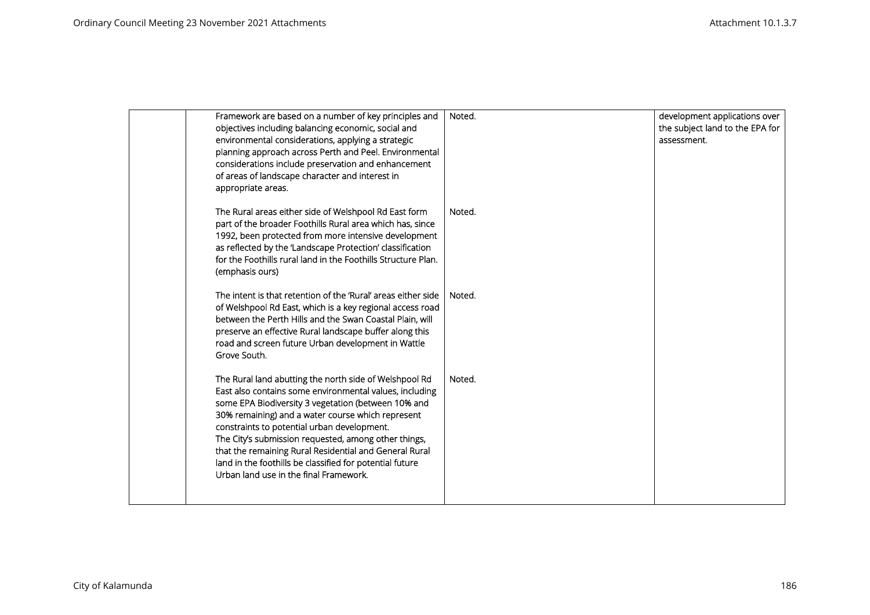| Framework are based on a number of key principles and<br>objectives including balancing economic, social and<br>environmental considerations, applying a strategic<br>planning approach across Perth and Peel. Environmental<br>considerations include preservation and enhancement<br>of areas of landscape character and interest in<br>appropriate areas.                                                                                                                                         | Noted. | development applications over<br>the subject land to the EPA for<br>assessment. |
|------------------------------------------------------------------------------------------------------------------------------------------------------------------------------------------------------------------------------------------------------------------------------------------------------------------------------------------------------------------------------------------------------------------------------------------------------------------------------------------------------|--------|---------------------------------------------------------------------------------|
| The Rural areas either side of Welshpool Rd East form<br>part of the broader Foothills Rural area which has, since<br>1992, been protected from more intensive development<br>as reflected by the 'Landscape Protection' classification<br>for the Foothills rural land in the Foothills Structure Plan.<br>(emphasis ours)                                                                                                                                                                          | Noted. |                                                                                 |
| The intent is that retention of the 'Rural' areas either side<br>of Welshpool Rd East, which is a key regional access road<br>between the Perth Hills and the Swan Coastal Plain, will<br>preserve an effective Rural landscape buffer along this<br>road and screen future Urban development in Wattle<br>Grove South.                                                                                                                                                                              | Noted. |                                                                                 |
| The Rural land abutting the north side of Welshpool Rd<br>East also contains some environmental values, including<br>some EPA Biodiversity 3 vegetation (between 10% and<br>30% remaining) and a water course which represent<br>constraints to potential urban development.<br>The City's submission requested, among other things,<br>that the remaining Rural Residential and General Rural<br>land in the foothills be classified for potential future<br>Urban land use in the final Framework. | Noted. |                                                                                 |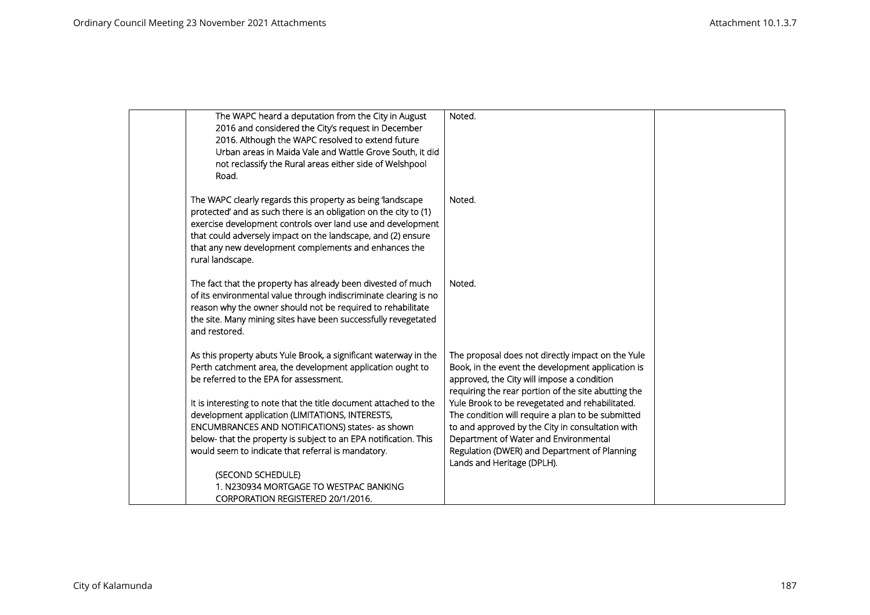| The WAPC heard a deputation from the City in August                                                                   | Noted.                                                                                               |  |
|-----------------------------------------------------------------------------------------------------------------------|------------------------------------------------------------------------------------------------------|--|
| 2016 and considered the City's request in December                                                                    |                                                                                                      |  |
| 2016. Although the WAPC resolved to extend future                                                                     |                                                                                                      |  |
| Urban areas in Maida Vale and Wattle Grove South, it did                                                              |                                                                                                      |  |
| not reclassify the Rural areas either side of Welshpool                                                               |                                                                                                      |  |
| Road.                                                                                                                 |                                                                                                      |  |
|                                                                                                                       |                                                                                                      |  |
| The WAPC clearly regards this property as being 'landscape                                                            | Noted.                                                                                               |  |
| protected' and as such there is an obligation on the city to (1)                                                      |                                                                                                      |  |
| exercise development controls over land use and development                                                           |                                                                                                      |  |
| that could adversely impact on the landscape, and (2) ensure                                                          |                                                                                                      |  |
| that any new development complements and enhances the                                                                 |                                                                                                      |  |
| rural landscape.                                                                                                      |                                                                                                      |  |
|                                                                                                                       |                                                                                                      |  |
| The fact that the property has already been divested of much                                                          | Noted.                                                                                               |  |
| of its environmental value through indiscriminate clearing is no                                                      |                                                                                                      |  |
| reason why the owner should not be required to rehabilitate                                                           |                                                                                                      |  |
| the site. Many mining sites have been successfully revegetated                                                        |                                                                                                      |  |
| and restored.                                                                                                         |                                                                                                      |  |
|                                                                                                                       |                                                                                                      |  |
| As this property abuts Yule Brook, a significant waterway in the                                                      | The proposal does not directly impact on the Yule                                                    |  |
| Perth catchment area, the development application ought to                                                            | Book, in the event the development application is                                                    |  |
| be referred to the EPA for assessment.                                                                                | approved, the City will impose a condition                                                           |  |
|                                                                                                                       | requiring the rear portion of the site abutting the                                                  |  |
| It is interesting to note that the title document attached to the<br>development application (LIMITATIONS, INTERESTS, | Yule Brook to be revegetated and rehabilitated.<br>The condition will require a plan to be submitted |  |
| ENCUMBRANCES AND NOTIFICATIONS) states- as shown                                                                      | to and approved by the City in consultation with                                                     |  |
| below- that the property is subject to an EPA notification. This                                                      | Department of Water and Environmental                                                                |  |
| would seem to indicate that referral is mandatory.                                                                    | Regulation (DWER) and Department of Planning                                                         |  |
|                                                                                                                       | Lands and Heritage (DPLH).                                                                           |  |
| (SECOND SCHEDULE)                                                                                                     |                                                                                                      |  |
| 1. N230934 MORTGAGE TO WESTPAC BANKING                                                                                |                                                                                                      |  |
| CORPORATION REGISTERED 20/1/2016.                                                                                     |                                                                                                      |  |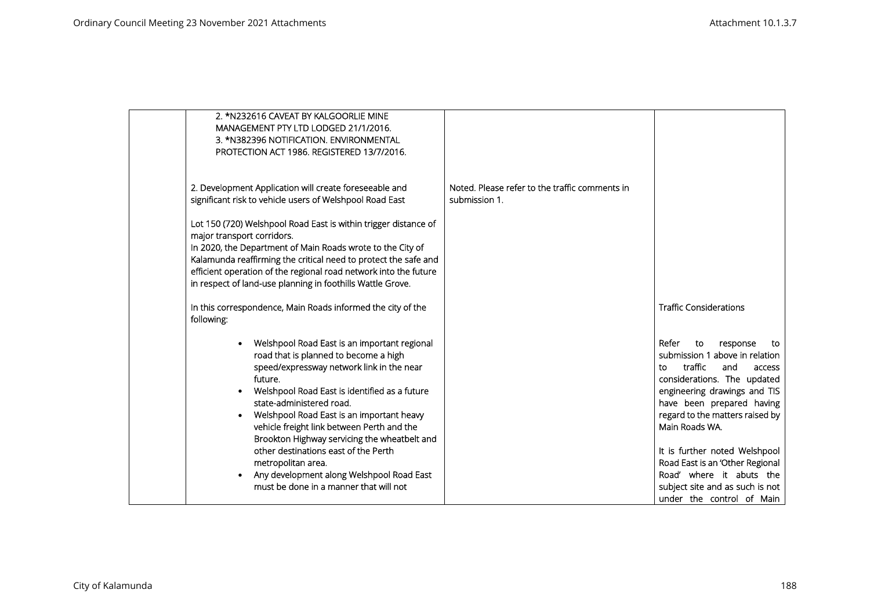| 2. *N232616 CAVEAT BY KALGOORLIE MINE<br>MANAGEMENT PTY LTD LODGED 21/1/2016.<br>3. *N382396 NOTIFICATION. ENVIRONMENTAL<br>PROTECTION ACT 1986. REGISTERED 13/7/2016.                                                                                                                                                                                                                                                                                                                                                                               |                                                                 |                                                                                                                                                                                                                                                                                                                                                                                                                     |
|------------------------------------------------------------------------------------------------------------------------------------------------------------------------------------------------------------------------------------------------------------------------------------------------------------------------------------------------------------------------------------------------------------------------------------------------------------------------------------------------------------------------------------------------------|-----------------------------------------------------------------|---------------------------------------------------------------------------------------------------------------------------------------------------------------------------------------------------------------------------------------------------------------------------------------------------------------------------------------------------------------------------------------------------------------------|
| 2. Development Application will create foreseeable and<br>significant risk to vehicle users of Welshpool Road East<br>Lot 150 (720) Welshpool Road East is within trigger distance of<br>major transport corridors.<br>In 2020, the Department of Main Roads wrote to the City of<br>Kalamunda reaffirming the critical need to protect the safe and<br>efficient operation of the regional road network into the future<br>in respect of land-use planning in foothills Wattle Grove.                                                               | Noted. Please refer to the traffic comments in<br>submission 1. |                                                                                                                                                                                                                                                                                                                                                                                                                     |
| In this correspondence, Main Roads informed the city of the<br>following:                                                                                                                                                                                                                                                                                                                                                                                                                                                                            |                                                                 | <b>Traffic Considerations</b>                                                                                                                                                                                                                                                                                                                                                                                       |
| Welshpool Road East is an important regional<br>road that is planned to become a high<br>speed/expressway network link in the near<br>future.<br>Welshpool Road East is identified as a future<br>$\bullet$<br>state-administered road.<br>Welshpool Road East is an important heavy<br>vehicle freight link between Perth and the<br>Brookton Highway servicing the wheatbelt and<br>other destinations east of the Perth<br>metropolitan area.<br>Any development along Welshpool Road East<br>$\bullet$<br>must be done in a manner that will not |                                                                 | Refer<br>to<br>response<br>to<br>submission 1 above in relation<br>traffic<br>and<br>to.<br>access<br>considerations. The updated<br>engineering drawings and TIS<br>have been prepared having<br>regard to the matters raised by<br>Main Roads WA.<br>It is further noted Welshpool<br>Road East is an 'Other Regional<br>Road' where it abuts the<br>subject site and as such is not<br>under the control of Main |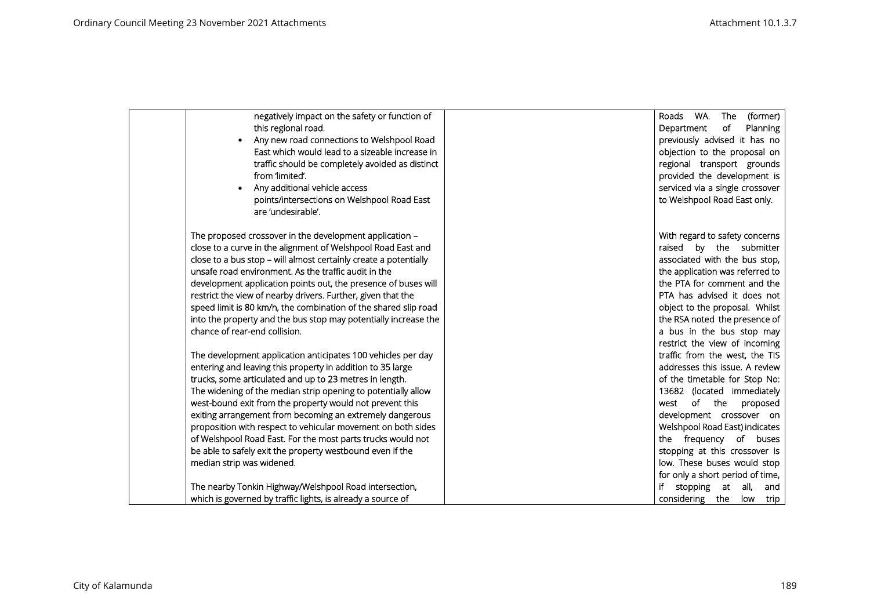| negatively impact on the safety or function of<br>this regional road.<br>Any new road connections to Welshpool Road<br>East which would lead to a sizeable increase in<br>traffic should be completely avoided as distinct<br>from 'limited'.<br>Any additional vehicle access<br>points/intersections on Welshpool Road East<br>are 'undesirable'.                                                                                                                                                                                                                                                     | Roads WA. The<br>(former)<br>Department<br>of<br>Planning<br>previously advised it has no<br>objection to the proposal on<br>regional transport grounds<br>provided the development is<br>serviced via a single crossover<br>to Welshpool Road East only.                                                                                                 |
|---------------------------------------------------------------------------------------------------------------------------------------------------------------------------------------------------------------------------------------------------------------------------------------------------------------------------------------------------------------------------------------------------------------------------------------------------------------------------------------------------------------------------------------------------------------------------------------------------------|-----------------------------------------------------------------------------------------------------------------------------------------------------------------------------------------------------------------------------------------------------------------------------------------------------------------------------------------------------------|
| The proposed crossover in the development application -<br>close to a curve in the alignment of Welshpool Road East and<br>close to a bus stop - will almost certainly create a potentially<br>unsafe road environment. As the traffic audit in the<br>development application points out, the presence of buses will<br>restrict the view of nearby drivers. Further, given that the<br>speed limit is 80 km/h, the combination of the shared slip road<br>into the property and the bus stop may potentially increase the<br>chance of rear-end collision.                                            | With regard to safety concerns<br>raised by the submitter<br>associated with the bus stop,<br>the application was referred to<br>the PTA for comment and the<br>PTA has advised it does not<br>object to the proposal. Whilst<br>the RSA noted the presence of<br>a bus in the bus stop may<br>restrict the view of incoming                              |
| The development application anticipates 100 vehicles per day<br>entering and leaving this property in addition to 35 large<br>trucks, some articulated and up to 23 metres in length.<br>The widening of the median strip opening to potentially allow<br>west-bound exit from the property would not prevent this<br>exiting arrangement from becoming an extremely dangerous<br>proposition with respect to vehicular movement on both sides<br>of Welshpool Road East. For the most parts trucks would not<br>be able to safely exit the property westbound even if the<br>median strip was widened. | traffic from the west, the TIS<br>addresses this issue. A review<br>of the timetable for Stop No:<br>13682 (located immediately<br>of the<br>west<br>proposed<br>development crossover on<br>Welshpool Road East) indicates<br>the frequency of buses<br>stopping at this crossover is<br>low. These buses would stop<br>for only a short period of time, |
| The nearby Tonkin Highway/Welshpool Road intersection,<br>which is governed by traffic lights, is already a source of                                                                                                                                                                                                                                                                                                                                                                                                                                                                                   | stopping at all,<br>and<br>considering the<br>low trip                                                                                                                                                                                                                                                                                                    |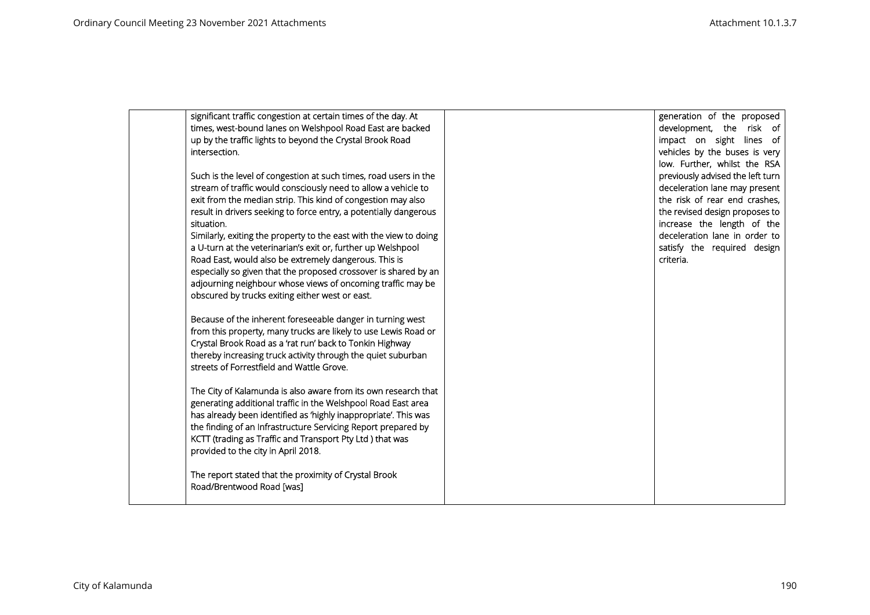| significant traffic congestion at certain times of the day. At     | generation of the proposed       |
|--------------------------------------------------------------------|----------------------------------|
| times, west-bound lanes on Welshpool Road East are backed          | development, the risk of         |
| up by the traffic lights to beyond the Crystal Brook Road          | impact on sight lines of         |
| intersection.                                                      | vehicles by the buses is very    |
|                                                                    | low. Further, whilst the RSA     |
| Such is the level of congestion at such times, road users in the   | previously advised the left turn |
| stream of traffic would consciously need to allow a vehicle to     | deceleration lane may present    |
| exit from the median strip. This kind of congestion may also       | the risk of rear end crashes,    |
| result in drivers seeking to force entry, a potentially dangerous  | the revised design proposes to   |
| situation.                                                         | increase the length of the       |
| Similarly, exiting the property to the east with the view to doing | deceleration lane in order to    |
| a U-turn at the veterinarian's exit or, further up Welshpool       | satisfy the required design      |
| Road East, would also be extremely dangerous. This is              | criteria.                        |
| especially so given that the proposed crossover is shared by an    |                                  |
| adjourning neighbour whose views of oncoming traffic may be        |                                  |
| obscured by trucks exiting either west or east.                    |                                  |
|                                                                    |                                  |
| Because of the inherent foreseeable danger in turning west         |                                  |
| from this property, many trucks are likely to use Lewis Road or    |                                  |
| Crystal Brook Road as a 'rat run' back to Tonkin Highway           |                                  |
| thereby increasing truck activity through the quiet suburban       |                                  |
| streets of Forrestfield and Wattle Grove.                          |                                  |
|                                                                    |                                  |
| The City of Kalamunda is also aware from its own research that     |                                  |
| generating additional traffic in the Welshpool Road East area      |                                  |
| has already been identified as 'highly inappropriate'. This was    |                                  |
| the finding of an Infrastructure Servicing Report prepared by      |                                  |
| KCTT (trading as Traffic and Transport Pty Ltd) that was           |                                  |
| provided to the city in April 2018.                                |                                  |
| The report stated that the proximity of Crystal Brook              |                                  |
| Road/Brentwood Road [was]                                          |                                  |
|                                                                    |                                  |
|                                                                    |                                  |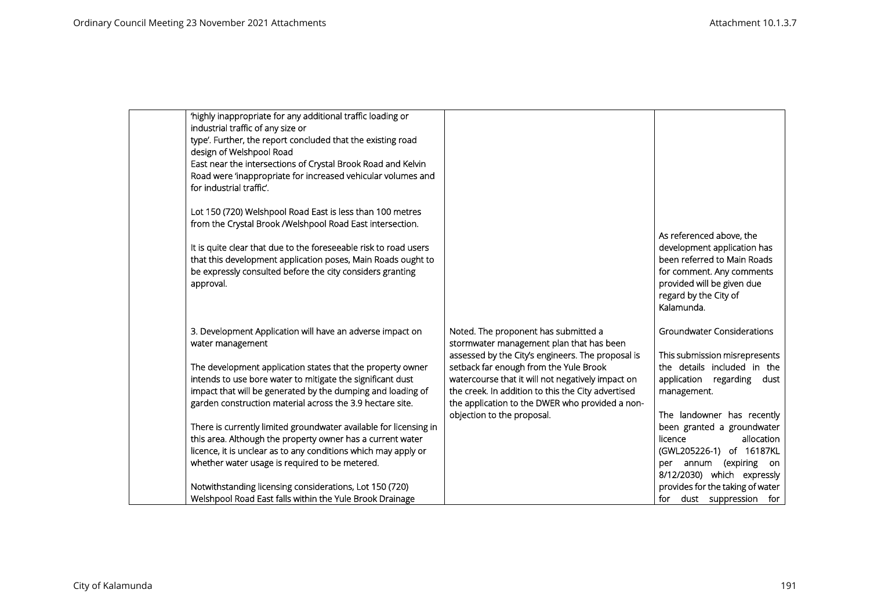| 'highly inappropriate for any additional traffic loading or<br>industrial traffic of any size or<br>type'. Further, the report concluded that the existing road<br>design of Welshpool Road<br>East near the intersections of Crystal Brook Road and Kelvin<br>Road were 'inappropriate for increased vehicular volumes and<br>for industrial traffic'. |                                                                                                                                       |                                                                                                                                                                                          |
|---------------------------------------------------------------------------------------------------------------------------------------------------------------------------------------------------------------------------------------------------------------------------------------------------------------------------------------------------------|---------------------------------------------------------------------------------------------------------------------------------------|------------------------------------------------------------------------------------------------------------------------------------------------------------------------------------------|
| Lot 150 (720) Welshpool Road East is less than 100 metres                                                                                                                                                                                                                                                                                               |                                                                                                                                       |                                                                                                                                                                                          |
| from the Crystal Brook /Welshpool Road East intersection.<br>It is quite clear that due to the foreseeable risk to road users<br>that this development application poses, Main Roads ought to<br>be expressly consulted before the city considers granting<br>approval.                                                                                 |                                                                                                                                       | As referenced above, the<br>development application has<br>been referred to Main Roads<br>for comment. Any comments<br>provided will be given due<br>regard by the City of<br>Kalamunda. |
| 3. Development Application will have an adverse impact on<br>water management                                                                                                                                                                                                                                                                           | Noted. The proponent has submitted a<br>stormwater management plan that has been<br>assessed by the City's engineers. The proposal is | <b>Groundwater Considerations</b><br>This submission misrepresents                                                                                                                       |
| The development application states that the property owner                                                                                                                                                                                                                                                                                              | setback far enough from the Yule Brook                                                                                                | the details included in the                                                                                                                                                              |
| intends to use bore water to mitigate the significant dust                                                                                                                                                                                                                                                                                              | watercourse that it will not negatively impact on                                                                                     | application regarding dust                                                                                                                                                               |
| impact that will be generated by the dumping and loading of                                                                                                                                                                                                                                                                                             | the creek. In addition to this the City advertised                                                                                    | management.                                                                                                                                                                              |
| garden construction material across the 3.9 hectare site.                                                                                                                                                                                                                                                                                               | the application to the DWER who provided a non-<br>objection to the proposal.                                                         | The landowner has recently                                                                                                                                                               |
| There is currently limited groundwater available for licensing in                                                                                                                                                                                                                                                                                       |                                                                                                                                       | been granted a groundwater                                                                                                                                                               |
| this area. Although the property owner has a current water                                                                                                                                                                                                                                                                                              |                                                                                                                                       | licence<br>allocation                                                                                                                                                                    |
| licence, it is unclear as to any conditions which may apply or                                                                                                                                                                                                                                                                                          |                                                                                                                                       | (GWL205226-1) of 16187KL                                                                                                                                                                 |
| whether water usage is required to be metered.                                                                                                                                                                                                                                                                                                          |                                                                                                                                       | per annum (expiring on<br>8/12/2030) which expressly                                                                                                                                     |
| Notwithstanding licensing considerations, Lot 150 (720)                                                                                                                                                                                                                                                                                                 |                                                                                                                                       | provides for the taking of water                                                                                                                                                         |
| Welshpool Road East falls within the Yule Brook Drainage                                                                                                                                                                                                                                                                                                |                                                                                                                                       | for dust suppression for                                                                                                                                                                 |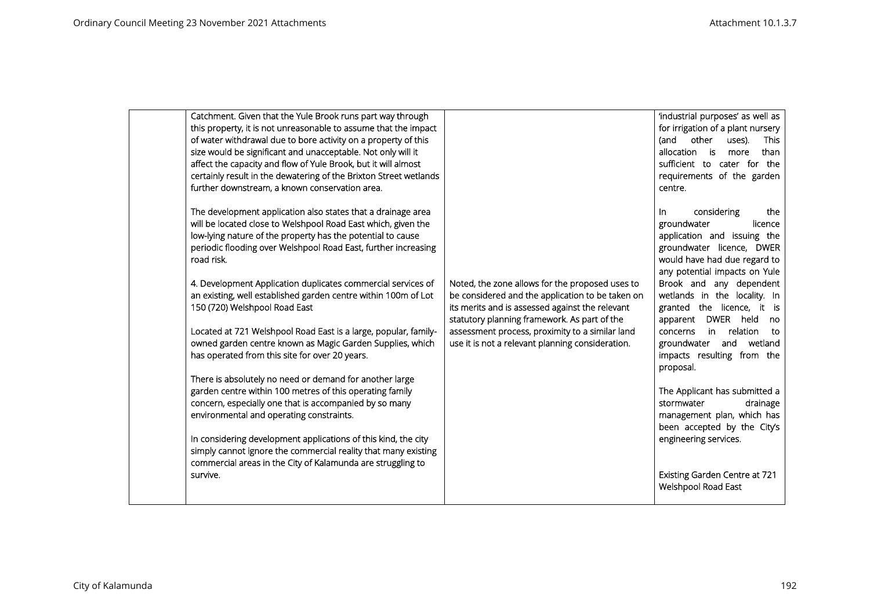| Catchment. Given that the Yule Brook runs part way through<br>this property, it is not unreasonable to assume that the impact<br>of water withdrawal due to bore activity on a property of this<br>size would be significant and unacceptable. Not only will it<br>affect the capacity and flow of Yule Brook, but it will almost<br>certainly result in the dewatering of the Brixton Street wetlands                                                                                                                                                                                                                                                                                                                                                                                                                                                                                                                                                                                                                                                                                                                          |                                                                                                                                                                                                                                                                                                               | 'industrial purposes' as well as<br>for irrigation of a plant nursery<br>(and<br>other<br>uses).<br>This<br>than<br>allocation is<br>more<br>sufficient to cater for<br>the<br>requirements of the garden                                                                                                                                                                                                                                                                                                                                                                                                                                     |
|---------------------------------------------------------------------------------------------------------------------------------------------------------------------------------------------------------------------------------------------------------------------------------------------------------------------------------------------------------------------------------------------------------------------------------------------------------------------------------------------------------------------------------------------------------------------------------------------------------------------------------------------------------------------------------------------------------------------------------------------------------------------------------------------------------------------------------------------------------------------------------------------------------------------------------------------------------------------------------------------------------------------------------------------------------------------------------------------------------------------------------|---------------------------------------------------------------------------------------------------------------------------------------------------------------------------------------------------------------------------------------------------------------------------------------------------------------|-----------------------------------------------------------------------------------------------------------------------------------------------------------------------------------------------------------------------------------------------------------------------------------------------------------------------------------------------------------------------------------------------------------------------------------------------------------------------------------------------------------------------------------------------------------------------------------------------------------------------------------------------|
| further downstream, a known conservation area.<br>The development application also states that a drainage area<br>will be located close to Welshpool Road East which, given the<br>low-lying nature of the property has the potential to cause<br>periodic flooding over Welshpool Road East, further increasing<br>road risk.<br>4. Development Application duplicates commercial services of<br>an existing, well established garden centre within 100m of Lot<br>150 (720) Welshpool Road East<br>Located at 721 Welshpool Road East is a large, popular, family-<br>owned garden centre known as Magic Garden Supplies, which<br>has operated from this site for over 20 years.<br>There is absolutely no need or demand for another large<br>garden centre within 100 metres of this operating family<br>concern, especially one that is accompanied by so many<br>environmental and operating constraints.<br>In considering development applications of this kind, the city<br>simply cannot ignore the commercial reality that many existing<br>commercial areas in the City of Kalamunda are struggling to<br>survive. | Noted, the zone allows for the proposed uses to<br>be considered and the application to be taken on<br>its merits and is assessed against the relevant<br>statutory planning framework. As part of the<br>assessment process, proximity to a similar land<br>use it is not a relevant planning consideration. | centre.<br>considering<br>the<br>In.<br>groundwater<br>licence<br>application and issuing the<br>groundwater licence, DWER<br>would have had due regard to<br>any potential impacts on Yule<br>Brook and any dependent<br>wetlands in the locality. In<br>granted the licence, it is<br>DWER held<br>apparent<br>no<br>relation<br>in.<br>concerns<br>to<br>groundwater<br>and<br>wetland<br>impacts resulting from the<br>proposal.<br>The Applicant has submitted a<br>drainage<br>stormwater<br>management plan, which has<br>been accepted by the City's<br>engineering services.<br>Existing Garden Centre at 721<br>Welshpool Road East |
|                                                                                                                                                                                                                                                                                                                                                                                                                                                                                                                                                                                                                                                                                                                                                                                                                                                                                                                                                                                                                                                                                                                                 |                                                                                                                                                                                                                                                                                                               |                                                                                                                                                                                                                                                                                                                                                                                                                                                                                                                                                                                                                                               |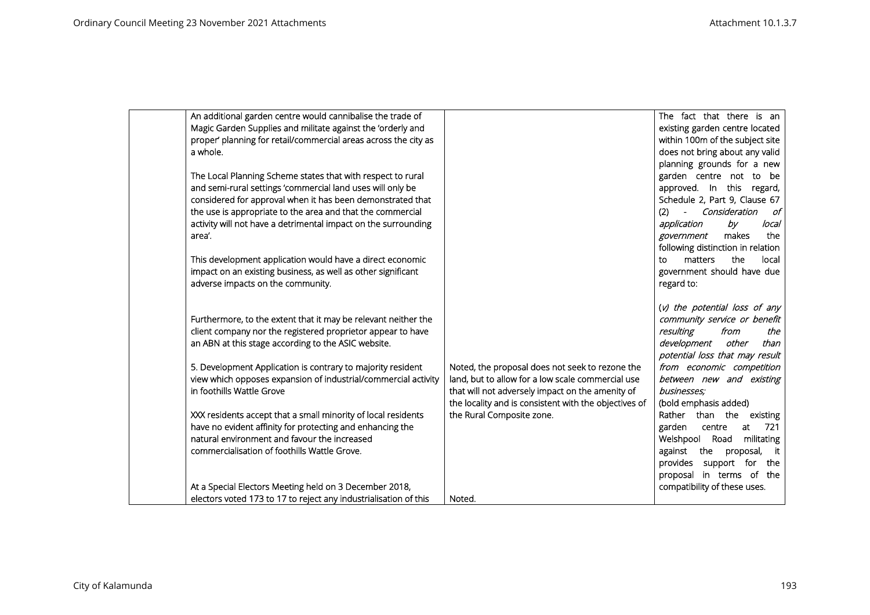| An additional garden centre would cannibalise the trade of       |                                                       | The fact that there is an         |
|------------------------------------------------------------------|-------------------------------------------------------|-----------------------------------|
| Magic Garden Supplies and militate against the 'orderly and      |                                                       | existing garden centre located    |
| proper' planning for retail/commercial areas across the city as  |                                                       | within 100m of the subject site   |
| a whole.                                                         |                                                       | does not bring about any valid    |
|                                                                  |                                                       | planning grounds for a new        |
| The Local Planning Scheme states that with respect to rural      |                                                       | garden centre not to be           |
| and semi-rural settings 'commercial land uses will only be       |                                                       | approved. In this regard,         |
| considered for approval when it has been demonstrated that       |                                                       | Schedule 2, Part 9, Clause 67     |
| the use is appropriate to the area and that the commercial       |                                                       | - Consideration<br>of<br>(2)      |
| activity will not have a detrimental impact on the surrounding   |                                                       | application<br>by<br>local        |
| area'.                                                           |                                                       | makes<br>the<br>government        |
|                                                                  |                                                       | following distinction in relation |
| This development application would have a direct economic        |                                                       | the<br>matters<br>local<br>to     |
| impact on an existing business, as well as other significant     |                                                       | government should have due        |
| adverse impacts on the community.                                |                                                       | regard to:                        |
|                                                                  |                                                       |                                   |
|                                                                  |                                                       | (v) the potential loss of any     |
| Furthermore, to the extent that it may be relevant neither the   |                                                       | community service or benefit      |
| client company nor the registered proprietor appear to have      |                                                       | resulting<br>from<br>the          |
| an ABN at this stage according to the ASIC website.              |                                                       | development<br>other<br>than      |
|                                                                  |                                                       | potential loss that may result    |
| 5. Development Application is contrary to majority resident      | Noted, the proposal does not seek to rezone the       | from economic competition         |
| view which opposes expansion of industrial/commercial activity   | land, but to allow for a low scale commercial use     | between new and existing          |
| in foothills Wattle Grove                                        | that will not adversely impact on the amenity of      | businesses;                       |
|                                                                  | the locality and is consistent with the objectives of | (bold emphasis added)             |
| XXX residents accept that a small minority of local residents    | the Rural Composite zone.                             | Rather than the existing          |
| have no evident affinity for protecting and enhancing the        |                                                       | garden<br>at<br>721<br>centre     |
| natural environment and favour the increased                     |                                                       | Welshpool<br>Road<br>militating   |
| commercialisation of foothills Wattle Grove.                     |                                                       | against the proposal, it          |
|                                                                  |                                                       | provides<br>support for the       |
|                                                                  |                                                       | proposal in terms of the          |
| At a Special Electors Meeting held on 3 December 2018,           |                                                       | compatibility of these uses.      |
| electors voted 173 to 17 to reject any industrialisation of this | Noted.                                                |                                   |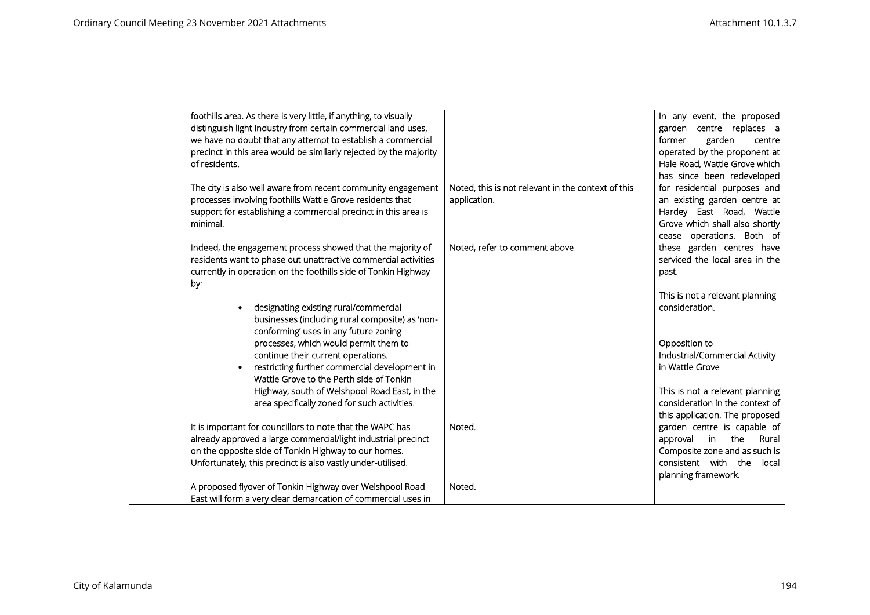| foothills area. As there is very little, if anything, to visually                         |                                                    | In any event, the proposed                        |
|-------------------------------------------------------------------------------------------|----------------------------------------------------|---------------------------------------------------|
| distinguish light industry from certain commercial land uses,                             |                                                    | garden centre replaces a                          |
| we have no doubt that any attempt to establish a commercial                               |                                                    | garden<br>former<br>centre                        |
| precinct in this area would be similarly rejected by the majority                         |                                                    | operated by the proponent at                      |
| of residents.                                                                             |                                                    | Hale Road, Wattle Grove which                     |
|                                                                                           |                                                    | has since been redeveloped                        |
| The city is also well aware from recent community engagement                              | Noted, this is not relevant in the context of this | for residential purposes and                      |
| processes involving foothills Wattle Grove residents that                                 | application.                                       | an existing garden centre at                      |
| support for establishing a commercial precinct in this area is                            |                                                    | Hardey East Road, Wattle                          |
| minimal.                                                                                  |                                                    | Grove which shall also shortly                    |
|                                                                                           |                                                    | cease operations. Both of                         |
| Indeed, the engagement process showed that the majority of                                | Noted, refer to comment above.                     | these garden centres have                         |
| residents want to phase out unattractive commercial activities                            |                                                    | serviced the local area in the                    |
| currently in operation on the foothills side of Tonkin Highway                            |                                                    | past.                                             |
| by:                                                                                       |                                                    |                                                   |
|                                                                                           |                                                    | This is not a relevant planning                   |
| designating existing rural/commercial                                                     |                                                    | consideration.                                    |
| businesses (including rural composite) as 'non-                                           |                                                    |                                                   |
| conforming' uses in any future zoning                                                     |                                                    |                                                   |
| processes, which would permit them to                                                     |                                                    | Opposition to                                     |
| continue their current operations.                                                        |                                                    | Industrial/Commercial Activity<br>in Wattle Grove |
| restricting further commercial development in<br>Wattle Grove to the Perth side of Tonkin |                                                    |                                                   |
| Highway, south of Welshpool Road East, in the                                             |                                                    | This is not a relevant planning                   |
| area specifically zoned for such activities.                                              |                                                    | consideration in the context of                   |
|                                                                                           |                                                    | this application. The proposed                    |
| It is important for councillors to note that the WAPC has                                 | Noted.                                             | garden centre is capable of                       |
| already approved a large commercial/light industrial precinct                             |                                                    | in<br>the<br>Rural<br>approval                    |
| on the opposite side of Tonkin Highway to our homes.                                      |                                                    | Composite zone and as such is                     |
| Unfortunately, this precinct is also vastly under-utilised.                               |                                                    | consistent with the<br>local                      |
|                                                                                           |                                                    | planning framework.                               |
| A proposed flyover of Tonkin Highway over Welshpool Road                                  | Noted.                                             |                                                   |
| East will form a very clear demarcation of commercial uses in                             |                                                    |                                                   |
|                                                                                           |                                                    |                                                   |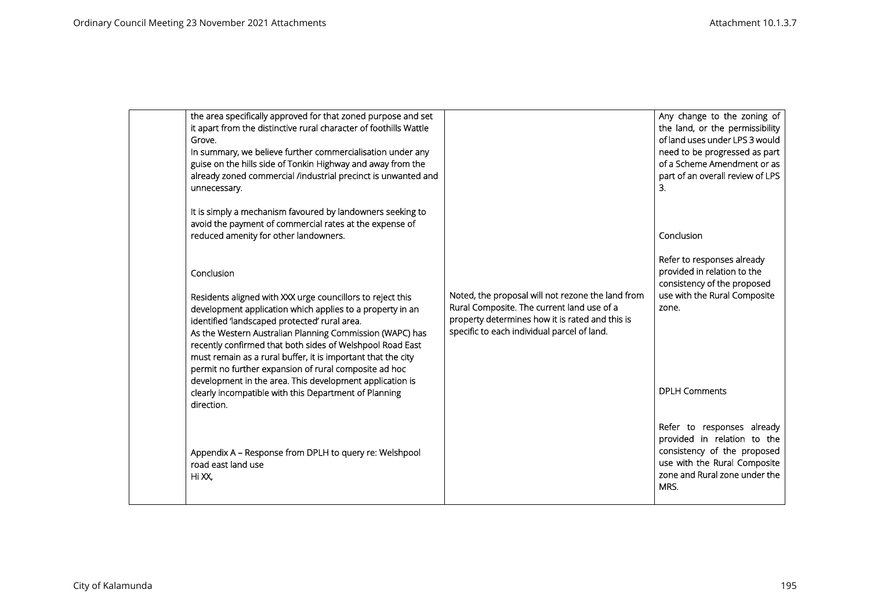| the area specifically approved for that zoned purpose and set<br>it apart from the distinctive rural character of foothills Wattle<br>Grove.<br>In summary, we believe further commercialisation under any<br>guise on the hills side of Tonkin Highway and away from the<br>already zoned commercial /industrial precinct is unwanted and<br>unnecessary.                                                                                                                                           |                                                                                                                                                                                                   | Any change to the zoning of<br>the land, or the permissibility<br>of land uses under LPS 3 would<br>need to be progressed as part<br>of a Scheme Amendment or as<br>part of an overall review of LPS<br>3. |
|------------------------------------------------------------------------------------------------------------------------------------------------------------------------------------------------------------------------------------------------------------------------------------------------------------------------------------------------------------------------------------------------------------------------------------------------------------------------------------------------------|---------------------------------------------------------------------------------------------------------------------------------------------------------------------------------------------------|------------------------------------------------------------------------------------------------------------------------------------------------------------------------------------------------------------|
| It is simply a mechanism favoured by landowners seeking to<br>avoid the payment of commercial rates at the expense of<br>reduced amenity for other landowners.                                                                                                                                                                                                                                                                                                                                       |                                                                                                                                                                                                   | Conclusion                                                                                                                                                                                                 |
| Conclusion<br>Residents aligned with XXX urge councillors to reject this<br>development application which applies to a property in an<br>identified 'landscaped protected' rural area.<br>As the Western Australian Planning Commission (WAPC) has<br>recently confirmed that both sides of Welshpool Road East<br>must remain as a rural buffer, it is important that the city<br>permit no further expansion of rural composite ad hoc<br>development in the area. This development application is | Noted, the proposal will not rezone the land from<br>Rural Composite. The current land use of a<br>property determines how it is rated and this is<br>specific to each individual parcel of land. | Refer to responses already<br>provided in relation to the<br>consistency of the proposed<br>use with the Rural Composite<br>zone.                                                                          |
| clearly incompatible with this Department of Planning<br>direction.                                                                                                                                                                                                                                                                                                                                                                                                                                  |                                                                                                                                                                                                   | <b>DPLH Comments</b>                                                                                                                                                                                       |
| Appendix A - Response from DPLH to query re: Welshpool<br>road east land use<br>Hi XX,                                                                                                                                                                                                                                                                                                                                                                                                               |                                                                                                                                                                                                   | Refer to responses already<br>provided in relation to the<br>consistency of the proposed<br>use with the Rural Composite<br>zone and Rural zone under the<br>MRS.                                          |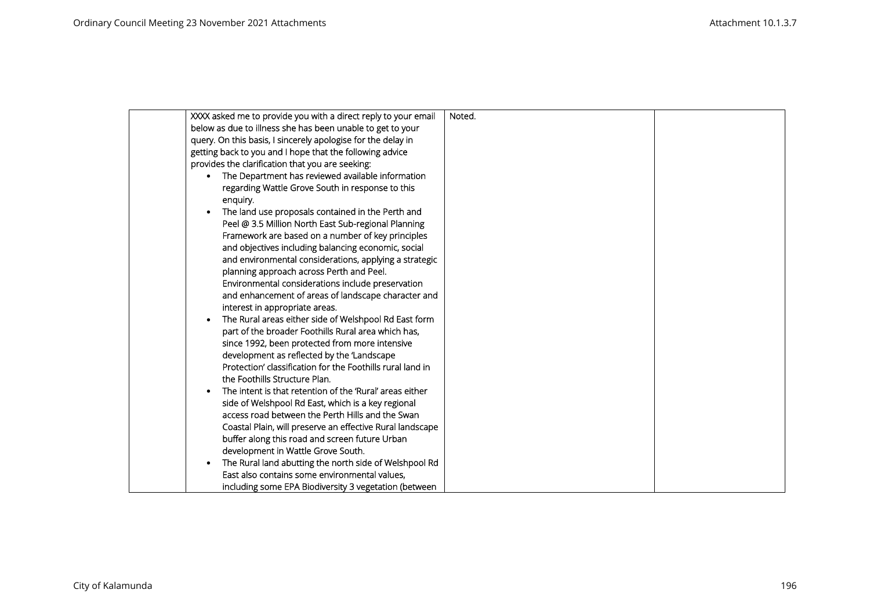| XXXX asked me to provide you with a direct reply to your email | Noted. |  |
|----------------------------------------------------------------|--------|--|
| below as due to illness she has been unable to get to your     |        |  |
| query. On this basis, I sincerely apologise for the delay in   |        |  |
| getting back to you and I hope that the following advice       |        |  |
| provides the clarification that you are seeking:               |        |  |
| The Department has reviewed available information              |        |  |
| regarding Wattle Grove South in response to this               |        |  |
| enquiry.                                                       |        |  |
| The land use proposals contained in the Perth and              |        |  |
| Peel @ 3.5 Million North East Sub-regional Planning            |        |  |
| Framework are based on a number of key principles              |        |  |
| and objectives including balancing economic, social            |        |  |
| and environmental considerations, applying a strategic         |        |  |
| planning approach across Perth and Peel.                       |        |  |
| Environmental considerations include preservation              |        |  |
| and enhancement of areas of landscape character and            |        |  |
| interest in appropriate areas.                                 |        |  |
| The Rural areas either side of Welshpool Rd East form          |        |  |
| part of the broader Foothills Rural area which has,            |        |  |
| since 1992, been protected from more intensive                 |        |  |
| development as reflected by the 'Landscape                     |        |  |
| Protection' classification for the Foothills rural land in     |        |  |
| the Foothills Structure Plan.                                  |        |  |
| The intent is that retention of the 'Rural' areas either       |        |  |
| side of Welshpool Rd East, which is a key regional             |        |  |
| access road between the Perth Hills and the Swan               |        |  |
| Coastal Plain, will preserve an effective Rural landscape      |        |  |
| buffer along this road and screen future Urban                 |        |  |
| development in Wattle Grove South.                             |        |  |
| The Rural land abutting the north side of Welshpool Rd         |        |  |
| East also contains some environmental values.                  |        |  |
| including some EPA Biodiversity 3 vegetation (between          |        |  |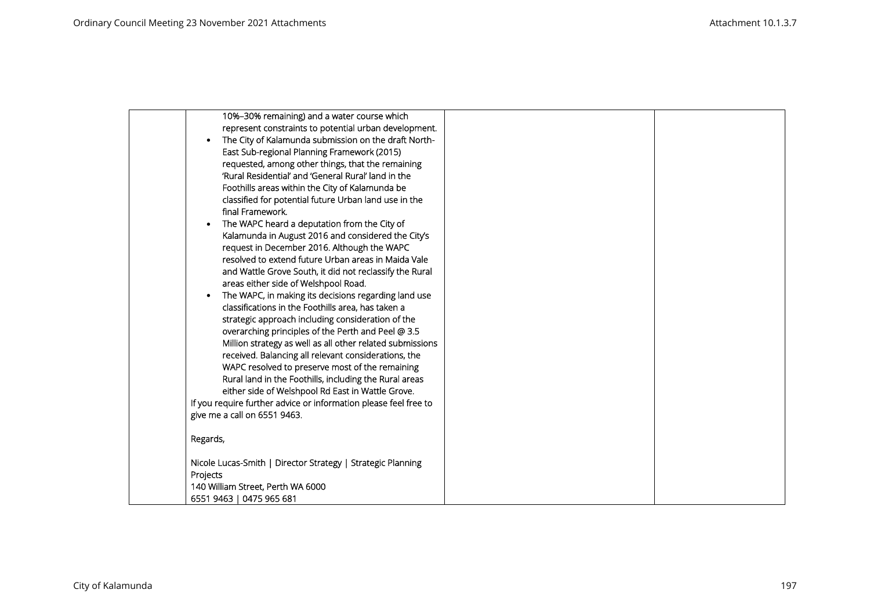| 10%-30% remaining) and a water course which                      |  |
|------------------------------------------------------------------|--|
| represent constraints to potential urban development.            |  |
| The City of Kalamunda submission on the draft North-             |  |
| East Sub-regional Planning Framework (2015)                      |  |
| requested, among other things, that the remaining                |  |
| 'Rural Residential' and 'General Rural' land in the              |  |
| Foothills areas within the City of Kalamunda be                  |  |
| classified for potential future Urban land use in the            |  |
| final Framework.                                                 |  |
| The WAPC heard a deputation from the City of                     |  |
| Kalamunda in August 2016 and considered the City's               |  |
| request in December 2016. Although the WAPC                      |  |
| resolved to extend future Urban areas in Maida Vale              |  |
| and Wattle Grove South, it did not reclassify the Rural          |  |
| areas either side of Welshpool Road.                             |  |
| The WAPC, in making its decisions regarding land use             |  |
| classifications in the Foothills area, has taken a               |  |
| strategic approach including consideration of the                |  |
| overarching principles of the Perth and Peel @ 3.5               |  |
| Million strategy as well as all other related submissions        |  |
| received. Balancing all relevant considerations, the             |  |
| WAPC resolved to preserve most of the remaining                  |  |
| Rural land in the Foothills, including the Rural areas           |  |
| either side of Welshpool Rd East in Wattle Grove.                |  |
| If you require further advice or information please feel free to |  |
| give me a call on 6551 9463.                                     |  |
| Regards,                                                         |  |
|                                                                  |  |
| Nicole Lucas-Smith   Director Strategy   Strategic Planning      |  |
| Projects                                                         |  |
| 140 William Street, Perth WA 6000                                |  |
| 6551 9463   0475 965 681                                         |  |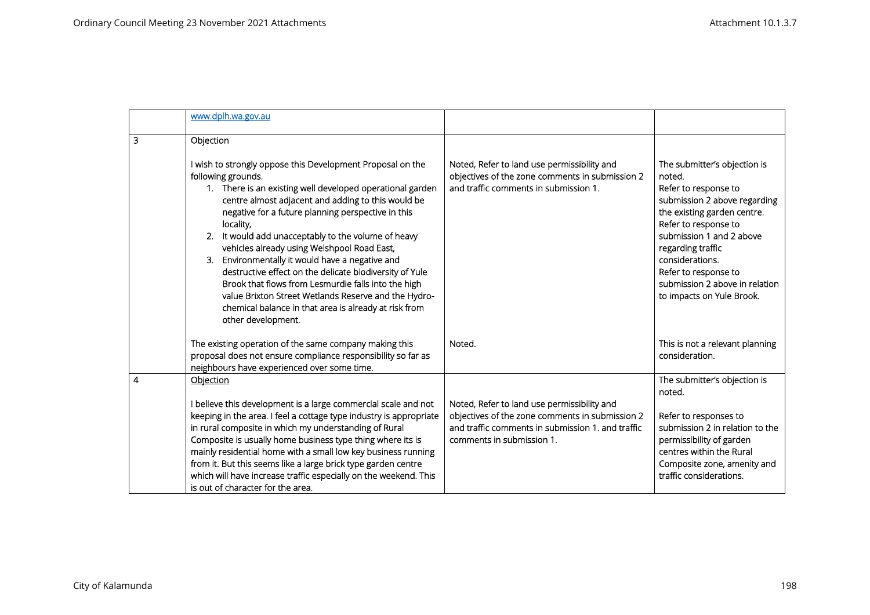|   | www.dplh.wa.gov.au                                                                                                                                                                                                                                                                                                                                                                                                                                                                                                                                                                                                                                                                             |                                                                                                                                                                                  |                                                                                                                                                                                                                                                                                                                  |
|---|------------------------------------------------------------------------------------------------------------------------------------------------------------------------------------------------------------------------------------------------------------------------------------------------------------------------------------------------------------------------------------------------------------------------------------------------------------------------------------------------------------------------------------------------------------------------------------------------------------------------------------------------------------------------------------------------|----------------------------------------------------------------------------------------------------------------------------------------------------------------------------------|------------------------------------------------------------------------------------------------------------------------------------------------------------------------------------------------------------------------------------------------------------------------------------------------------------------|
| 3 | Objection                                                                                                                                                                                                                                                                                                                                                                                                                                                                                                                                                                                                                                                                                      |                                                                                                                                                                                  |                                                                                                                                                                                                                                                                                                                  |
|   | I wish to strongly oppose this Development Proposal on the<br>following grounds.<br>1. There is an existing well developed operational garden<br>centre almost adjacent and adding to this would be<br>negative for a future planning perspective in this<br>locality,<br>It would add unacceptably to the volume of heavy<br>2.<br>vehicles already using Welshpool Road East,<br>Environmentally it would have a negative and<br>3.<br>destructive effect on the delicate biodiversity of Yule<br>Brook that flows from Lesmurdie falls into the high<br>value Brixton Street Wetlands Reserve and the Hydro-<br>chemical balance in that area is already at risk from<br>other development. | Noted, Refer to land use permissibility and<br>objectives of the zone comments in submission 2<br>and traffic comments in submission 1.                                          | The submitter's objection is<br>noted.<br>Refer to response to<br>submission 2 above regarding<br>the existing garden centre.<br>Refer to response to<br>submission 1 and 2 above<br>regarding traffic<br>considerations.<br>Refer to response to<br>submission 2 above in relation<br>to impacts on Yule Brook. |
|   | The existing operation of the same company making this<br>proposal does not ensure compliance responsibility so far as<br>neighbours have experienced over some time.                                                                                                                                                                                                                                                                                                                                                                                                                                                                                                                          | Noted.                                                                                                                                                                           | This is not a relevant planning<br>consideration.                                                                                                                                                                                                                                                                |
| 4 | Objection<br>I believe this development is a large commercial scale and not<br>keeping in the area. I feel a cottage type industry is appropriate<br>in rural composite in which my understanding of Rural<br>Composite is usually home business type thing where its is<br>mainly residential home with a small low key business running<br>from it. But this seems like a large brick type garden centre<br>which will have increase traffic especially on the weekend. This<br>is out of character for the area.                                                                                                                                                                            | Noted, Refer to land use permissibility and<br>objectives of the zone comments in submission 2<br>and traffic comments in submission 1, and traffic<br>comments in submission 1. | The submitter's objection is<br>noted.<br>Refer to responses to<br>submission 2 in relation to the<br>permissibility of garden<br>centres within the Rural<br>Composite zone, amenity and<br>traffic considerations.                                                                                             |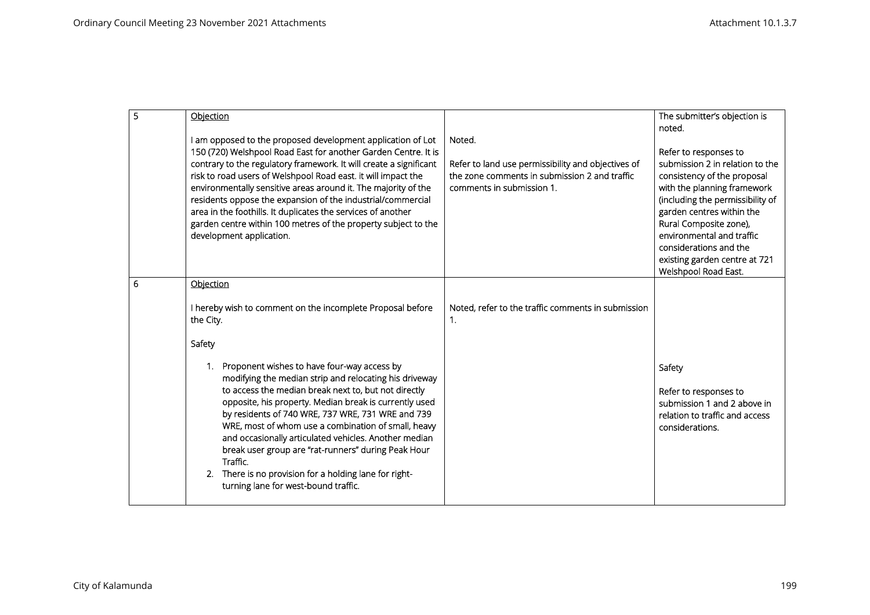| 5 | Objection                                                                                                                                                                                                                                                                                                                                                                                                                                                                                                                                                                              |                                                                                                                                            | The submitter's objection is<br>noted.                                                                                                                                                                                                                                                                                            |
|---|----------------------------------------------------------------------------------------------------------------------------------------------------------------------------------------------------------------------------------------------------------------------------------------------------------------------------------------------------------------------------------------------------------------------------------------------------------------------------------------------------------------------------------------------------------------------------------------|--------------------------------------------------------------------------------------------------------------------------------------------|-----------------------------------------------------------------------------------------------------------------------------------------------------------------------------------------------------------------------------------------------------------------------------------------------------------------------------------|
|   | I am opposed to the proposed development application of Lot<br>150 (720) Welshpool Road East for another Garden Centre. It is<br>contrary to the regulatory framework. It will create a significant<br>risk to road users of Welshpool Road east. it will impact the<br>environmentally sensitive areas around it. The majority of the<br>residents oppose the expansion of the industrial/commercial<br>area in the foothills. It duplicates the services of another<br>garden centre within 100 metres of the property subject to the<br>development application.                    | Noted.<br>Refer to land use permissibility and objectives of<br>the zone comments in submission 2 and traffic<br>comments in submission 1. | Refer to responses to<br>submission 2 in relation to the<br>consistency of the proposal<br>with the planning framework<br>(including the permissibility of<br>garden centres within the<br>Rural Composite zone),<br>environmental and traffic<br>considerations and the<br>existing garden centre at 721<br>Welshpool Road East. |
| 6 | Objection                                                                                                                                                                                                                                                                                                                                                                                                                                                                                                                                                                              |                                                                                                                                            |                                                                                                                                                                                                                                                                                                                                   |
|   | I hereby wish to comment on the incomplete Proposal before<br>the City.                                                                                                                                                                                                                                                                                                                                                                                                                                                                                                                | Noted, refer to the traffic comments in submission<br>1.                                                                                   |                                                                                                                                                                                                                                                                                                                                   |
|   | Safety                                                                                                                                                                                                                                                                                                                                                                                                                                                                                                                                                                                 |                                                                                                                                            |                                                                                                                                                                                                                                                                                                                                   |
|   | Proponent wishes to have four-way access by<br>$\mathbf{1}$ .<br>modifying the median strip and relocating his driveway<br>to access the median break next to, but not directly<br>opposite, his property. Median break is currently used<br>by residents of 740 WRE, 737 WRE, 731 WRE and 739<br>WRE, most of whom use a combination of small, heavy<br>and occasionally articulated vehicles. Another median<br>break user group are "rat-runners" during Peak Hour<br>Traffic.<br>There is no provision for a holding lane for right-<br>2.<br>turning lane for west-bound traffic. |                                                                                                                                            | Safety<br>Refer to responses to<br>submission 1 and 2 above in<br>relation to traffic and access<br>considerations.                                                                                                                                                                                                               |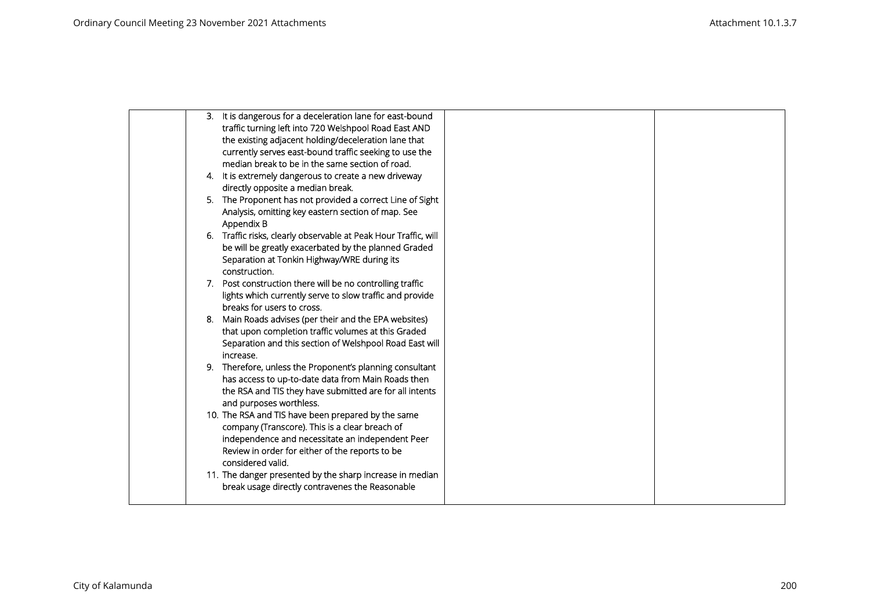|     | 3. It is dangerous for a deceleration lane for east-bound       |  |
|-----|-----------------------------------------------------------------|--|
|     | traffic turning left into 720 Welshpool Road East AND           |  |
|     | the existing adjacent holding/deceleration lane that            |  |
|     | currently serves east-bound traffic seeking to use the          |  |
|     | median break to be in the same section of road.                 |  |
|     | 4. It is extremely dangerous to create a new driveway           |  |
|     | directly opposite a median break.                               |  |
|     | 5. The Proponent has not provided a correct Line of Sight       |  |
|     | Analysis, omitting key eastern section of map. See              |  |
|     | Appendix B                                                      |  |
|     | 6. Traffic risks, clearly observable at Peak Hour Traffic, will |  |
|     | be will be greatly exacerbated by the planned Graded            |  |
|     | Separation at Tonkin Highway/WRE during its                     |  |
|     | construction.                                                   |  |
|     | 7. Post construction there will be no controlling traffic       |  |
|     | lights which currently serve to slow traffic and provide        |  |
|     | breaks for users to cross.                                      |  |
| -8. | Main Roads advises (per their and the EPA websites)             |  |
|     | that upon completion traffic volumes at this Graded             |  |
|     | Separation and this section of Welshpool Road East will         |  |
|     | increase.                                                       |  |
|     | 9. Therefore, unless the Proponent's planning consultant        |  |
|     | has access to up-to-date data from Main Roads then              |  |
|     | the RSA and TIS they have submitted are for all intents         |  |
|     | and purposes worthless.                                         |  |
|     | 10. The RSA and TIS have been prepared by the same              |  |
|     | company (Transcore). This is a clear breach of                  |  |
|     | independence and necessitate an independent Peer                |  |
|     | Review in order for either of the reports to be                 |  |
|     | considered valid.                                               |  |
|     | 11. The danger presented by the sharp increase in median        |  |
|     | break usage directly contravenes the Reasonable                 |  |
|     |                                                                 |  |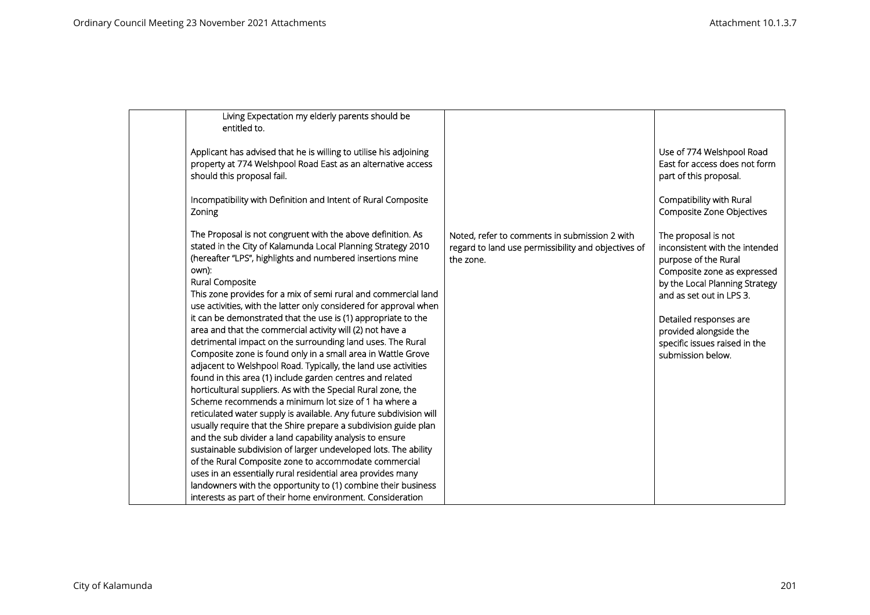| Living Expectation my elderly parents should be<br>entitled to.                                                                                                                                                                                                                                                                                                                                                                                                                                                                                                                                                                                                                                                                                                                                                                                                                                                                                                                                                                                                                                                                                                                                                 |                                                                                                                   |                                                                                                                                                                                                                                                                                      |
|-----------------------------------------------------------------------------------------------------------------------------------------------------------------------------------------------------------------------------------------------------------------------------------------------------------------------------------------------------------------------------------------------------------------------------------------------------------------------------------------------------------------------------------------------------------------------------------------------------------------------------------------------------------------------------------------------------------------------------------------------------------------------------------------------------------------------------------------------------------------------------------------------------------------------------------------------------------------------------------------------------------------------------------------------------------------------------------------------------------------------------------------------------------------------------------------------------------------|-------------------------------------------------------------------------------------------------------------------|--------------------------------------------------------------------------------------------------------------------------------------------------------------------------------------------------------------------------------------------------------------------------------------|
| Applicant has advised that he is willing to utilise his adjoining<br>property at 774 Welshpool Road East as an alternative access<br>should this proposal fail.                                                                                                                                                                                                                                                                                                                                                                                                                                                                                                                                                                                                                                                                                                                                                                                                                                                                                                                                                                                                                                                 |                                                                                                                   | Use of 774 Welshpool Road<br>East for access does not form<br>part of this proposal.                                                                                                                                                                                                 |
| Incompatibility with Definition and Intent of Rural Composite<br>Zoning                                                                                                                                                                                                                                                                                                                                                                                                                                                                                                                                                                                                                                                                                                                                                                                                                                                                                                                                                                                                                                                                                                                                         |                                                                                                                   | Compatibility with Rural<br>Composite Zone Objectives                                                                                                                                                                                                                                |
| The Proposal is not congruent with the above definition. As<br>stated in the City of Kalamunda Local Planning Strategy 2010<br>(hereafter "LPS", highlights and numbered insertions mine<br>own):<br>Rural Composite<br>This zone provides for a mix of semi rural and commercial land<br>use activities, with the latter only considered for approval when<br>it can be demonstrated that the use is (1) appropriate to the<br>area and that the commercial activity will (2) not have a<br>detrimental impact on the surrounding land uses. The Rural<br>Composite zone is found only in a small area in Wattle Grove<br>adjacent to Welshpool Road. Typically, the land use activities<br>found in this area (1) include garden centres and related<br>horticultural suppliers. As with the Special Rural zone, the<br>Scheme recommends a minimum lot size of 1 ha where a<br>reticulated water supply is available. Any future subdivision will<br>usually require that the Shire prepare a subdivision guide plan<br>and the sub divider a land capability analysis to ensure<br>sustainable subdivision of larger undeveloped lots. The ability<br>of the Rural Composite zone to accommodate commercial | Noted, refer to comments in submission 2 with<br>regard to land use permissibility and objectives of<br>the zone. | The proposal is not<br>inconsistent with the intended<br>purpose of the Rural<br>Composite zone as expressed<br>by the Local Planning Strategy<br>and as set out in LPS 3.<br>Detailed responses are<br>provided alongside the<br>specific issues raised in the<br>submission below. |
| uses in an essentially rural residential area provides many<br>landowners with the opportunity to (1) combine their business<br>interests as part of their home environment. Consideration                                                                                                                                                                                                                                                                                                                                                                                                                                                                                                                                                                                                                                                                                                                                                                                                                                                                                                                                                                                                                      |                                                                                                                   |                                                                                                                                                                                                                                                                                      |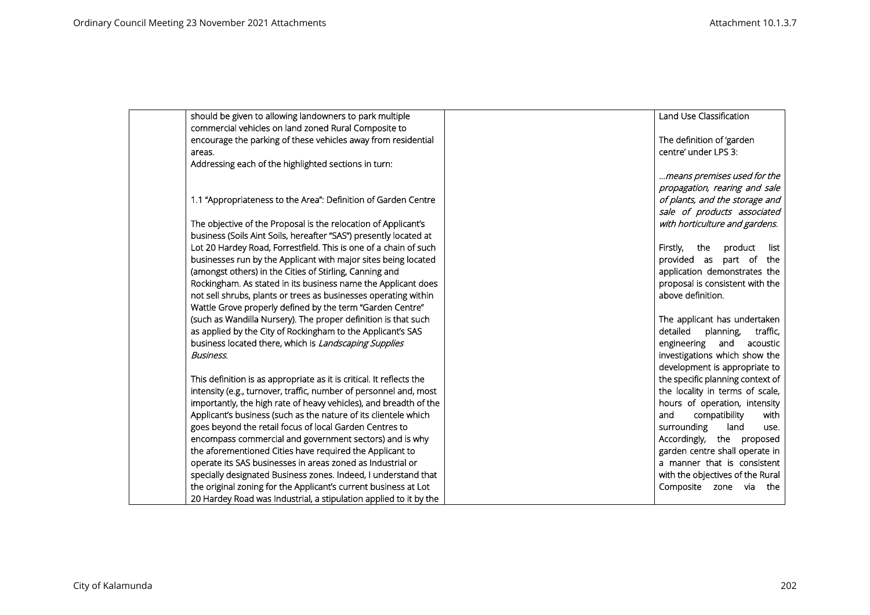| should be given to allowing landowners to park multiple              | Land Use Classification            |
|----------------------------------------------------------------------|------------------------------------|
| commercial vehicles on land zoned Rural Composite to                 |                                    |
| encourage the parking of these vehicles away from residential        | The definition of 'garden          |
| areas.                                                               | centre' under LPS 3:               |
| Addressing each of the highlighted sections in turn:                 |                                    |
|                                                                      | means premises used for the        |
|                                                                      | propagation, rearing and sale      |
| 1.1 "Appropriateness to the Area": Definition of Garden Centre       | of plants, and the storage and     |
|                                                                      | sale of products associated        |
| The objective of the Proposal is the relocation of Applicant's       | with horticulture and gardens.     |
| business (Soils Aint Soils, hereafter "SAS") presently located at    |                                    |
| Lot 20 Hardey Road, Forrestfield. This is one of a chain of such     | product<br>list<br>Firstly,<br>the |
| businesses run by the Applicant with major sites being located       | provided as<br>part of the         |
| (amongst others) in the Cities of Stirling, Canning and              | application demonstrates the       |
| Rockingham. As stated in its business name the Applicant does        | proposal is consistent with the    |
| not sell shrubs, plants or trees as businesses operating within      | above definition.                  |
| Wattle Grove properly defined by the term "Garden Centre"            |                                    |
| (such as Wandilla Nursery). The proper definition is that such       | The applicant has undertaken       |
| as applied by the City of Rockingham to the Applicant's SAS          | detailed<br>planning,<br>traffic,  |
| business located there, which is Landscaping Supplies                | engineering<br>and<br>acoustic     |
| Business.                                                            | investigations which show the      |
|                                                                      | development is appropriate to      |
| This definition is as appropriate as it is critical. It reflects the | the specific planning context of   |
| intensity (e.g., turnover, traffic, number of personnel and, most    | the locality in terms of scale,    |
| importantly, the high rate of heavy vehicles), and breadth of the    | hours of operation, intensity      |
| Applicant's business (such as the nature of its clientele which      | and<br>compatibility<br>with       |
| goes beyond the retail focus of local Garden Centres to              | surrounding<br>land<br>use.        |
| encompass commercial and government sectors) and is why              | Accordingly, the proposed          |
| the aforementioned Cities have required the Applicant to             | garden centre shall operate in     |
| operate its SAS businesses in areas zoned as Industrial or           | a manner that is consistent        |
| specially designated Business zones. Indeed, I understand that       | with the objectives of the Rural   |
| the original zoning for the Applicant's current business at Lot      | Composite zone via the             |
| 20 Hardey Road was Industrial, a stipulation applied to it by the    |                                    |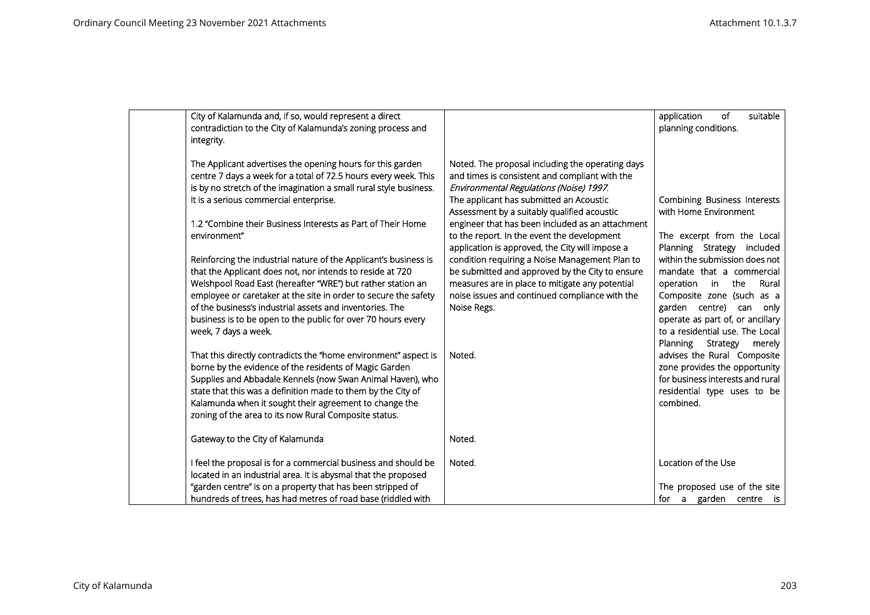| City of Kalamunda and, if so, would represent a direct<br>contradiction to the City of Kalamunda's zoning process and<br>integrity.                                                                                                                                                                                                                                                                                                                                                                                                                                                                                                                        |                                                                                                                                                                                                                                                                                                                                                                                                                                                                                                                                                                                                                        | <b>of</b><br>suitable<br>application<br>planning conditions.                                                                                                                                                                                                                   |
|------------------------------------------------------------------------------------------------------------------------------------------------------------------------------------------------------------------------------------------------------------------------------------------------------------------------------------------------------------------------------------------------------------------------------------------------------------------------------------------------------------------------------------------------------------------------------------------------------------------------------------------------------------|------------------------------------------------------------------------------------------------------------------------------------------------------------------------------------------------------------------------------------------------------------------------------------------------------------------------------------------------------------------------------------------------------------------------------------------------------------------------------------------------------------------------------------------------------------------------------------------------------------------------|--------------------------------------------------------------------------------------------------------------------------------------------------------------------------------------------------------------------------------------------------------------------------------|
| The Applicant advertises the opening hours for this garden<br>centre 7 days a week for a total of 72.5 hours every week. This<br>is by no stretch of the imagination a small rural style business.<br>It is a serious commercial enterprise.<br>1.2 "Combine their Business Interests as Part of Their Home<br>environment"<br>Reinforcing the industrial nature of the Applicant's business is<br>that the Applicant does not, nor intends to reside at 720<br>Welshpool Road East (hereafter "WRE") but rather station an<br>employee or caretaker at the site in order to secure the safety<br>of the business's industrial assets and inventories. The | Noted. The proposal including the operating days<br>and times is consistent and compliant with the<br>Environmental Regulations (Noise) 1997.<br>The applicant has submitted an Acoustic<br>Assessment by a suitably qualified acoustic<br>engineer that has been included as an attachment<br>to the report. In the event the development<br>application is approved, the City will impose a<br>condition requiring a Noise Management Plan to<br>be submitted and approved by the City to ensure<br>measures are in place to mitigate any potential<br>noise issues and continued compliance with the<br>Noise Regs. | Combining Business Interests<br>with Home Environment<br>The excerpt from the Local<br>Planning Strategy<br>included<br>within the submission does not<br>mandate that a commercial<br>Rural<br>the<br>operation<br>in<br>Composite zone (such as a<br>garden centre) can only |
| business is to be open to the public for over 70 hours every<br>week, 7 days a week.                                                                                                                                                                                                                                                                                                                                                                                                                                                                                                                                                                       |                                                                                                                                                                                                                                                                                                                                                                                                                                                                                                                                                                                                                        | operate as part of, or ancillary<br>to a residential use. The Local                                                                                                                                                                                                            |
| That this directly contradicts the "home environment" aspect is<br>borne by the evidence of the residents of Magic Garden<br>Supplies and Abbadale Kennels (now Swan Animal Haven), who<br>state that this was a definition made to them by the City of<br>Kalamunda when it sought their agreement to change the<br>zoning of the area to its now Rural Composite status.                                                                                                                                                                                                                                                                                 | Noted.                                                                                                                                                                                                                                                                                                                                                                                                                                                                                                                                                                                                                 | Planning<br>Strategy<br>merely<br>advises the Rural Composite<br>zone provides the opportunity<br>for business interests and rural<br>residential type uses to be<br>combined.                                                                                                 |
| Gateway to the City of Kalamunda                                                                                                                                                                                                                                                                                                                                                                                                                                                                                                                                                                                                                           | Noted.                                                                                                                                                                                                                                                                                                                                                                                                                                                                                                                                                                                                                 |                                                                                                                                                                                                                                                                                |
| I feel the proposal is for a commercial business and should be<br>located in an industrial area. It is abysmal that the proposed<br>"garden centre" is on a property that has been stripped of                                                                                                                                                                                                                                                                                                                                                                                                                                                             | Noted.                                                                                                                                                                                                                                                                                                                                                                                                                                                                                                                                                                                                                 | Location of the Use<br>The proposed use of the site                                                                                                                                                                                                                            |
| hundreds of trees, has had metres of road base (riddled with                                                                                                                                                                                                                                                                                                                                                                                                                                                                                                                                                                                               |                                                                                                                                                                                                                                                                                                                                                                                                                                                                                                                                                                                                                        | for a garden centre is                                                                                                                                                                                                                                                         |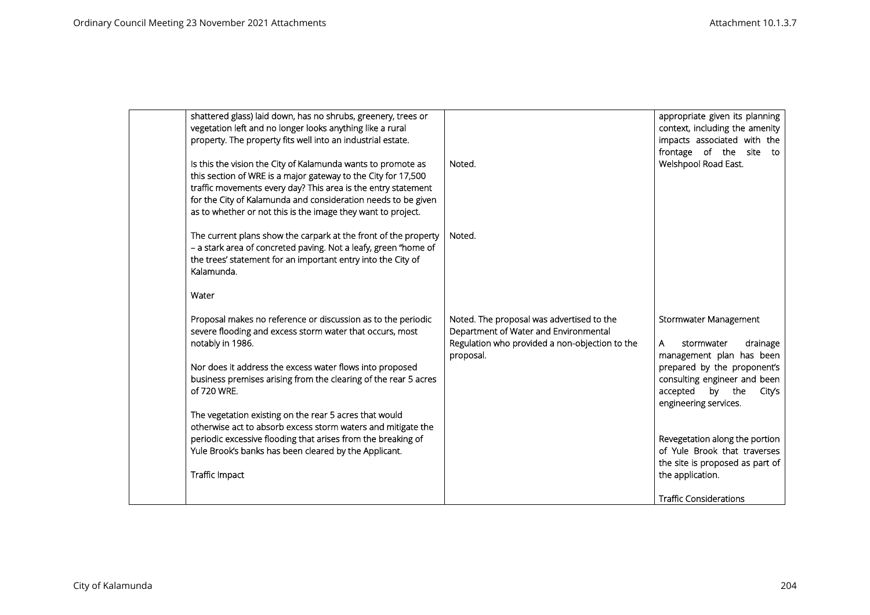| shattered glass) laid down, has no shrubs, greenery, trees or<br>vegetation left and no longer looks anything like a rural<br>property. The property fits well into an industrial estate.                                                                                                                                       |                                                                                                                                                   | appropriate given its planning<br>context, including the amenity<br>impacts associated with the<br>frontage of the site<br>to                                                                            |
|---------------------------------------------------------------------------------------------------------------------------------------------------------------------------------------------------------------------------------------------------------------------------------------------------------------------------------|---------------------------------------------------------------------------------------------------------------------------------------------------|----------------------------------------------------------------------------------------------------------------------------------------------------------------------------------------------------------|
| Is this the vision the City of Kalamunda wants to promote as<br>this section of WRE is a major gateway to the City for 17,500<br>traffic movements every day? This area is the entry statement<br>for the City of Kalamunda and consideration needs to be given<br>as to whether or not this is the image they want to project. | Noted.                                                                                                                                            | Welshpool Road East.                                                                                                                                                                                     |
| The current plans show the carpark at the front of the property<br>- a stark area of concreted paving. Not a leafy, green "home of<br>the trees' statement for an important entry into the City of<br>Kalamunda.                                                                                                                | Noted.                                                                                                                                            |                                                                                                                                                                                                          |
| Water                                                                                                                                                                                                                                                                                                                           |                                                                                                                                                   |                                                                                                                                                                                                          |
| Proposal makes no reference or discussion as to the periodic<br>severe flooding and excess storm water that occurs, most<br>notably in 1986.<br>Nor does it address the excess water flows into proposed<br>business premises arising from the clearing of the rear 5 acres<br>of 720 WRE.                                      | Noted. The proposal was advertised to the<br>Department of Water and Environmental<br>Regulation who provided a non-objection to the<br>proposal. | Stormwater Management<br>drainage<br>A<br>stormwater<br>management plan has been<br>prepared by the proponent's<br>consulting engineer and been<br>accepted<br>by the<br>City's<br>engineering services. |
| The vegetation existing on the rear 5 acres that would<br>otherwise act to absorb excess storm waters and mitigate the<br>periodic excessive flooding that arises from the breaking of<br>Yule Brook's banks has been cleared by the Applicant.<br>Traffic Impact                                                               |                                                                                                                                                   | Revegetation along the portion<br>of Yule Brook that traverses<br>the site is proposed as part of<br>the application.                                                                                    |
|                                                                                                                                                                                                                                                                                                                                 |                                                                                                                                                   | <b>Traffic Considerations</b>                                                                                                                                                                            |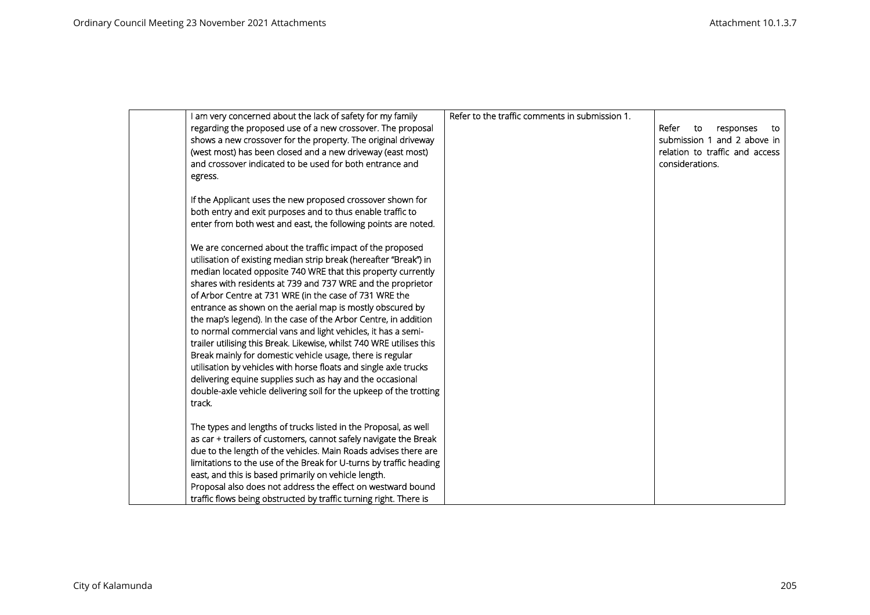| I am very concerned about the lack of safety for my family           | Refer to the traffic comments in submission 1. |                                |
|----------------------------------------------------------------------|------------------------------------------------|--------------------------------|
| regarding the proposed use of a new crossover. The proposal          |                                                | Refer<br>to<br>responses<br>το |
| shows a new crossover for the property. The original driveway        |                                                | submission 1 and 2 above in    |
| (west most) has been closed and a new driveway (east most)           |                                                | relation to traffic and access |
| and crossover indicated to be used for both entrance and             |                                                | considerations.                |
| egress.                                                              |                                                |                                |
|                                                                      |                                                |                                |
| If the Applicant uses the new proposed crossover shown for           |                                                |                                |
| both entry and exit purposes and to thus enable traffic to           |                                                |                                |
| enter from both west and east, the following points are noted.       |                                                |                                |
|                                                                      |                                                |                                |
| We are concerned about the traffic impact of the proposed            |                                                |                                |
| utilisation of existing median strip break (hereafter "Break") in    |                                                |                                |
| median located opposite 740 WRE that this property currently         |                                                |                                |
| shares with residents at 739 and 737 WRE and the proprietor          |                                                |                                |
| of Arbor Centre at 731 WRE (in the case of 731 WRE the               |                                                |                                |
| entrance as shown on the aerial map is mostly obscured by            |                                                |                                |
| the map's legend). In the case of the Arbor Centre, in addition      |                                                |                                |
| to normal commercial vans and light vehicles, it has a semi-         |                                                |                                |
| trailer utilising this Break. Likewise, whilst 740 WRE utilises this |                                                |                                |
| Break mainly for domestic vehicle usage, there is regular            |                                                |                                |
| utilisation by vehicles with horse floats and single axle trucks     |                                                |                                |
| delivering equine supplies such as hay and the occasional            |                                                |                                |
| double-axle vehicle delivering soil for the upkeep of the trotting   |                                                |                                |
| track.                                                               |                                                |                                |
|                                                                      |                                                |                                |
| The types and lengths of trucks listed in the Proposal, as well      |                                                |                                |
| as car + trailers of customers, cannot safely navigate the Break     |                                                |                                |
| due to the length of the vehicles. Main Roads advises there are      |                                                |                                |
| limitations to the use of the Break for U-turns by traffic heading   |                                                |                                |
| east, and this is based primarily on vehicle length.                 |                                                |                                |
| Proposal also does not address the effect on westward bound          |                                                |                                |
| traffic flows being obstructed by traffic turning right. There is    |                                                |                                |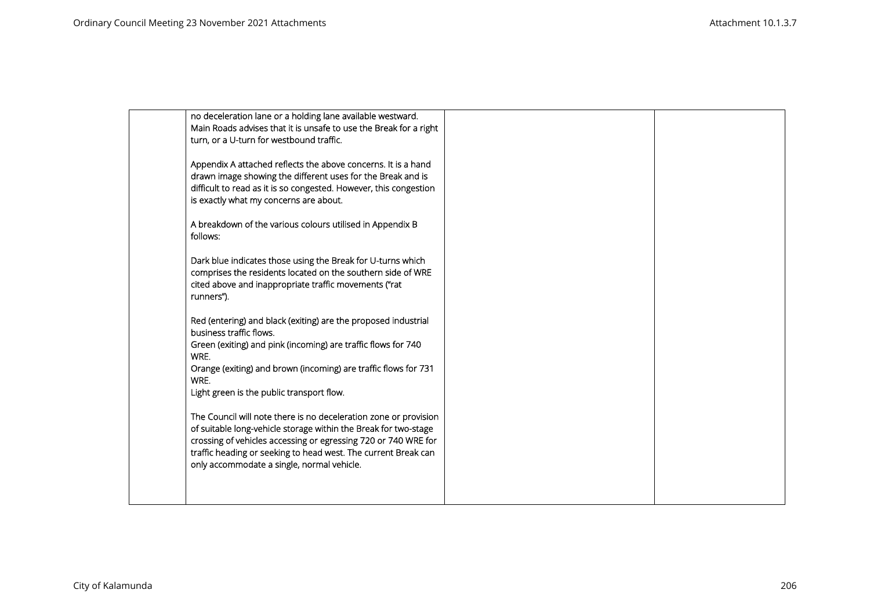| no deceleration lane or a holding lane available westward.<br>Main Roads advises that it is unsafe to use the Break for a right<br>turn, or a U-turn for westbound traffic.                                                                                                                                           |  |
|-----------------------------------------------------------------------------------------------------------------------------------------------------------------------------------------------------------------------------------------------------------------------------------------------------------------------|--|
| Appendix A attached reflects the above concerns. It is a hand<br>drawn image showing the different uses for the Break and is<br>difficult to read as it is so congested. However, this congestion<br>is exactly what my concerns are about.                                                                           |  |
| A breakdown of the various colours utilised in Appendix B<br>follows:                                                                                                                                                                                                                                                 |  |
| Dark blue indicates those using the Break for U-turns which<br>comprises the residents located on the southern side of WRE<br>cited above and inappropriate traffic movements ("rat<br>runners").                                                                                                                     |  |
| Red (entering) and black (exiting) are the proposed industrial<br>business traffic flows.<br>Green (exiting) and pink (incoming) are traffic flows for 740<br>WRE.<br>Orange (exiting) and brown (incoming) are traffic flows for 731<br>WRE.<br>Light green is the public transport flow.                            |  |
| The Council will note there is no deceleration zone or provision<br>of suitable long-vehicle storage within the Break for two-stage<br>crossing of vehicles accessing or egressing 720 or 740 WRE for<br>traffic heading or seeking to head west. The current Break can<br>only accommodate a single, normal vehicle. |  |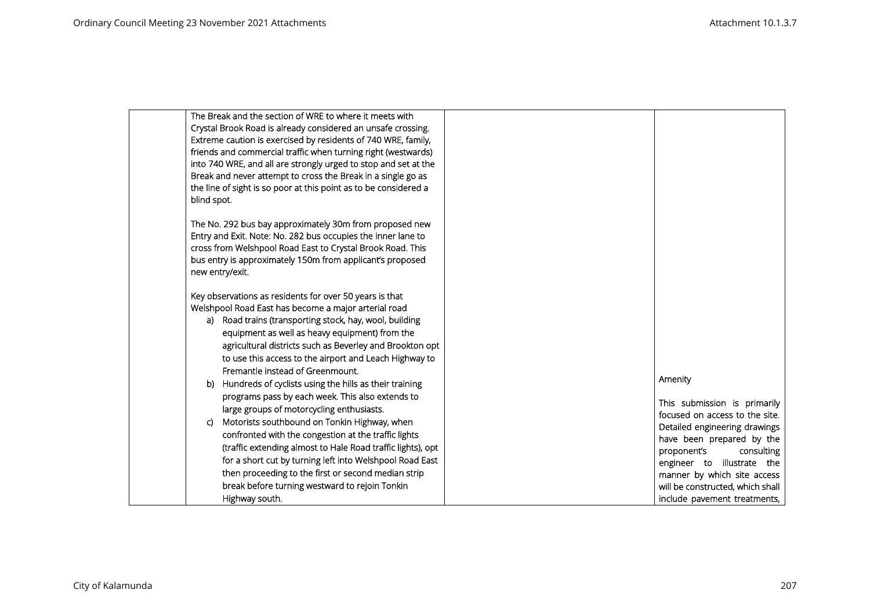| The Break and the section of WRE to where it meets with                                                                       |                                                            |
|-------------------------------------------------------------------------------------------------------------------------------|------------------------------------------------------------|
| Crystal Brook Road is already considered an unsafe crossing.<br>Extreme caution is exercised by residents of 740 WRE, family, |                                                            |
| friends and commercial traffic when turning right (westwards)                                                                 |                                                            |
| into 740 WRE, and all are strongly urged to stop and set at the                                                               |                                                            |
| Break and never attempt to cross the Break in a single go as                                                                  |                                                            |
| the line of sight is so poor at this point as to be considered a                                                              |                                                            |
| blind spot.                                                                                                                   |                                                            |
| The No. 292 bus bay approximately 30m from proposed new                                                                       |                                                            |
| Entry and Exit. Note: No. 282 bus occupies the inner lane to                                                                  |                                                            |
| cross from Welshpool Road East to Crystal Brook Road. This                                                                    |                                                            |
| bus entry is approximately 150m from applicant's proposed                                                                     |                                                            |
| new entry/exit.                                                                                                               |                                                            |
| Key observations as residents for over 50 years is that                                                                       |                                                            |
| Welshpool Road East has become a major arterial road                                                                          |                                                            |
| a) Road trains (transporting stock, hay, wool, building                                                                       |                                                            |
| equipment as well as heavy equipment) from the                                                                                |                                                            |
| agricultural districts such as Beverley and Brookton opt                                                                      |                                                            |
| to use this access to the airport and Leach Highway to<br>Fremantle instead of Greenmount.                                    |                                                            |
| Hundreds of cyclists using the hills as their training<br>b)                                                                  | Amenity                                                    |
| programs pass by each week. This also extends to                                                                              |                                                            |
| large groups of motorcycling enthusiasts.                                                                                     | This submission is primarily                               |
| Motorists southbound on Tonkin Highway, when<br>C)                                                                            | focused on access to the site.                             |
| confronted with the congestion at the traffic lights                                                                          | Detailed engineering drawings<br>have been prepared by the |
| (traffic extending almost to Hale Road traffic lights), opt                                                                   | proponent's<br>consulting                                  |
| for a short cut by turning left into Welshpool Road East                                                                      | engineer to illustrate the                                 |
| then proceeding to the first or second median strip                                                                           | manner by which site access                                |
| break before turning westward to rejoin Tonkin                                                                                | will be constructed, which shall                           |
| Highway south.                                                                                                                | include pavement treatments,                               |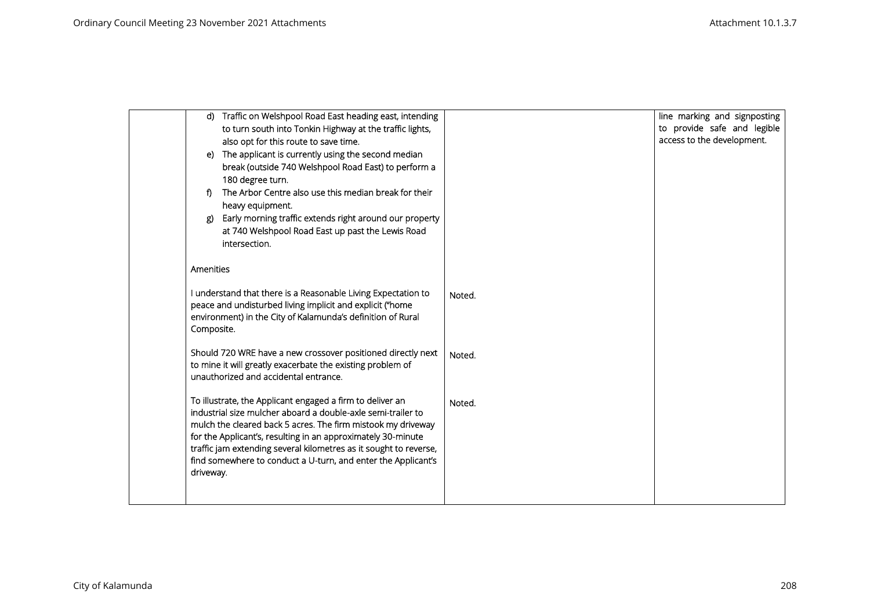| to provide safe and legible<br>to turn south into Tonkin Highway at the traffic lights,<br>access to the development.<br>also opt for this route to save time.<br>The applicant is currently using the second median<br>e)<br>break (outside 740 Welshpool Road East) to perform a<br>180 degree turn.<br>The Arbor Centre also use this median break for their<br>f)<br>heavy equipment.<br>Early morning traffic extends right around our property<br>at 740 Welshpool Road East up past the Lewis Road<br>intersection.<br>Amenities<br>I understand that there is a Reasonable Living Expectation to<br>Noted.<br>peace and undisturbed living implicit and explicit ("home<br>environment) in the City of Kalamunda's definition of Rural<br>Composite.<br>Should 720 WRE have a new crossover positioned directly next<br>Noted.<br>to mine it will greatly exacerbate the existing problem of<br>unauthorized and accidental entrance.<br>To illustrate, the Applicant engaged a firm to deliver an<br>Noted.<br>industrial size mulcher aboard a double-axle semi-trailer to<br>mulch the cleared back 5 acres. The firm mistook my driveway<br>for the Applicant's, resulting in an approximately 30-minute |  | d) Traffic on Welshpool Road East heading east, intending | line marking and signposting |
|----------------------------------------------------------------------------------------------------------------------------------------------------------------------------------------------------------------------------------------------------------------------------------------------------------------------------------------------------------------------------------------------------------------------------------------------------------------------------------------------------------------------------------------------------------------------------------------------------------------------------------------------------------------------------------------------------------------------------------------------------------------------------------------------------------------------------------------------------------------------------------------------------------------------------------------------------------------------------------------------------------------------------------------------------------------------------------------------------------------------------------------------------------------------------------------------------------------------|--|-----------------------------------------------------------|------------------------------|
|                                                                                                                                                                                                                                                                                                                                                                                                                                                                                                                                                                                                                                                                                                                                                                                                                                                                                                                                                                                                                                                                                                                                                                                                                      |  |                                                           |                              |
|                                                                                                                                                                                                                                                                                                                                                                                                                                                                                                                                                                                                                                                                                                                                                                                                                                                                                                                                                                                                                                                                                                                                                                                                                      |  |                                                           |                              |
|                                                                                                                                                                                                                                                                                                                                                                                                                                                                                                                                                                                                                                                                                                                                                                                                                                                                                                                                                                                                                                                                                                                                                                                                                      |  |                                                           |                              |
|                                                                                                                                                                                                                                                                                                                                                                                                                                                                                                                                                                                                                                                                                                                                                                                                                                                                                                                                                                                                                                                                                                                                                                                                                      |  |                                                           |                              |
|                                                                                                                                                                                                                                                                                                                                                                                                                                                                                                                                                                                                                                                                                                                                                                                                                                                                                                                                                                                                                                                                                                                                                                                                                      |  |                                                           |                              |
|                                                                                                                                                                                                                                                                                                                                                                                                                                                                                                                                                                                                                                                                                                                                                                                                                                                                                                                                                                                                                                                                                                                                                                                                                      |  |                                                           |                              |
|                                                                                                                                                                                                                                                                                                                                                                                                                                                                                                                                                                                                                                                                                                                                                                                                                                                                                                                                                                                                                                                                                                                                                                                                                      |  |                                                           |                              |
|                                                                                                                                                                                                                                                                                                                                                                                                                                                                                                                                                                                                                                                                                                                                                                                                                                                                                                                                                                                                                                                                                                                                                                                                                      |  |                                                           |                              |
|                                                                                                                                                                                                                                                                                                                                                                                                                                                                                                                                                                                                                                                                                                                                                                                                                                                                                                                                                                                                                                                                                                                                                                                                                      |  |                                                           |                              |
|                                                                                                                                                                                                                                                                                                                                                                                                                                                                                                                                                                                                                                                                                                                                                                                                                                                                                                                                                                                                                                                                                                                                                                                                                      |  |                                                           |                              |
|                                                                                                                                                                                                                                                                                                                                                                                                                                                                                                                                                                                                                                                                                                                                                                                                                                                                                                                                                                                                                                                                                                                                                                                                                      |  |                                                           |                              |
|                                                                                                                                                                                                                                                                                                                                                                                                                                                                                                                                                                                                                                                                                                                                                                                                                                                                                                                                                                                                                                                                                                                                                                                                                      |  |                                                           |                              |
|                                                                                                                                                                                                                                                                                                                                                                                                                                                                                                                                                                                                                                                                                                                                                                                                                                                                                                                                                                                                                                                                                                                                                                                                                      |  |                                                           |                              |
|                                                                                                                                                                                                                                                                                                                                                                                                                                                                                                                                                                                                                                                                                                                                                                                                                                                                                                                                                                                                                                                                                                                                                                                                                      |  |                                                           |                              |
|                                                                                                                                                                                                                                                                                                                                                                                                                                                                                                                                                                                                                                                                                                                                                                                                                                                                                                                                                                                                                                                                                                                                                                                                                      |  |                                                           |                              |
|                                                                                                                                                                                                                                                                                                                                                                                                                                                                                                                                                                                                                                                                                                                                                                                                                                                                                                                                                                                                                                                                                                                                                                                                                      |  |                                                           |                              |
|                                                                                                                                                                                                                                                                                                                                                                                                                                                                                                                                                                                                                                                                                                                                                                                                                                                                                                                                                                                                                                                                                                                                                                                                                      |  |                                                           |                              |
|                                                                                                                                                                                                                                                                                                                                                                                                                                                                                                                                                                                                                                                                                                                                                                                                                                                                                                                                                                                                                                                                                                                                                                                                                      |  |                                                           |                              |
|                                                                                                                                                                                                                                                                                                                                                                                                                                                                                                                                                                                                                                                                                                                                                                                                                                                                                                                                                                                                                                                                                                                                                                                                                      |  |                                                           |                              |
|                                                                                                                                                                                                                                                                                                                                                                                                                                                                                                                                                                                                                                                                                                                                                                                                                                                                                                                                                                                                                                                                                                                                                                                                                      |  |                                                           |                              |
|                                                                                                                                                                                                                                                                                                                                                                                                                                                                                                                                                                                                                                                                                                                                                                                                                                                                                                                                                                                                                                                                                                                                                                                                                      |  |                                                           |                              |
|                                                                                                                                                                                                                                                                                                                                                                                                                                                                                                                                                                                                                                                                                                                                                                                                                                                                                                                                                                                                                                                                                                                                                                                                                      |  |                                                           |                              |
|                                                                                                                                                                                                                                                                                                                                                                                                                                                                                                                                                                                                                                                                                                                                                                                                                                                                                                                                                                                                                                                                                                                                                                                                                      |  |                                                           |                              |
|                                                                                                                                                                                                                                                                                                                                                                                                                                                                                                                                                                                                                                                                                                                                                                                                                                                                                                                                                                                                                                                                                                                                                                                                                      |  |                                                           |                              |
|                                                                                                                                                                                                                                                                                                                                                                                                                                                                                                                                                                                                                                                                                                                                                                                                                                                                                                                                                                                                                                                                                                                                                                                                                      |  |                                                           |                              |
| traffic jam extending several kilometres as it sought to reverse,<br>find somewhere to conduct a U-turn, and enter the Applicant's                                                                                                                                                                                                                                                                                                                                                                                                                                                                                                                                                                                                                                                                                                                                                                                                                                                                                                                                                                                                                                                                                   |  |                                                           |                              |
| driveway.                                                                                                                                                                                                                                                                                                                                                                                                                                                                                                                                                                                                                                                                                                                                                                                                                                                                                                                                                                                                                                                                                                                                                                                                            |  |                                                           |                              |
|                                                                                                                                                                                                                                                                                                                                                                                                                                                                                                                                                                                                                                                                                                                                                                                                                                                                                                                                                                                                                                                                                                                                                                                                                      |  |                                                           |                              |
|                                                                                                                                                                                                                                                                                                                                                                                                                                                                                                                                                                                                                                                                                                                                                                                                                                                                                                                                                                                                                                                                                                                                                                                                                      |  |                                                           |                              |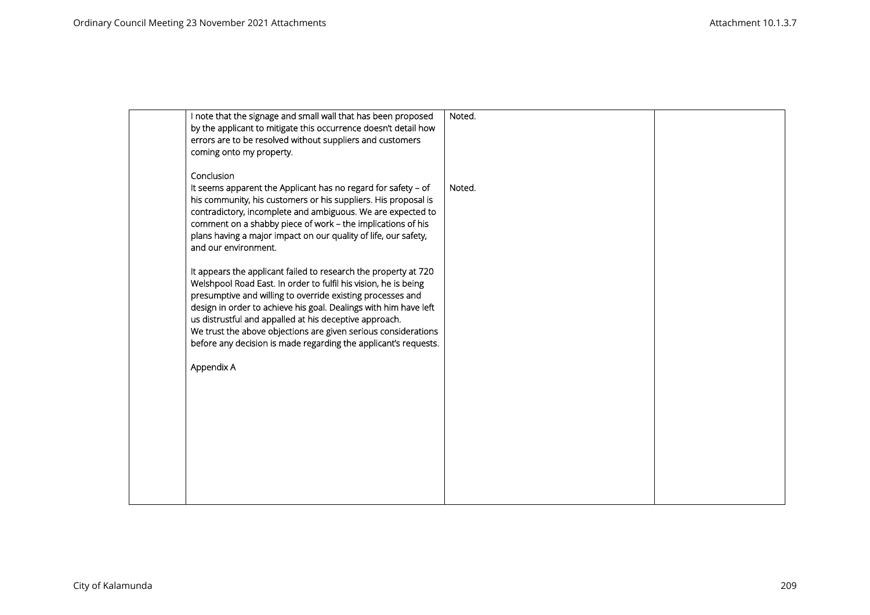| I note that the signage and small wall that has been proposed<br>by the applicant to mitigate this occurrence doesn't detail how<br>errors are to be resolved without suppliers and customers<br>coming onto my property.                                                                                                                                                                                                                                                                                                                                                                                                                                                                                                                                                                                                                                   | Noted. |  |
|-------------------------------------------------------------------------------------------------------------------------------------------------------------------------------------------------------------------------------------------------------------------------------------------------------------------------------------------------------------------------------------------------------------------------------------------------------------------------------------------------------------------------------------------------------------------------------------------------------------------------------------------------------------------------------------------------------------------------------------------------------------------------------------------------------------------------------------------------------------|--------|--|
| Conclusion<br>It seems apparent the Applicant has no regard for safety - of<br>his community, his customers or his suppliers. His proposal is<br>contradictory, incomplete and ambiguous. We are expected to<br>comment on a shabby piece of work - the implications of his<br>plans having a major impact on our quality of life, our safety,<br>and our environment.<br>It appears the applicant failed to research the property at 720<br>Welshpool Road East. In order to fulfil his vision, he is being<br>presumptive and willing to override existing processes and<br>design in order to achieve his goal. Dealings with him have left<br>us distrustful and appalled at his deceptive approach.<br>We trust the above objections are given serious considerations<br>before any decision is made regarding the applicant's requests.<br>Appendix A | Noted. |  |
|                                                                                                                                                                                                                                                                                                                                                                                                                                                                                                                                                                                                                                                                                                                                                                                                                                                             |        |  |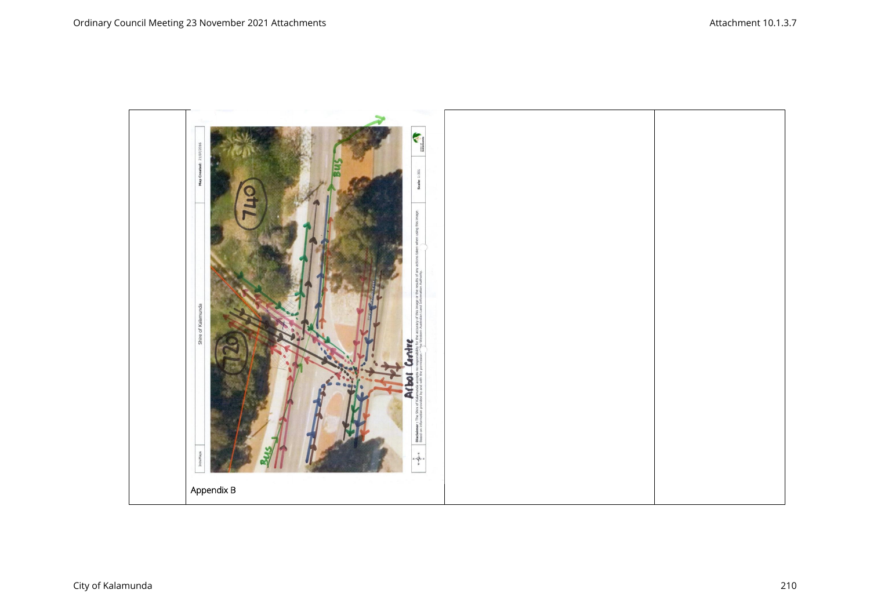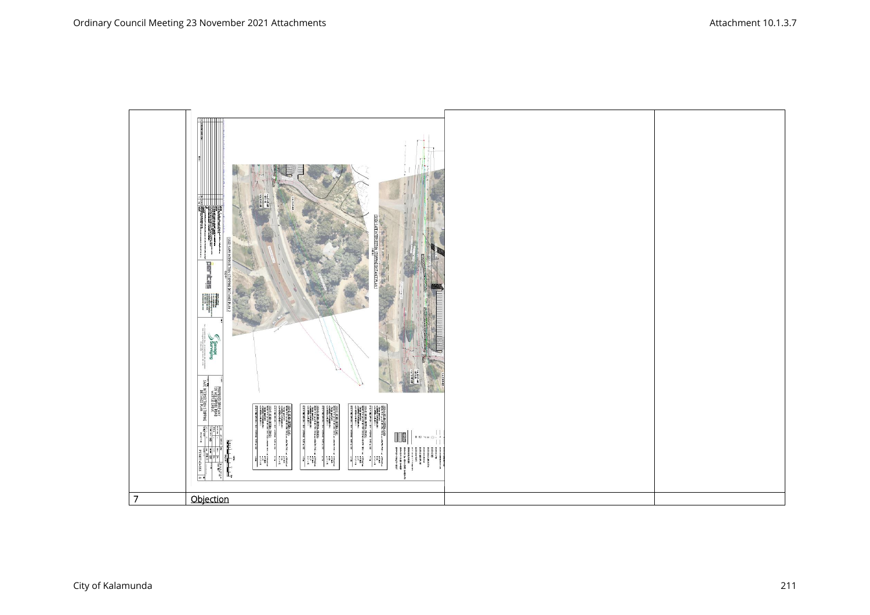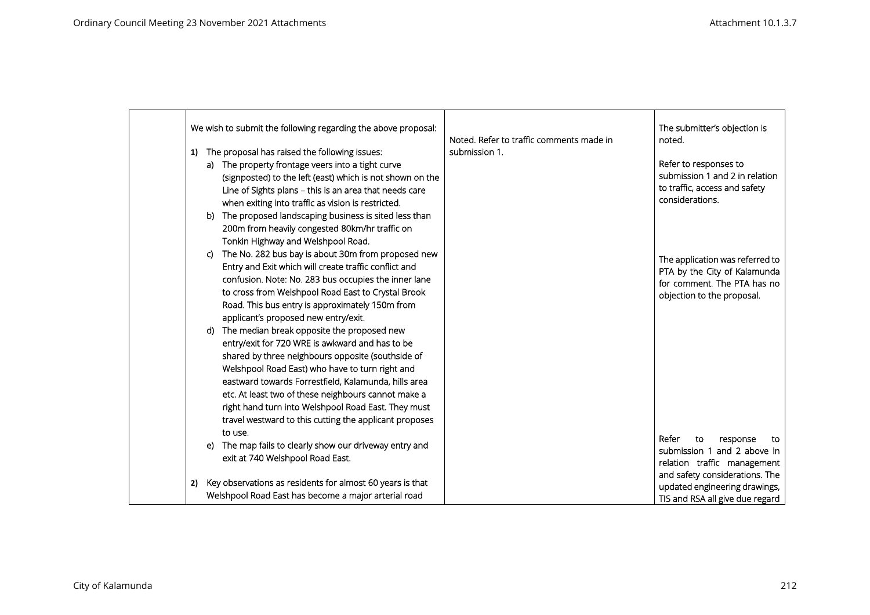| We wish to submit the following regarding the above proposal:<br>Noted. Refer to traffic comments made in | The submitter's objection is<br>noted.                        |
|-----------------------------------------------------------------------------------------------------------|---------------------------------------------------------------|
| The proposal has raised the following issues:<br>submission 1.<br>1)                                      |                                                               |
| a) The property frontage veers into a tight curve                                                         | Refer to responses to                                         |
| (signposted) to the left (east) which is not shown on the                                                 | submission 1 and 2 in relation                                |
| Line of Sights plans - this is an area that needs care                                                    | to traffic, access and safety                                 |
| when exiting into traffic as vision is restricted.                                                        | considerations.                                               |
| The proposed landscaping business is sited less than<br>b)                                                |                                                               |
| 200m from heavily congested 80km/hr traffic on                                                            |                                                               |
| Tonkin Highway and Welshpool Road.                                                                        |                                                               |
| The No. 282 bus bay is about 30m from proposed new<br>C)                                                  |                                                               |
| Entry and Exit which will create traffic conflict and                                                     | The application was referred to                               |
| confusion. Note: No. 283 bus occupies the inner lane                                                      | PTA by the City of Kalamunda<br>for comment. The PTA has no   |
| to cross from Welshpool Road East to Crystal Brook                                                        | objection to the proposal.                                    |
| Road. This bus entry is approximately 150m from                                                           |                                                               |
| applicant's proposed new entry/exit.                                                                      |                                                               |
| The median break opposite the proposed new<br>d)                                                          |                                                               |
| entry/exit for 720 WRE is awkward and has to be                                                           |                                                               |
| shared by three neighbours opposite (southside of                                                         |                                                               |
| Welshpool Road East) who have to turn right and                                                           |                                                               |
| eastward towards Forrestfield, Kalamunda, hills area                                                      |                                                               |
| etc. At least two of these neighbours cannot make a                                                       |                                                               |
| right hand turn into Welshpool Road East. They must                                                       |                                                               |
| travel westward to this cutting the applicant proposes                                                    |                                                               |
| to use.                                                                                                   |                                                               |
| The map fails to clearly show our driveway entry and<br>e)                                                | Refer<br>to<br>response<br>to                                 |
| exit at 740 Welshpool Road East.                                                                          | submission 1 and 2 above in                                   |
|                                                                                                           | relation traffic management<br>and safety considerations. The |
| Key observations as residents for almost 60 years is that<br>2)                                           | updated engineering drawings,                                 |
| Welshpool Road East has become a major arterial road                                                      | TIS and RSA all give due regard                               |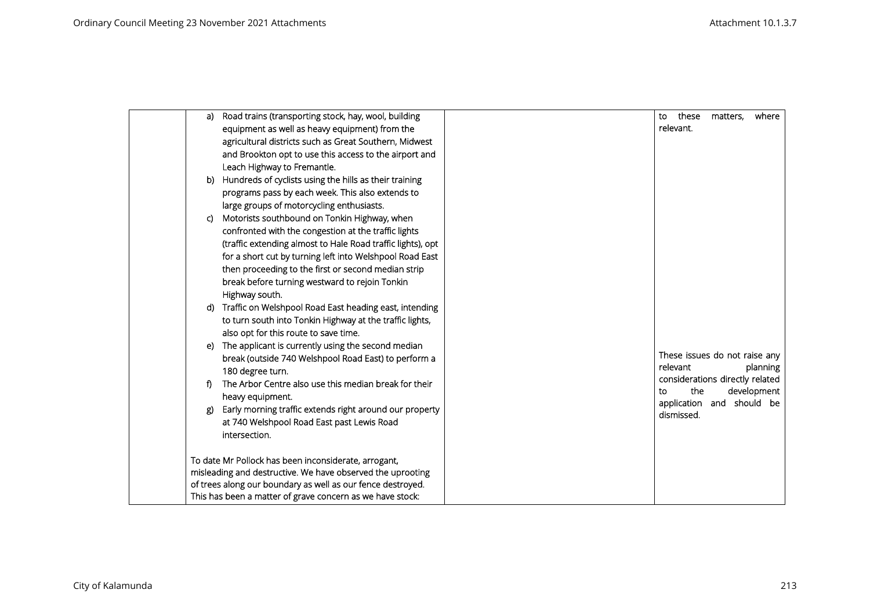|    | Road trains (transporting stock, hay, wool, building<br>a)    | these<br>matters,<br>where<br>to               |
|----|---------------------------------------------------------------|------------------------------------------------|
|    | equipment as well as heavy equipment) from the                | relevant.                                      |
|    | agricultural districts such as Great Southern, Midwest        |                                                |
|    | and Brookton opt to use this access to the airport and        |                                                |
|    | Leach Highway to Fremantle.                                   |                                                |
|    | Hundreds of cyclists using the hills as their training<br>b)  |                                                |
|    | programs pass by each week. This also extends to              |                                                |
|    | large groups of motorcycling enthusiasts.                     |                                                |
| C) | Motorists southbound on Tonkin Highway, when                  |                                                |
|    | confronted with the congestion at the traffic lights          |                                                |
|    | (traffic extending almost to Hale Road traffic lights), opt   |                                                |
|    | for a short cut by turning left into Welshpool Road East      |                                                |
|    | then proceeding to the first or second median strip           |                                                |
|    | break before turning westward to rejoin Tonkin                |                                                |
|    | Highway south.                                                |                                                |
|    | Traffic on Welshpool Road East heading east, intending<br>d)  |                                                |
|    | to turn south into Tonkin Highway at the traffic lights,      |                                                |
|    | also opt for this route to save time.                         |                                                |
|    | The applicant is currently using the second median<br>e)      |                                                |
|    | break (outside 740 Welshpool Road East) to perform a          | These issues do not raise any                  |
|    | 180 degree turn.                                              | relevant<br>planning                           |
| f) | The Arbor Centre also use this median break for their         | considerations directly related<br>the         |
|    | heavy equipment.                                              | development<br>to<br>application and should be |
|    | Early morning traffic extends right around our property<br>g) | dismissed.                                     |
|    | at 740 Welshpool Road East past Lewis Road                    |                                                |
|    | intersection.                                                 |                                                |
|    |                                                               |                                                |
|    | To date Mr Pollock has been inconsiderate, arrogant,          |                                                |
|    | misleading and destructive. We have observed the uprooting    |                                                |
|    | of trees along our boundary as well as our fence destroyed.   |                                                |
|    | This has been a matter of grave concern as we have stock:     |                                                |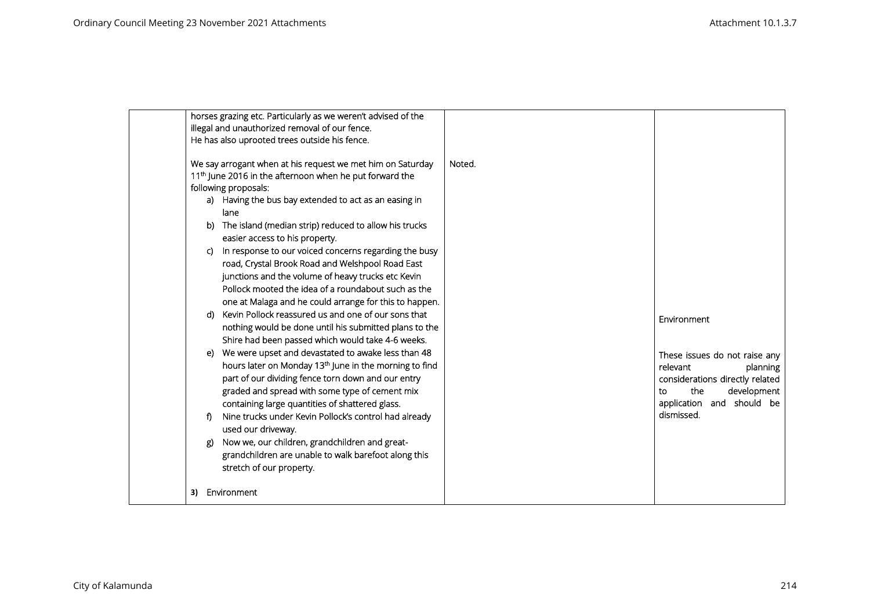|                       | horses grazing etc. Particularly as we weren't advised of the<br>illegal and unauthorized removal of our fence.<br>He has also uprooted trees outside his fence.                                                                                                                                                                                                                                                                                                                                                                                                                                                                                                                                                                                                                                                                                                                                                                                                                                                                                                                                                                                                                                                                                                                               |        |                                                                                                                                                                                |
|-----------------------|------------------------------------------------------------------------------------------------------------------------------------------------------------------------------------------------------------------------------------------------------------------------------------------------------------------------------------------------------------------------------------------------------------------------------------------------------------------------------------------------------------------------------------------------------------------------------------------------------------------------------------------------------------------------------------------------------------------------------------------------------------------------------------------------------------------------------------------------------------------------------------------------------------------------------------------------------------------------------------------------------------------------------------------------------------------------------------------------------------------------------------------------------------------------------------------------------------------------------------------------------------------------------------------------|--------|--------------------------------------------------------------------------------------------------------------------------------------------------------------------------------|
| b)<br>C)<br>d)<br>_ጀ) | We say arrogant when at his request we met him on Saturday<br>11 <sup>th</sup> June 2016 in the afternoon when he put forward the<br>following proposals:<br>a) Having the bus bay extended to act as an easing in<br>lane<br>The island (median strip) reduced to allow his trucks<br>easier access to his property.<br>In response to our voiced concerns regarding the busy<br>road, Crystal Brook Road and Welshpool Road East<br>junctions and the volume of heavy trucks etc Kevin<br>Pollock mooted the idea of a roundabout such as the<br>one at Malaga and he could arrange for this to happen.<br>Kevin Pollock reassured us and one of our sons that<br>nothing would be done until his submitted plans to the<br>Shire had been passed which would take 4-6 weeks.<br>e) We were upset and devastated to awake less than 48<br>hours later on Monday 13 <sup>th</sup> June in the morning to find<br>part of our dividing fence torn down and our entry<br>graded and spread with some type of cement mix<br>containing large quantities of shattered glass.<br>Nine trucks under Kevin Pollock's control had already<br>used our driveway.<br>Now we, our children, grandchildren and great-<br>grandchildren are unable to walk barefoot along this<br>stretch of our property. | Noted. | Environment<br>These issues do not raise any<br>relevant<br>planning<br>considerations directly related<br>the<br>development<br>to<br>application and should be<br>dismissed. |
| 3)                    | Environment                                                                                                                                                                                                                                                                                                                                                                                                                                                                                                                                                                                                                                                                                                                                                                                                                                                                                                                                                                                                                                                                                                                                                                                                                                                                                    |        |                                                                                                                                                                                |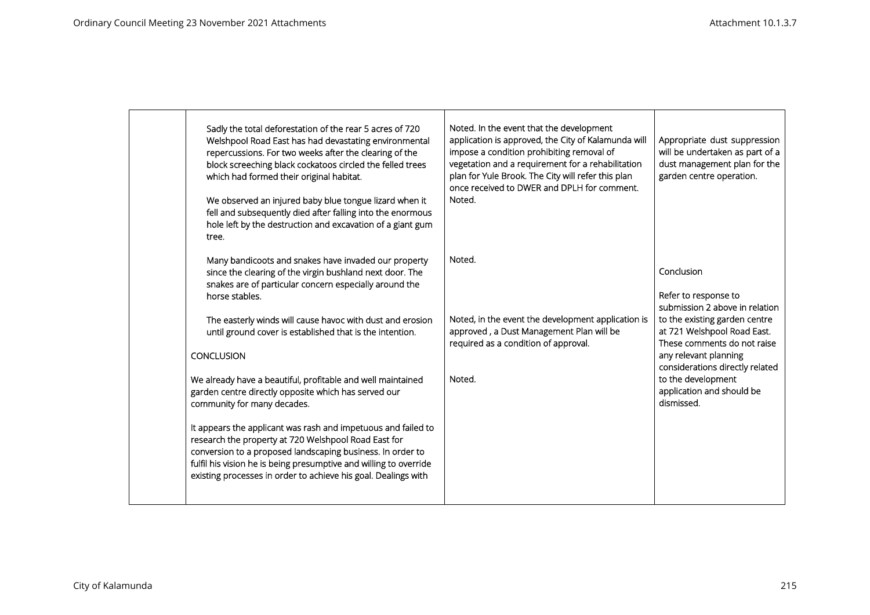| Sadly the total deforestation of the rear 5 acres of 720<br>Welshpool Road East has had devastating environmental<br>repercussions. For two weeks after the clearing of the<br>block screeching black cockatoos circled the felled trees<br>which had formed their original habitat.<br>We observed an injured baby blue tongue lizard when it<br>fell and subsequently died after falling into the enormous<br>hole left by the destruction and excavation of a giant gum<br>tree.                                                                                                                                                                                                                                                                                                                                            | Noted. In the event that the development<br>application is approved, the City of Kalamunda will<br>impose a condition prohibiting removal of<br>vegetation and a requirement for a rehabilitation<br>plan for Yule Brook. The City will refer this plan<br>once received to DWER and DPLH for comment.<br>Noted. | Appropriate dust suppression<br>will be undertaken as part of a<br>dust management plan for the<br>garden centre operation.                                                                                                                                                                      |
|--------------------------------------------------------------------------------------------------------------------------------------------------------------------------------------------------------------------------------------------------------------------------------------------------------------------------------------------------------------------------------------------------------------------------------------------------------------------------------------------------------------------------------------------------------------------------------------------------------------------------------------------------------------------------------------------------------------------------------------------------------------------------------------------------------------------------------|------------------------------------------------------------------------------------------------------------------------------------------------------------------------------------------------------------------------------------------------------------------------------------------------------------------|--------------------------------------------------------------------------------------------------------------------------------------------------------------------------------------------------------------------------------------------------------------------------------------------------|
| Many bandicoots and snakes have invaded our property<br>since the clearing of the virgin bushland next door. The<br>snakes are of particular concern especially around the<br>horse stables.<br>The easterly winds will cause havoc with dust and erosion<br>until ground cover is established that is the intention.<br><b>CONCLUSION</b><br>We already have a beautiful, profitable and well maintained<br>garden centre directly opposite which has served our<br>community for many decades.<br>It appears the applicant was rash and impetuous and failed to<br>research the property at 720 Welshpool Road East for<br>conversion to a proposed landscaping business. In order to<br>fulfil his vision he is being presumptive and willing to override<br>existing processes in order to achieve his goal. Dealings with | Noted.<br>Noted, in the event the development application is<br>approved, a Dust Management Plan will be<br>required as a condition of approval.<br>Noted.                                                                                                                                                       | Conclusion<br>Refer to response to<br>submission 2 above in relation<br>to the existing garden centre<br>at 721 Welshpool Road East.<br>These comments do not raise<br>any relevant planning<br>considerations directly related<br>to the development<br>application and should be<br>dismissed. |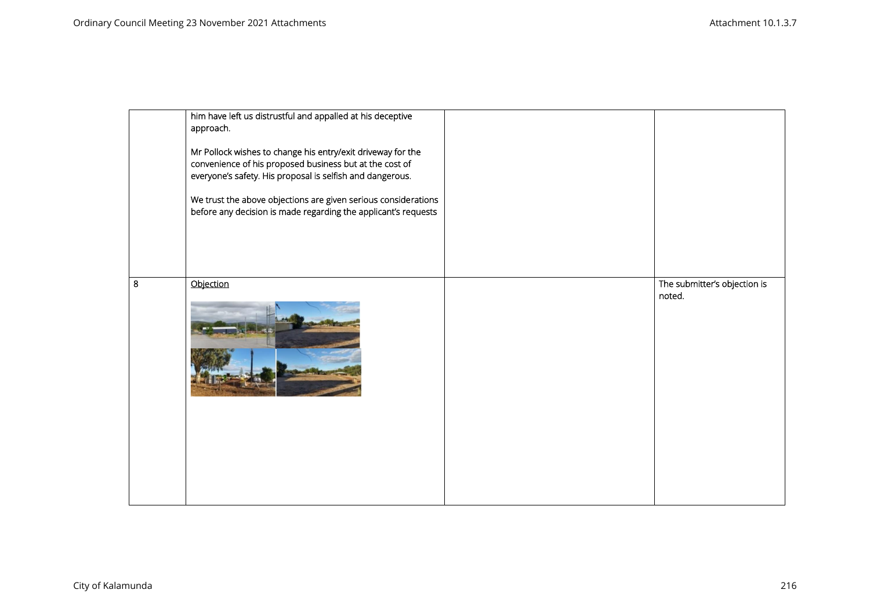|         | him have left us distrustful and appalled at his deceptive<br>approach.<br>Mr Pollock wishes to change his entry/exit driveway for the<br>convenience of his proposed business but at the cost of<br>everyone's safety. His proposal is selfish and dangerous.<br>We trust the above objections are given serious considerations<br>before any decision is made regarding the applicant's requests |                                        |
|---------|----------------------------------------------------------------------------------------------------------------------------------------------------------------------------------------------------------------------------------------------------------------------------------------------------------------------------------------------------------------------------------------------------|----------------------------------------|
| $\bf 8$ | Objection                                                                                                                                                                                                                                                                                                                                                                                          | The submitter's objection is<br>noted. |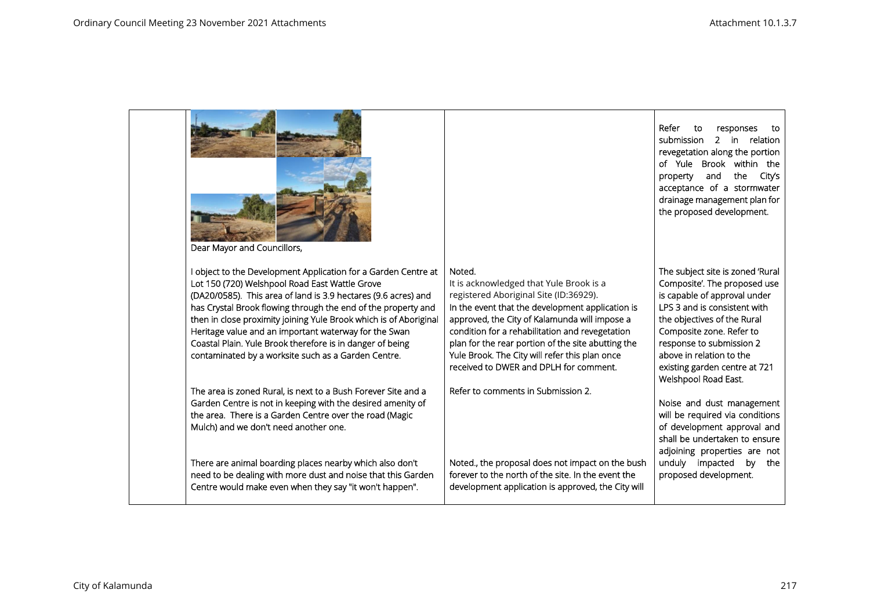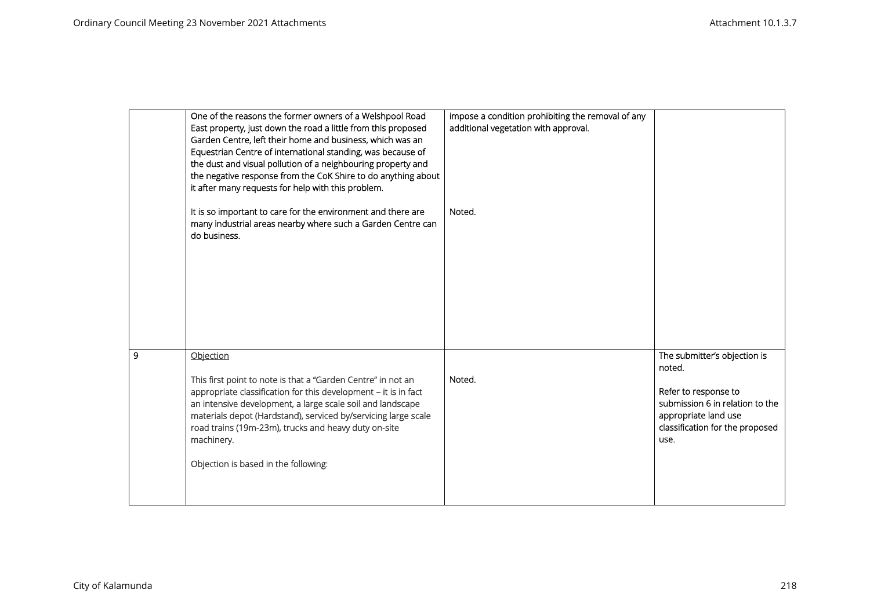|   | One of the reasons the former owners of a Welshpool Road                                                                                    | impose a condition prohibiting the removal of any |                                         |
|---|---------------------------------------------------------------------------------------------------------------------------------------------|---------------------------------------------------|-----------------------------------------|
|   | East property, just down the road a little from this proposed<br>Garden Centre, left their home and business, which was an                  | additional vegetation with approval.              |                                         |
|   | Equestrian Centre of international standing, was because of                                                                                 |                                                   |                                         |
|   | the dust and visual pollution of a neighbouring property and                                                                                |                                                   |                                         |
|   | the negative response from the CoK Shire to do anything about                                                                               |                                                   |                                         |
|   | it after many requests for help with this problem.                                                                                          |                                                   |                                         |
|   | It is so important to care for the environment and there are<br>many industrial areas nearby where such a Garden Centre can<br>do business. | Noted.                                            |                                         |
|   |                                                                                                                                             |                                                   |                                         |
|   |                                                                                                                                             |                                                   |                                         |
|   |                                                                                                                                             |                                                   |                                         |
|   |                                                                                                                                             |                                                   |                                         |
|   |                                                                                                                                             |                                                   |                                         |
|   |                                                                                                                                             |                                                   |                                         |
| 9 | Objection                                                                                                                                   |                                                   | The submitter's objection is            |
|   |                                                                                                                                             | Noted.                                            | noted.                                  |
|   | This first point to note is that a "Garden Centre" in not an<br>appropriate classification for this development - it is in fact             |                                                   | Refer to response to                    |
|   | an intensive development, a large scale soil and landscape                                                                                  |                                                   | submission 6 in relation to the         |
|   | materials depot (Hardstand), serviced by/servicing large scale                                                                              |                                                   | appropriate land use                    |
|   | road trains (19m-23m), trucks and heavy duty on-site<br>machinery.                                                                          |                                                   | classification for the proposed<br>use. |
|   |                                                                                                                                             |                                                   |                                         |
|   | Objection is based in the following:                                                                                                        |                                                   |                                         |
|   |                                                                                                                                             |                                                   |                                         |
|   |                                                                                                                                             |                                                   |                                         |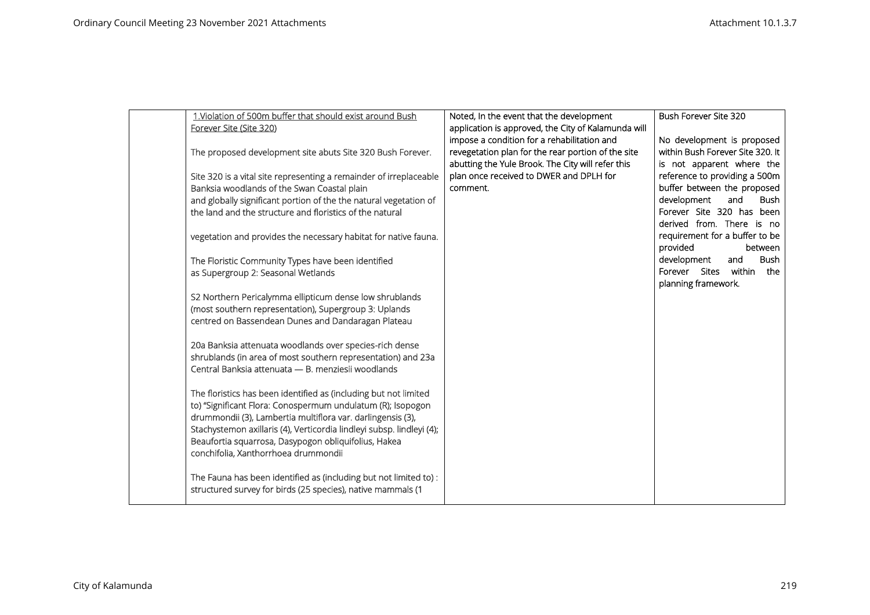| 1. Violation of 500m buffer that should exist around Bush             | Noted, In the event that the development            | Bush Forever Site 320             |
|-----------------------------------------------------------------------|-----------------------------------------------------|-----------------------------------|
| Forever Site (Site 320)                                               | application is approved, the City of Kalamunda will |                                   |
|                                                                       | impose a condition for a rehabilitation and         | No development is proposed        |
| The proposed development site abuts Site 320 Bush Forever.            | revegetation plan for the rear portion of the site  | within Bush Forever Site 320. It  |
|                                                                       |                                                     |                                   |
|                                                                       | abutting the Yule Brook. The City will refer this   | is not apparent where the         |
| Site 320 is a vital site representing a remainder of irreplaceable    | plan once received to DWER and DPLH for             | reference to providing a 500m     |
| Banksia woodlands of the Swan Coastal plain                           | comment.                                            | buffer between the proposed       |
| and globally significant portion of the the natural vegetation of     |                                                     | development<br>and<br><b>Bush</b> |
| the land and the structure and floristics of the natural              |                                                     | Forever Site 320 has been         |
|                                                                       |                                                     | derived from. There is no         |
| vegetation and provides the necessary habitat for native fauna.       |                                                     | requirement for a buffer to be    |
|                                                                       |                                                     | provided<br>between               |
| The Floristic Community Types have been identified                    |                                                     | <b>Bush</b><br>development<br>and |
| as Supergroup 2: Seasonal Wetlands                                    |                                                     | within<br>Forever Sites<br>the    |
|                                                                       |                                                     | planning framework.               |
| S2 Northern Pericalymma ellipticum dense low shrublands               |                                                     |                                   |
| (most southern representation), Supergroup 3: Uplands                 |                                                     |                                   |
| centred on Bassendean Dunes and Dandaragan Plateau                    |                                                     |                                   |
|                                                                       |                                                     |                                   |
| 20a Banksia attenuata woodlands over species-rich dense               |                                                     |                                   |
| shrublands (in area of most southern representation) and 23a          |                                                     |                                   |
| Central Banksia attenuata - B. menziesii woodlands                    |                                                     |                                   |
|                                                                       |                                                     |                                   |
| The floristics has been identified as (including but not limited      |                                                     |                                   |
| to) "Significant Flora: Conospermum undulatum (R); Isopogon           |                                                     |                                   |
| drummondii (3), Lambertia multiflora var. darlingensis (3),           |                                                     |                                   |
| Stachystemon axillaris (4), Verticordia lindleyi subsp. lindleyi (4); |                                                     |                                   |
| Beaufortia squarrosa, Dasypogon obliquifolius, Hakea                  |                                                     |                                   |
| conchifolia, Xanthorrhoea drummondii                                  |                                                     |                                   |
|                                                                       |                                                     |                                   |
| The Fauna has been identified as (including but not limited to) :     |                                                     |                                   |
| structured survey for birds (25 species), native mammals (1           |                                                     |                                   |
|                                                                       |                                                     |                                   |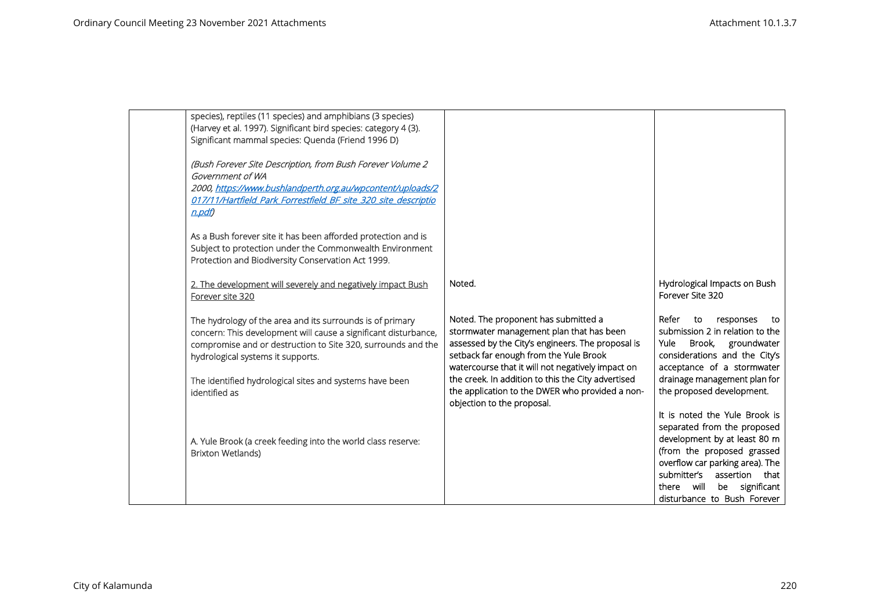| species), reptiles (11 species) and amphibians (3 species)      |                                                    |                                      |
|-----------------------------------------------------------------|----------------------------------------------------|--------------------------------------|
| (Harvey et al. 1997). Significant bird species: category 4 (3). |                                                    |                                      |
| Significant mammal species: Quenda (Friend 1996 D)              |                                                    |                                      |
|                                                                 |                                                    |                                      |
| (Bush Forever Site Description, from Bush Forever Volume 2      |                                                    |                                      |
| Government of WA                                                |                                                    |                                      |
| 2000, https://www.bushlandperth.org.au/wpcontent/uploads/2      |                                                    |                                      |
| 017/11/Hartfield Park Forrestfield BF site 320 site descriptio  |                                                    |                                      |
| $n$ . pdf                                                       |                                                    |                                      |
|                                                                 |                                                    |                                      |
| As a Bush forever site it has been afforded protection and is   |                                                    |                                      |
| Subject to protection under the Commonwealth Environment        |                                                    |                                      |
| Protection and Biodiversity Conservation Act 1999.              |                                                    |                                      |
| 2. The development will severely and negatively impact Bush     | Noted.                                             | Hydrological Impacts on Bush         |
| Forever site 320                                                |                                                    | Forever Site 320                     |
|                                                                 |                                                    |                                      |
| The hydrology of the area and its surrounds is of primary       | Noted. The proponent has submitted a               | Refer<br>to<br>responses<br>to       |
| concern: This development will cause a significant disturbance, | stormwater management plan that has been           | submission 2 in relation to the      |
| compromise and or destruction to Site 320, surrounds and the    | assessed by the City's engineers. The proposal is  | Brook,<br>groundwater<br><b>Yule</b> |
| hydrological systems it supports.                               | setback far enough from the Yule Brook             | considerations and the City's        |
|                                                                 | watercourse that it will not negatively impact on  | acceptance of a stormwater           |
| The identified hydrological sites and systems have been         | the creek. In addition to this the City advertised | drainage management plan for         |
| identified as                                                   | the application to the DWER who provided a non-    | the proposed development.            |
|                                                                 | objection to the proposal.                         |                                      |
|                                                                 |                                                    | It is noted the Yule Brook is        |
|                                                                 |                                                    | separated from the proposed          |
| A. Yule Brook (a creek feeding into the world class reserve:    |                                                    | development by at least 80 m         |
| <b>Brixton Wetlands)</b>                                        |                                                    | (from the proposed grassed           |
|                                                                 |                                                    | overflow car parking area). The      |
|                                                                 |                                                    | submitter's assertion that           |
|                                                                 |                                                    | there will<br>be significant         |
|                                                                 |                                                    | disturbance to Bush Forever          |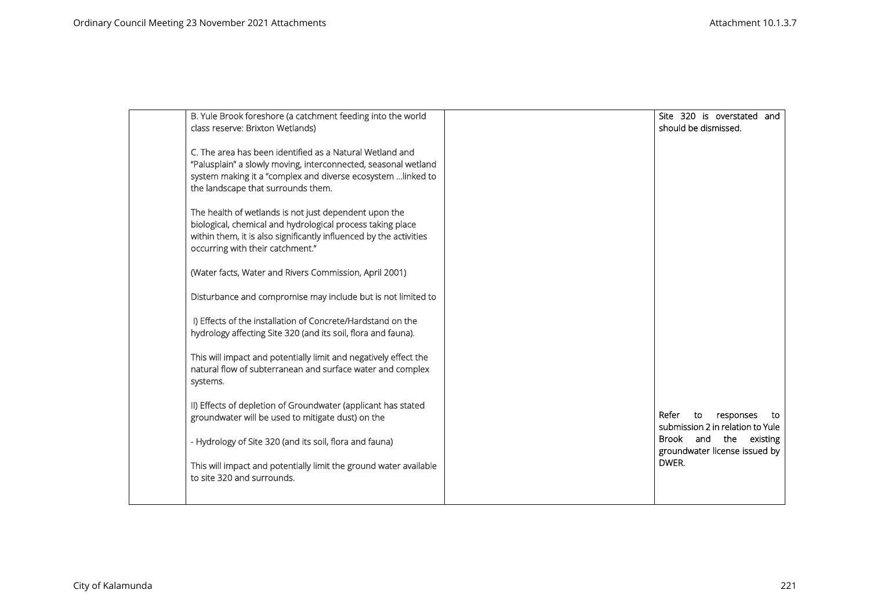| B. Yule Brook foreshore (a catchment feeding into the world        | Site 320 is overstated and                                 |
|--------------------------------------------------------------------|------------------------------------------------------------|
| class reserve: Brixton Wetlands)                                   | should be dismissed.                                       |
| C. The area has been identified as a Natural Wetland and           |                                                            |
| "Palusplain" a slowly moving, interconnected, seasonal wetland     |                                                            |
| system making it a "complex and diverse ecosystem  linked to       |                                                            |
| the landscape that surrounds them.                                 |                                                            |
| The health of wetlands is not just dependent upon the              |                                                            |
| biological, chemical and hydrological process taking place         |                                                            |
| within them, it is also significantly influenced by the activities |                                                            |
| occurring with their catchment."                                   |                                                            |
| (Water facts, Water and Rivers Commission, April 2001)             |                                                            |
|                                                                    |                                                            |
| Disturbance and compromise may include but is not limited to       |                                                            |
| I) Effects of the installation of Concrete/Hardstand on the        |                                                            |
| hydrology affecting Site 320 (and its soil, flora and fauna).      |                                                            |
|                                                                    |                                                            |
| This will impact and potentially limit and negatively effect the   |                                                            |
| natural flow of subterranean and surface water and complex         |                                                            |
| systems.                                                           |                                                            |
| II) Effects of depletion of Groundwater (applicant has stated      |                                                            |
| groundwater will be used to mitigate dust) on the                  | Refer<br>to<br>responses<br>τo                             |
|                                                                    | submission 2 in relation to Yule<br>Brook and the existing |
| - Hydrology of Site 320 (and its soil, flora and fauna)            | groundwater license issued by                              |
| This will impact and potentially limit the ground water available  | DWER.                                                      |
| to site 320 and surrounds.                                         |                                                            |
|                                                                    |                                                            |
|                                                                    |                                                            |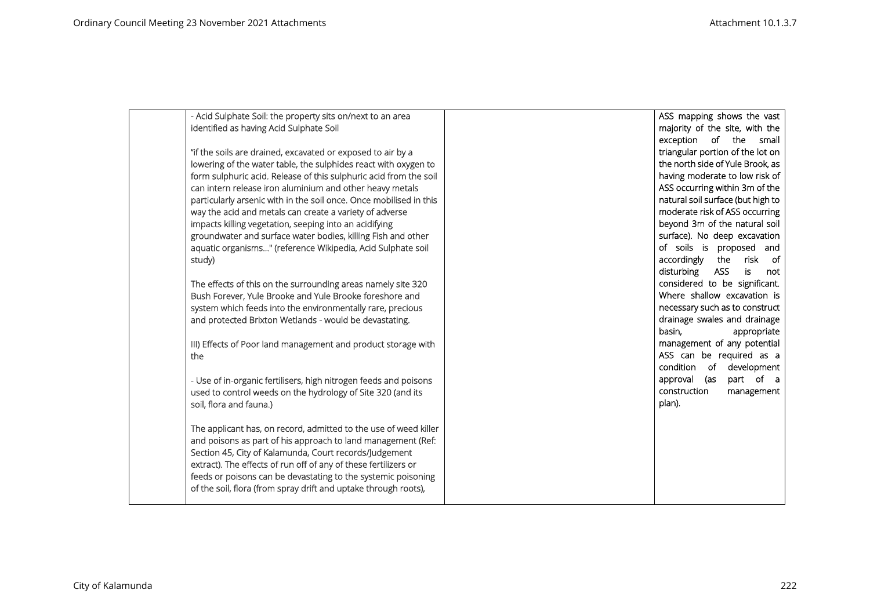|        | - Acid Sulphate Soil: the property sits on/next to an area         | ASS mapping shows the vast        |
|--------|--------------------------------------------------------------------|-----------------------------------|
|        |                                                                    |                                   |
|        | identified as having Acid Sulphate Soil                            | majority of the site, with the    |
|        |                                                                    | exception of the small            |
|        | "if the soils are drained, excavated or exposed to air by a        | triangular portion of the lot on  |
|        | lowering of the water table, the sulphides react with oxygen to    | the north side of Yule Brook, as  |
|        | form sulphuric acid. Release of this sulphuric acid from the soil  | having moderate to low risk of    |
|        | can intern release iron aluminium and other heavy metals           | ASS occurring within 3m of the    |
|        | particularly arsenic with in the soil once. Once mobilised in this | natural soil surface (but high to |
|        | way the acid and metals can create a variety of adverse            | moderate risk of ASS occurring    |
|        | impacts killing vegetation, seeping into an acidifying             | beyond 3m of the natural soil     |
|        | groundwater and surface water bodies, killing Fish and other       | surface). No deep excavation      |
|        | aquatic organisms" (reference Wikipedia, Acid Sulphate soil        | of soils is proposed and          |
| study) |                                                                    | the risk of<br>accordingly        |
|        |                                                                    | disturbing<br>ASS<br>is<br>not    |
|        | The effects of this on the surrounding areas namely site 320       | considered to be significant.     |
|        | Bush Forever, Yule Brooke and Yule Brooke foreshore and            | Where shallow excavation is       |
|        | system which feeds into the environmentally rare, precious         | necessary such as to construct    |
|        | and protected Brixton Wetlands - would be devastating.             | drainage swales and drainage      |
|        |                                                                    | basin,<br>appropriate             |
|        |                                                                    | management of any potential       |
|        | III) Effects of Poor land management and product storage with      | ASS can be required as a          |
| the    |                                                                    |                                   |
|        |                                                                    | condition of development          |
|        | - Use of in-organic fertilisers, high nitrogen feeds and poisons   | part of a<br>approval (as         |
|        | used to control weeds on the hydrology of Site 320 (and its        | construction<br>management        |
|        | soil, flora and fauna.)                                            | plan).                            |
|        |                                                                    |                                   |
|        | The applicant has, on record, admitted to the use of weed killer   |                                   |
|        | and poisons as part of his approach to land management (Ref:       |                                   |
|        | Section 45, City of Kalamunda, Court records/Judgement             |                                   |
|        | extract). The effects of run off of any of these fertilizers or    |                                   |
|        | feeds or poisons can be devastating to the systemic poisoning      |                                   |
|        | of the soil, flora (from spray drift and uptake through roots),    |                                   |
|        |                                                                    |                                   |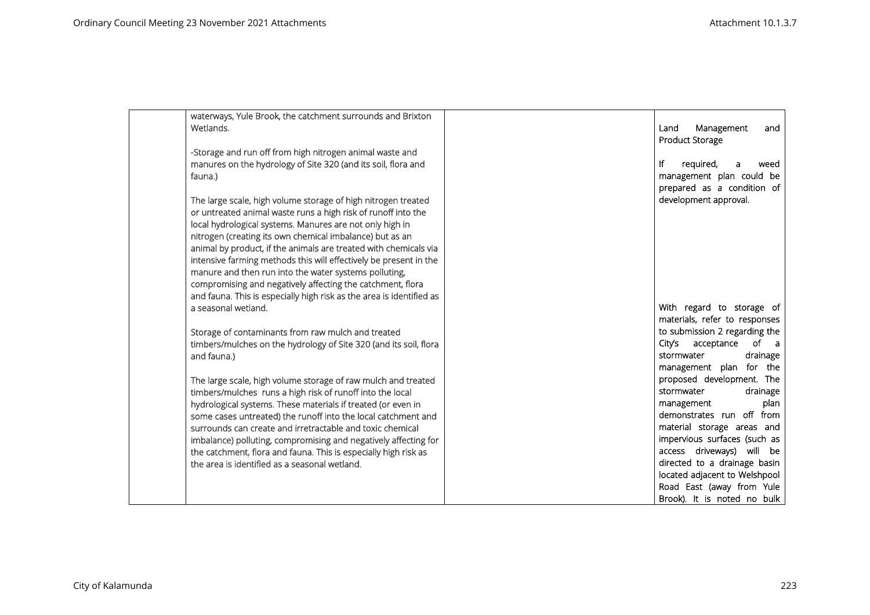| waterways, Yule Brook, the catchment surrounds and Brixton<br>Wetlands. | Management<br>Land<br>and<br><b>Product Storage</b> |
|-------------------------------------------------------------------------|-----------------------------------------------------|
| -Storage and run off from high nitrogen animal waste and                |                                                     |
| manures on the hydrology of Site 320 (and its soil, flora and           | ١f<br>required,<br>weed<br>a                        |
| fauna.)                                                                 | management plan could be                            |
|                                                                         | prepared as a condition of                          |
| The large scale, high volume storage of high nitrogen treated           | development approval.                               |
| or untreated animal waste runs a high risk of runoff into the           |                                                     |
| local hydrological systems. Manures are not only high in                |                                                     |
| nitrogen (creating its own chemical imbalance) but as an                |                                                     |
| animal by product, if the animals are treated with chemicals via        |                                                     |
| intensive farming methods this will effectively be present in the       |                                                     |
| manure and then run into the water systems polluting,                   |                                                     |
| compromising and negatively affecting the catchment, flora              |                                                     |
| and fauna. This is especially high risk as the area is identified as    |                                                     |
| a seasonal wetland.                                                     | With regard to storage of                           |
|                                                                         | materials, refer to responses                       |
| Storage of contaminants from raw mulch and treated                      | to submission 2 regarding the                       |
| timbers/mulches on the hydrology of Site 320 (and its soil, flora       | acceptance<br>of<br>City's<br>a a                   |
| and fauna.)                                                             | stormwater<br>drainage                              |
|                                                                         | management plan for the                             |
| The large scale, high volume storage of raw mulch and treated           | proposed development. The                           |
| timbers/mulches runs a high risk of runoff into the local               | stormwater<br>drainage                              |
| hydrological systems. These materials if treated (or even in            | management<br>plan                                  |
| some cases untreated) the runoff into the local catchment and           | demonstrates run off from                           |
| surrounds can create and irretractable and toxic chemical               | material storage areas and                          |
| imbalance) polluting, compromising and negatively affecting for         | impervious surfaces (such as                        |
| the catchment, flora and fauna. This is especially high risk as         | access driveways) will be                           |
| the area is identified as a seasonal wetland.                           | directed to a drainage basin                        |
|                                                                         | located adjacent to Welshpool                       |
|                                                                         | Road East (away from Yule                           |
|                                                                         | Brook). It is noted no bulk                         |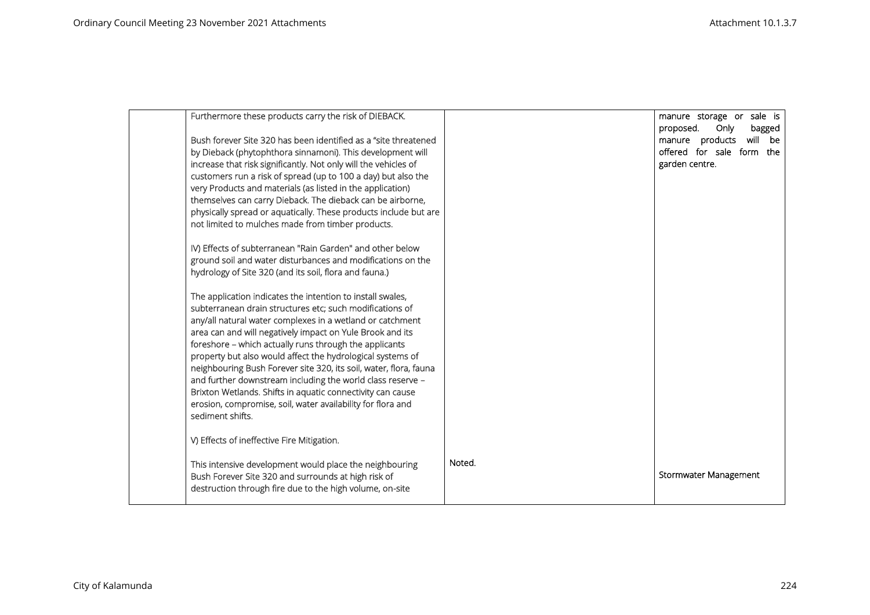| Furthermore these products carry the risk of DIEBACK.                                                                    |        | manure storage or sale is<br>proposed.<br>Only<br>bagged |  |
|--------------------------------------------------------------------------------------------------------------------------|--------|----------------------------------------------------------|--|
| Bush forever Site 320 has been identified as a "site threatened                                                          |        | manure products<br>will be                               |  |
| by Dieback (phytophthora sinnamoni). This development will                                                               |        | offered for sale form the                                |  |
| increase that risk significantly. Not only will the vehicles of                                                          |        | garden centre.                                           |  |
| customers run a risk of spread (up to 100 a day) but also the                                                            |        |                                                          |  |
| very Products and materials (as listed in the application)                                                               |        |                                                          |  |
| themselves can carry Dieback. The dieback can be airborne,                                                               |        |                                                          |  |
| physically spread or aquatically. These products include but are                                                         |        |                                                          |  |
| not limited to mulches made from timber products.                                                                        |        |                                                          |  |
|                                                                                                                          |        |                                                          |  |
| IV) Effects of subterranean "Rain Garden" and other below<br>ground soil and water disturbances and modifications on the |        |                                                          |  |
| hydrology of Site 320 (and its soil, flora and fauna.)                                                                   |        |                                                          |  |
|                                                                                                                          |        |                                                          |  |
| The application indicates the intention to install swales,                                                               |        |                                                          |  |
| subterranean drain structures etc; such modifications of                                                                 |        |                                                          |  |
| any/all natural water complexes in a wetland or catchment                                                                |        |                                                          |  |
| area can and will negatively impact on Yule Brook and its                                                                |        |                                                          |  |
| foreshore - which actually runs through the applicants                                                                   |        |                                                          |  |
| property but also would affect the hydrological systems of                                                               |        |                                                          |  |
| neighbouring Bush Forever site 320, its soil, water, flora, fauna                                                        |        |                                                          |  |
| and further downstream including the world class reserve -                                                               |        |                                                          |  |
| Brixton Wetlands. Shifts in aquatic connectivity can cause                                                               |        |                                                          |  |
| erosion, compromise, soil, water availability for flora and                                                              |        |                                                          |  |
| sediment shifts.                                                                                                         |        |                                                          |  |
| V) Effects of ineffective Fire Mitigation.                                                                               |        |                                                          |  |
|                                                                                                                          |        |                                                          |  |
| This intensive development would place the neighbouring                                                                  | Noted. |                                                          |  |
| Bush Forever Site 320 and surrounds at high risk of                                                                      |        | Stormwater Management                                    |  |
| destruction through fire due to the high volume, on-site                                                                 |        |                                                          |  |
|                                                                                                                          |        |                                                          |  |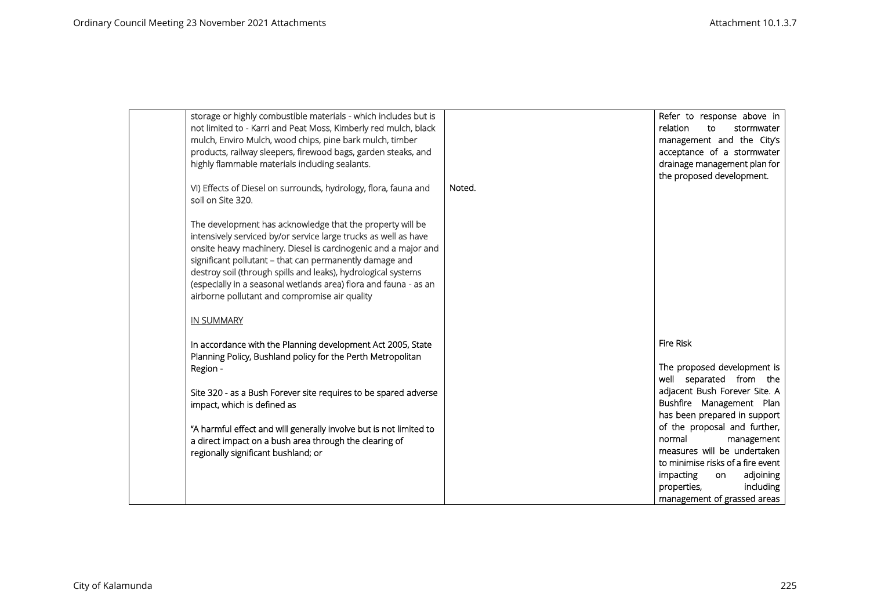| storage or highly combustible materials - which includes but is<br>not limited to - Karri and Peat Moss, Kimberly red mulch, black<br>mulch, Enviro Mulch, wood chips, pine bark mulch, timber<br>products, railway sleepers, firewood bags, garden steaks, and<br>highly flammable materials including sealants.<br>VI) Effects of Diesel on surrounds, hydrology, flora, fauna and<br>soil on Site 320.<br>The development has acknowledge that the property will be<br>intensively serviced by/or service large trucks as well as have<br>onsite heavy machinery. Diesel is carcinogenic and a major and<br>significant pollutant - that can permanently damage and<br>destroy soil (through spills and leaks), hydrological systems<br>(especially in a seasonal wetlands area) flora and fauna - as an | Noted. | Refer to response above in<br>relation<br>stormwater<br>to<br>management and the City's<br>acceptance of a stormwater<br>drainage management plan for<br>the proposed development.                                                                                                                                                  |
|-------------------------------------------------------------------------------------------------------------------------------------------------------------------------------------------------------------------------------------------------------------------------------------------------------------------------------------------------------------------------------------------------------------------------------------------------------------------------------------------------------------------------------------------------------------------------------------------------------------------------------------------------------------------------------------------------------------------------------------------------------------------------------------------------------------|--------|-------------------------------------------------------------------------------------------------------------------------------------------------------------------------------------------------------------------------------------------------------------------------------------------------------------------------------------|
| airborne pollutant and compromise air quality                                                                                                                                                                                                                                                                                                                                                                                                                                                                                                                                                                                                                                                                                                                                                               |        |                                                                                                                                                                                                                                                                                                                                     |
| <b>IN SUMMARY</b>                                                                                                                                                                                                                                                                                                                                                                                                                                                                                                                                                                                                                                                                                                                                                                                           |        |                                                                                                                                                                                                                                                                                                                                     |
| In accordance with the Planning development Act 2005, State<br>Planning Policy, Bushland policy for the Perth Metropolitan<br>Region -<br>Site 320 - as a Bush Forever site requires to be spared adverse<br>impact, which is defined as<br>"A harmful effect and will generally involve but is not limited to<br>a direct impact on a bush area through the clearing of<br>regionally significant bushland; or                                                                                                                                                                                                                                                                                                                                                                                             |        | <b>Fire Risk</b><br>The proposed development is<br>well separated from the<br>adjacent Bush Forever Site. A<br>Bushfire Management Plan<br>has been prepared in support<br>of the proposal and further,<br>normal<br>management<br>measures will be undertaken<br>to minimise risks of a fire event<br>adjoining<br>impacting<br>on |
|                                                                                                                                                                                                                                                                                                                                                                                                                                                                                                                                                                                                                                                                                                                                                                                                             |        | properties,<br>including<br>management of grassed areas                                                                                                                                                                                                                                                                             |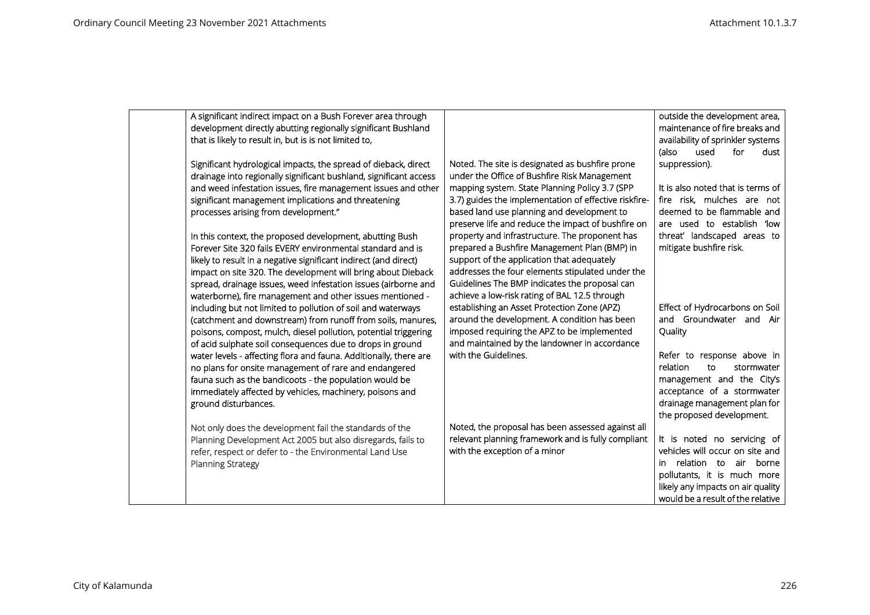| A significant indirect impact on a Bush Forever area through<br>development directly abutting regionally significant Bushland<br>that is likely to result in, but is is not limited to,                                                                                                                                                                                                                                                                                                                                         |                                                                                                                                                                                                                                                                                                                                                                                                                                                                | outside the development area,<br>maintenance of fire breaks and<br>availability of sprinkler systems                                                                                                                                   |
|---------------------------------------------------------------------------------------------------------------------------------------------------------------------------------------------------------------------------------------------------------------------------------------------------------------------------------------------------------------------------------------------------------------------------------------------------------------------------------------------------------------------------------|----------------------------------------------------------------------------------------------------------------------------------------------------------------------------------------------------------------------------------------------------------------------------------------------------------------------------------------------------------------------------------------------------------------------------------------------------------------|----------------------------------------------------------------------------------------------------------------------------------------------------------------------------------------------------------------------------------------|
| Significant hydrological impacts, the spread of dieback, direct<br>drainage into regionally significant bushland, significant access<br>and weed infestation issues, fire management issues and other<br>significant management implications and threatening<br>processes arising from development."<br>In this context, the proposed development, abutting Bush<br>Forever Site 320 fails EVERY environmental standard and is<br>likely to result in a negative significant indirect (and direct)                              | Noted. The site is designated as bushfire prone<br>under the Office of Bushfire Risk Management<br>mapping system. State Planning Policy 3.7 (SPP<br>3.7) guides the implementation of effective riskfire-<br>based land use planning and development to<br>preserve life and reduce the impact of bushfire on<br>property and infrastructure. The proponent has<br>prepared a Bushfire Management Plan (BMP) in<br>support of the application that adequately | (also<br>used<br>for<br>dust<br>suppression).<br>It is also noted that is terms of<br>fire risk, mulches are not<br>deemed to be flammable and<br>are used to establish 'low<br>threat' landscaped areas to<br>mitigate bushfire risk. |
| impact on site 320. The development will bring about Dieback<br>spread, drainage issues, weed infestation issues (airborne and<br>waterborne), fire management and other issues mentioned -<br>including but not limited to pollution of soil and waterways<br>(catchment and downstream) from runoff from soils, manures,<br>poisons, compost, mulch, diesel pollution, potential triggering<br>of acid sulphate soil consequences due to drops in ground<br>water levels - affecting flora and fauna. Additionally, there are | addresses the four elements stipulated under the<br>Guidelines The BMP indicates the proposal can<br>achieve a low-risk rating of BAL 12.5 through<br>establishing an Asset Protection Zone (APZ)<br>around the development. A condition has been<br>imposed requiring the APZ to be implemented<br>and maintained by the landowner in accordance<br>with the Guidelines.                                                                                      | Effect of Hydrocarbons on Soil<br>and Groundwater and Air<br>Quality<br>Refer to response above in                                                                                                                                     |
| no plans for onsite management of rare and endangered<br>fauna such as the bandicoots - the population would be<br>immediately affected by vehicles, machinery, poisons and<br>ground disturbances.                                                                                                                                                                                                                                                                                                                             |                                                                                                                                                                                                                                                                                                                                                                                                                                                                | relation<br>to<br>stormwater<br>management and the City's<br>acceptance of a stormwater<br>drainage management plan for<br>the proposed development.                                                                                   |
| Not only does the development fail the standards of the<br>Planning Development Act 2005 but also disregards, fails to<br>refer, respect or defer to - the Environmental Land Use<br><b>Planning Strategy</b>                                                                                                                                                                                                                                                                                                                   | Noted, the proposal has been assessed against all<br>relevant planning framework and is fully compliant<br>with the exception of a minor                                                                                                                                                                                                                                                                                                                       | It is noted no servicing of<br>vehicles will occur on site and<br>in relation to air borne<br>pollutants, it is much more<br>likely any impacts on air quality<br>would be a result of the relative                                    |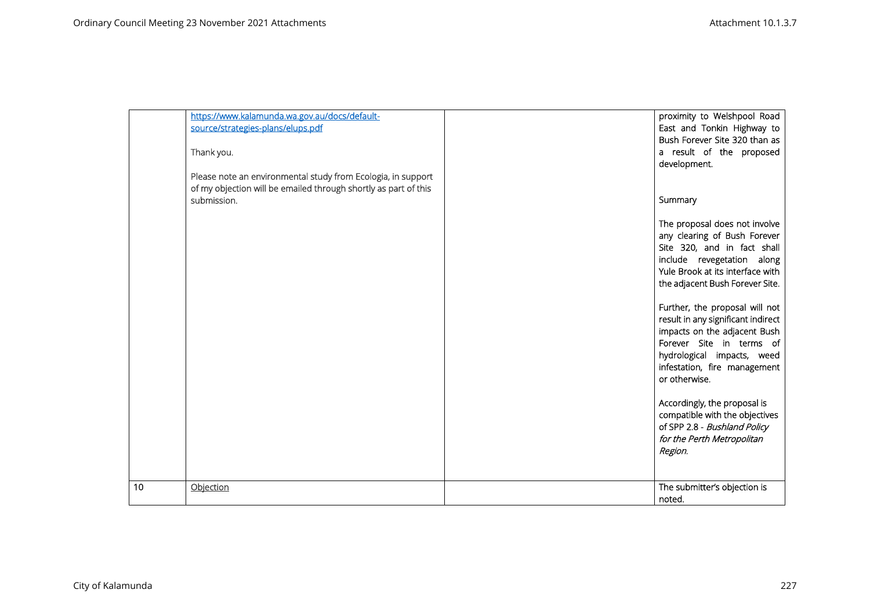|    | https://www.kalamunda.wa.gov.au/docs/default-<br>source/strategies-plans/elups.pdf<br>Thank you.<br>Please note an environmental study from Ecologia, in support<br>of my objection will be emailed through shortly as part of this | proximity to Welshpool Road<br>East and Tonkin Highway to<br>Bush Forever Site 320 than as<br>a result of the proposed<br>development.                                                                                              |
|----|-------------------------------------------------------------------------------------------------------------------------------------------------------------------------------------------------------------------------------------|-------------------------------------------------------------------------------------------------------------------------------------------------------------------------------------------------------------------------------------|
|    | submission.                                                                                                                                                                                                                         | Summary                                                                                                                                                                                                                             |
|    |                                                                                                                                                                                                                                     | The proposal does not involve<br>any clearing of Bush Forever<br>Site 320, and in fact shall<br>include revegetation along<br>Yule Brook at its interface with<br>the adjacent Bush Forever Site.<br>Further, the proposal will not |
|    |                                                                                                                                                                                                                                     | result in any significant indirect<br>impacts on the adjacent Bush<br>Forever Site in terms of<br>hydrological impacts, weed<br>infestation, fire management<br>or otherwise.                                                       |
|    |                                                                                                                                                                                                                                     | Accordingly, the proposal is<br>compatible with the objectives<br>of SPP 2.8 - Bushland Policy<br>for the Perth Metropolitan<br>Region.                                                                                             |
| 10 | Objection                                                                                                                                                                                                                           | The submitter's objection is<br>noted.                                                                                                                                                                                              |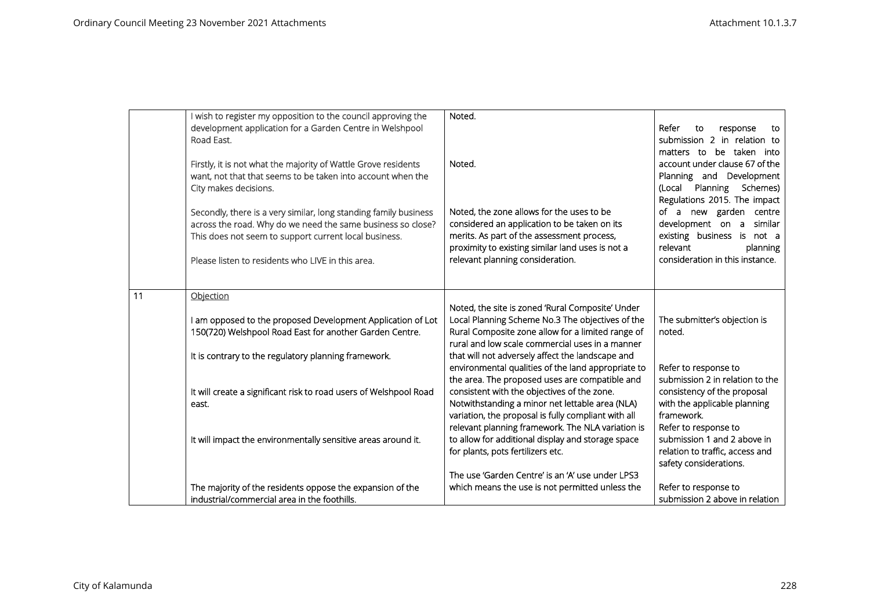|    | I wish to register my opposition to the council approving the     | Noted.                                              |                                 |
|----|-------------------------------------------------------------------|-----------------------------------------------------|---------------------------------|
|    | development application for a Garden Centre in Welshpool          |                                                     | Refer<br>to<br>response<br>to   |
|    | Road East.                                                        |                                                     | submission 2 in relation to     |
|    |                                                                   |                                                     | matters to be taken into        |
|    | Firstly, it is not what the majority of Wattle Grove residents    | Noted.                                              | account under clause 67 of the  |
|    | want, not that that seems to be taken into account when the       |                                                     | Planning and Development        |
|    | City makes decisions.                                             |                                                     | (Local Planning Schemes)        |
|    |                                                                   |                                                     | Regulations 2015. The impact    |
|    | Secondly, there is a very similar, long standing family business  | Noted, the zone allows for the uses to be           | of a new garden centre          |
|    | across the road. Why do we need the same business so close?       | considered an application to be taken on its        | development on a<br>similar     |
|    | This does not seem to support current local business.             | merits. As part of the assessment process,          | existing business is not a      |
|    |                                                                   | proximity to existing similar land uses is not a    | relevant<br>planning            |
|    | Please listen to residents who LIVE in this area.                 | relevant planning consideration.                    | consideration in this instance. |
|    |                                                                   |                                                     |                                 |
|    |                                                                   |                                                     |                                 |
| 11 | Objection                                                         |                                                     |                                 |
|    |                                                                   | Noted, the site is zoned 'Rural Composite' Under    |                                 |
|    | am opposed to the proposed Development Application of Lot         | Local Planning Scheme No.3 The objectives of the    | The submitter's objection is    |
|    | 150(720) Welshpool Road East for another Garden Centre.           | Rural Composite zone allow for a limited range of   | noted.                          |
|    |                                                                   | rural and low scale commercial uses in a manner     |                                 |
|    | It is contrary to the regulatory planning framework.              | that will not adversely affect the landscape and    |                                 |
|    |                                                                   | environmental qualities of the land appropriate to  | Refer to response to            |
|    |                                                                   | the area. The proposed uses are compatible and      | submission 2 in relation to the |
|    | It will create a significant risk to road users of Welshpool Road | consistent with the objectives of the zone.         | consistency of the proposal     |
|    | east.                                                             | Notwithstanding a minor net lettable area (NLA)     | with the applicable planning    |
|    |                                                                   | variation, the proposal is fully compliant with all | framework.                      |
|    |                                                                   | relevant planning framework. The NLA variation is   | Refer to response to            |
|    | It will impact the environmentally sensitive areas around it.     | to allow for additional display and storage space   | submission 1 and 2 above in     |
|    |                                                                   | for plants, pots fertilizers etc.                   | relation to traffic, access and |
|    |                                                                   | The use 'Garden Centre' is an 'A' use under LPS3    | safety considerations.          |
|    | The majority of the residents oppose the expansion of the         | which means the use is not permitted unless the     | Refer to response to            |
|    | industrial/commercial area in the foothills.                      |                                                     | submission 2 above in relation  |
|    |                                                                   |                                                     |                                 |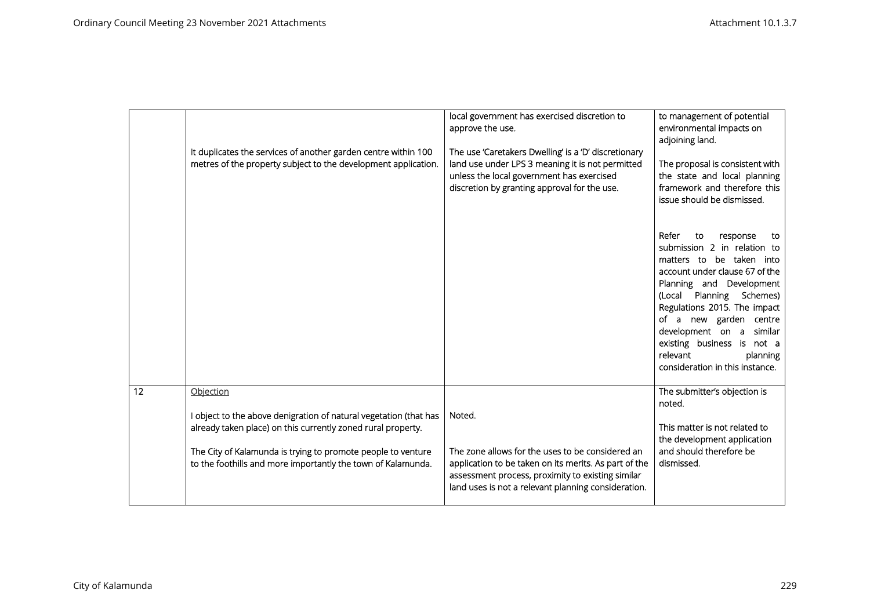|    | It duplicates the services of another garden centre within 100<br>metres of the property subject to the development application.                                                                                                                                               | local government has exercised discretion to<br>approve the use.<br>The use 'Caretakers Dwelling' is a 'D' discretionary<br>land use under LPS 3 meaning it is not permitted<br>unless the local government has exercised<br>discretion by granting approval for the use. | to management of potential<br>environmental impacts on<br>adjoining land.<br>The proposal is consistent with<br>the state and local planning<br>framework and therefore this<br>issue should be dismissed.                                                                                                                                                        |
|----|--------------------------------------------------------------------------------------------------------------------------------------------------------------------------------------------------------------------------------------------------------------------------------|---------------------------------------------------------------------------------------------------------------------------------------------------------------------------------------------------------------------------------------------------------------------------|-------------------------------------------------------------------------------------------------------------------------------------------------------------------------------------------------------------------------------------------------------------------------------------------------------------------------------------------------------------------|
|    |                                                                                                                                                                                                                                                                                |                                                                                                                                                                                                                                                                           | Refer<br>to<br>response<br>to<br>submission 2 in relation to<br>matters to be taken into<br>account under clause 67 of the<br>Planning and Development<br>(Local Planning Schemes)<br>Regulations 2015. The impact<br>of a new garden centre<br>development on a similar<br>existing business is not a<br>relevant<br>planning<br>consideration in this instance. |
| 12 | Objection<br>I object to the above denigration of natural vegetation (that has<br>already taken place) on this currently zoned rural property.<br>The City of Kalamunda is trying to promote people to venture<br>to the foothills and more importantly the town of Kalamunda. | Noted.<br>The zone allows for the uses to be considered an<br>application to be taken on its merits. As part of the<br>assessment process, proximity to existing similar<br>land uses is not a relevant planning consideration.                                           | The submitter's objection is<br>noted.<br>This matter is not related to<br>the development application<br>and should therefore be<br>dismissed.                                                                                                                                                                                                                   |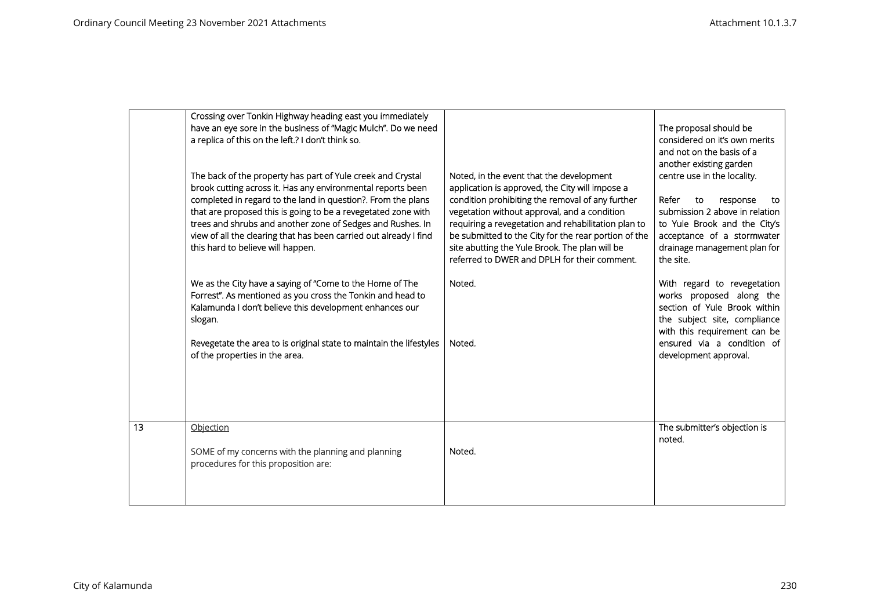|    | Crossing over Tonkin Highway heading east you immediately<br>have an eye sore in the business of "Magic Mulch". Do we need<br>a replica of this on the left.? I don't think so.<br>The back of the property has part of Yule creek and Crystal<br>brook cutting across it. Has any environmental reports been<br>completed in regard to the land in question?. From the plans<br>that are proposed this is going to be a revegetated zone with<br>trees and shrubs and another zone of Sedges and Rushes. In<br>view of all the clearing that has been carried out already I find<br>this hard to believe will happen.<br>We as the City have a saying of "Come to the Home of The<br>Forrest". As mentioned as you cross the Tonkin and head to<br>Kalamunda I don't believe this development enhances our<br>slogan.<br>Revegetate the area to is original state to maintain the lifestyles<br>of the properties in the area. | Noted, in the event that the development<br>application is approved, the City will impose a<br>condition prohibiting the removal of any further<br>vegetation without approval, and a condition<br>requiring a revegetation and rehabilitation plan to<br>be submitted to the City for the rear portion of the<br>site abutting the Yule Brook. The plan will be<br>referred to DWER and DPLH for their comment.<br>Noted.<br>Noted. | The proposal should be<br>considered on it's own merits<br>and not on the basis of a<br>another existing garden<br>centre use in the locality.<br>Refer<br>to<br>response<br>to<br>submission 2 above in relation<br>to Yule Brook and the City's<br>acceptance of a stormwater<br>drainage management plan for<br>the site.<br>With regard to revegetation<br>works proposed along the<br>section of Yule Brook within<br>the subject site, compliance<br>with this requirement can be<br>ensured via a condition of<br>development approval. |
|----|---------------------------------------------------------------------------------------------------------------------------------------------------------------------------------------------------------------------------------------------------------------------------------------------------------------------------------------------------------------------------------------------------------------------------------------------------------------------------------------------------------------------------------------------------------------------------------------------------------------------------------------------------------------------------------------------------------------------------------------------------------------------------------------------------------------------------------------------------------------------------------------------------------------------------------|--------------------------------------------------------------------------------------------------------------------------------------------------------------------------------------------------------------------------------------------------------------------------------------------------------------------------------------------------------------------------------------------------------------------------------------|------------------------------------------------------------------------------------------------------------------------------------------------------------------------------------------------------------------------------------------------------------------------------------------------------------------------------------------------------------------------------------------------------------------------------------------------------------------------------------------------------------------------------------------------|
| 13 | Objection<br>SOME of my concerns with the planning and planning<br>procedures for this proposition are:                                                                                                                                                                                                                                                                                                                                                                                                                                                                                                                                                                                                                                                                                                                                                                                                                         | Noted.                                                                                                                                                                                                                                                                                                                                                                                                                               | The submitter's objection is<br>noted.                                                                                                                                                                                                                                                                                                                                                                                                                                                                                                         |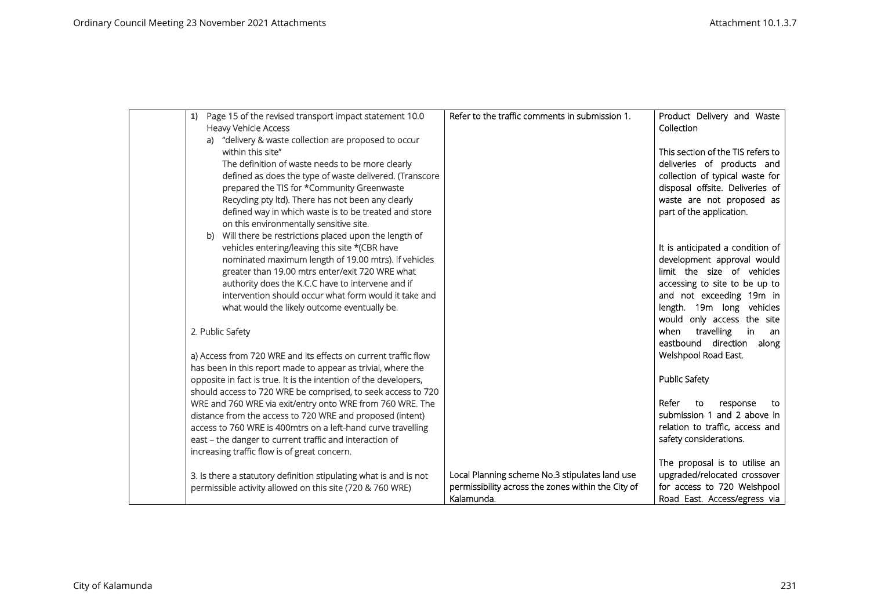| Page 15 of the revised transport impact statement 10.0<br>1)      | Refer to the traffic comments in submission 1.     | Product Delivery and Waste        |
|-------------------------------------------------------------------|----------------------------------------------------|-----------------------------------|
| <b>Heavy Vehicle Access</b>                                       |                                                    | Collection                        |
| a) "delivery & waste collection are proposed to occur             |                                                    |                                   |
| within this site"                                                 |                                                    | This section of the TIS refers to |
| The definition of waste needs to be more clearly                  |                                                    | deliveries of products and        |
| defined as does the type of waste delivered. (Transcore           |                                                    | collection of typical waste for   |
| prepared the TIS for *Community Greenwaste                        |                                                    | disposal offsite. Deliveries of   |
| Recycling pty ltd). There has not been any clearly                |                                                    | waste are not proposed as         |
| defined way in which waste is to be treated and store             |                                                    | part of the application.          |
| on this environmentally sensitive site.                           |                                                    |                                   |
| b) Will there be restrictions placed upon the length of           |                                                    |                                   |
| vehicles entering/leaving this site *(CBR have                    |                                                    | It is anticipated a condition of  |
| nominated maximum length of 19.00 mtrs). If vehicles              |                                                    | development approval would        |
| greater than 19.00 mtrs enter/exit 720 WRE what                   |                                                    | limit the size of vehicles        |
| authority does the K.C.C have to intervene and if                 |                                                    | accessing to site to be up to     |
| intervention should occur what form would it take and             |                                                    | and not exceeding 19m in          |
| what would the likely outcome eventually be.                      |                                                    | length. 19m long vehicles         |
|                                                                   |                                                    | would only access the site        |
| 2. Public Safety                                                  |                                                    | travelling<br>in<br>when<br>an.   |
|                                                                   |                                                    | eastbound direction along         |
| a) Access from 720 WRE and its effects on current traffic flow    |                                                    | Welshpool Road East.              |
| has been in this report made to appear as trivial, where the      |                                                    |                                   |
| opposite in fact is true. It is the intention of the developers,  |                                                    | <b>Public Safety</b>              |
| should access to 720 WRE be comprised, to seek access to 720      |                                                    |                                   |
| WRE and 760 WRE via exit/entry onto WRE from 760 WRE. The         |                                                    | Refer<br>to<br>response<br>to     |
| distance from the access to 720 WRE and proposed (intent)         |                                                    | submission 1 and 2 above in       |
| access to 760 WRE is 400mtrs on a left-hand curve travelling      |                                                    | relation to traffic, access and   |
| east - the danger to current traffic and interaction of           |                                                    | safety considerations.            |
| increasing traffic flow is of great concern.                      |                                                    |                                   |
|                                                                   |                                                    | The proposal is to utilise an     |
| 3. Is there a statutory definition stipulating what is and is not | Local Planning scheme No.3 stipulates land use     | upgraded/relocated crossover      |
| permissible activity allowed on this site (720 & 760 WRE)         | permissibility across the zones within the City of | for access to 720 Welshpool       |
|                                                                   | Kalamunda.                                         | Road East. Access/egress via      |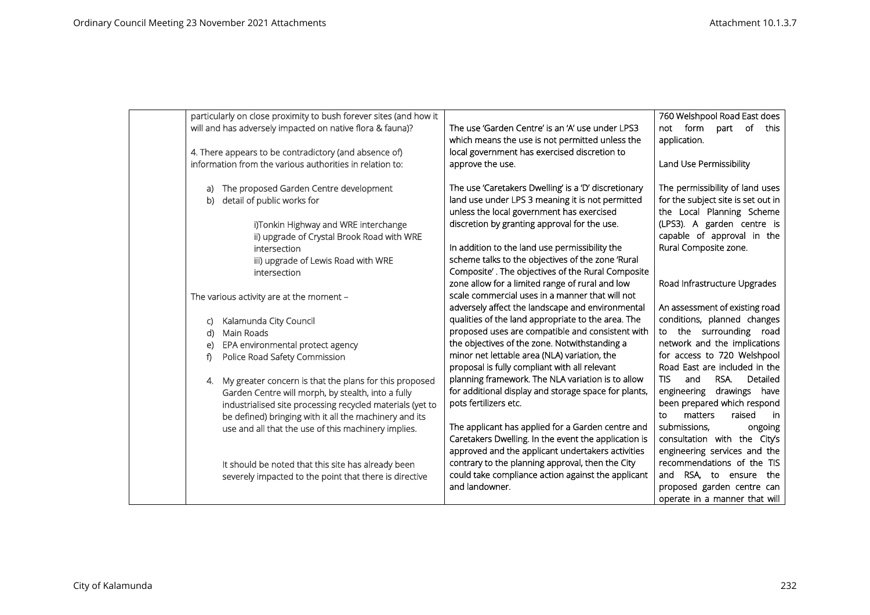| particularly on close proximity to bush forever sites (and how it |                                                                                                     | 760 Welshpool Road East does          |
|-------------------------------------------------------------------|-----------------------------------------------------------------------------------------------------|---------------------------------------|
| will and has adversely impacted on native flora & fauna)?         | The use 'Garden Centre' is an 'A' use under LPS3                                                    | not form part of this                 |
|                                                                   | which means the use is not permitted unless the                                                     | application.                          |
| 4. There appears to be contradictory (and absence of)             | local government has exercised discretion to                                                        |                                       |
| information from the various authorities in relation to:          | approve the use.                                                                                    | Land Use Permissibility               |
|                                                                   |                                                                                                     |                                       |
| The proposed Garden Centre development                            | The use 'Caretakers Dwelling' is a 'D' discretionary                                                | The permissibility of land uses       |
| detail of public works for<br>b)                                  | land use under LPS 3 meaning it is not permitted                                                    | for the subject site is set out in    |
|                                                                   | unless the local government has exercised                                                           | the Local Planning Scheme             |
| i)Tonkin Highway and WRE interchange                              | discretion by granting approval for the use.                                                        | (LPS3). A garden centre is            |
| ii) upgrade of Crystal Brook Road with WRE                        |                                                                                                     | capable of approval in the            |
| intersection                                                      | In addition to the land use permissibility the<br>scheme talks to the objectives of the zone 'Rural | Rural Composite zone.                 |
| iii) upgrade of Lewis Road with WRE                               | Composite'. The objectives of the Rural Composite                                                   |                                       |
| intersection                                                      | zone allow for a limited range of rural and low                                                     | Road Infrastructure Upgrades          |
| The various activity are at the moment -                          | scale commercial uses in a manner that will not                                                     |                                       |
|                                                                   | adversely affect the landscape and environmental                                                    | An assessment of existing road        |
| Kalamunda City Council                                            | qualities of the land appropriate to the area. The                                                  | conditions, planned changes           |
| Main Roads<br>d)                                                  | proposed uses are compatible and consistent with                                                    | to the surrounding road               |
| EPA environmental protect agency<br>e)                            | the objectives of the zone. Notwithstanding a                                                       | network and the implications          |
| Police Road Safety Commission<br>f)                               | minor net lettable area (NLA) variation, the                                                        | for access to 720 Welshpool           |
|                                                                   | proposal is fully compliant with all relevant                                                       | Road East are included in the         |
| My greater concern is that the plans for this proposed<br>4.      | planning framework. The NLA variation is to allow                                                   | <b>TIS</b><br>and<br>RSA.<br>Detailed |
| Garden Centre will morph, by stealth, into a fully                | for additional display and storage space for plants,                                                | engineering drawings have             |
| industrialised site processing recycled materials (yet to         | pots fertilizers etc.                                                                               | been prepared which respond           |
| be defined) bringing with it all the machinery and its            |                                                                                                     | matters<br>raised<br>to<br>in         |
| use and all that the use of this machinery implies.               | The applicant has applied for a Garden centre and                                                   | submissions,<br>ongoing               |
|                                                                   | Caretakers Dwelling. In the event the application is                                                | consultation with the City's          |
|                                                                   | approved and the applicant undertakers activities                                                   | engineering services and the          |
| It should be noted that this site has already been                | contrary to the planning approval, then the City                                                    | recommendations of the TIS            |
| severely impacted to the point that there is directive            | could take compliance action against the applicant                                                  | and RSA, to ensure the                |
|                                                                   | and landowner.                                                                                      | proposed garden centre can            |
|                                                                   |                                                                                                     | operate in a manner that will         |